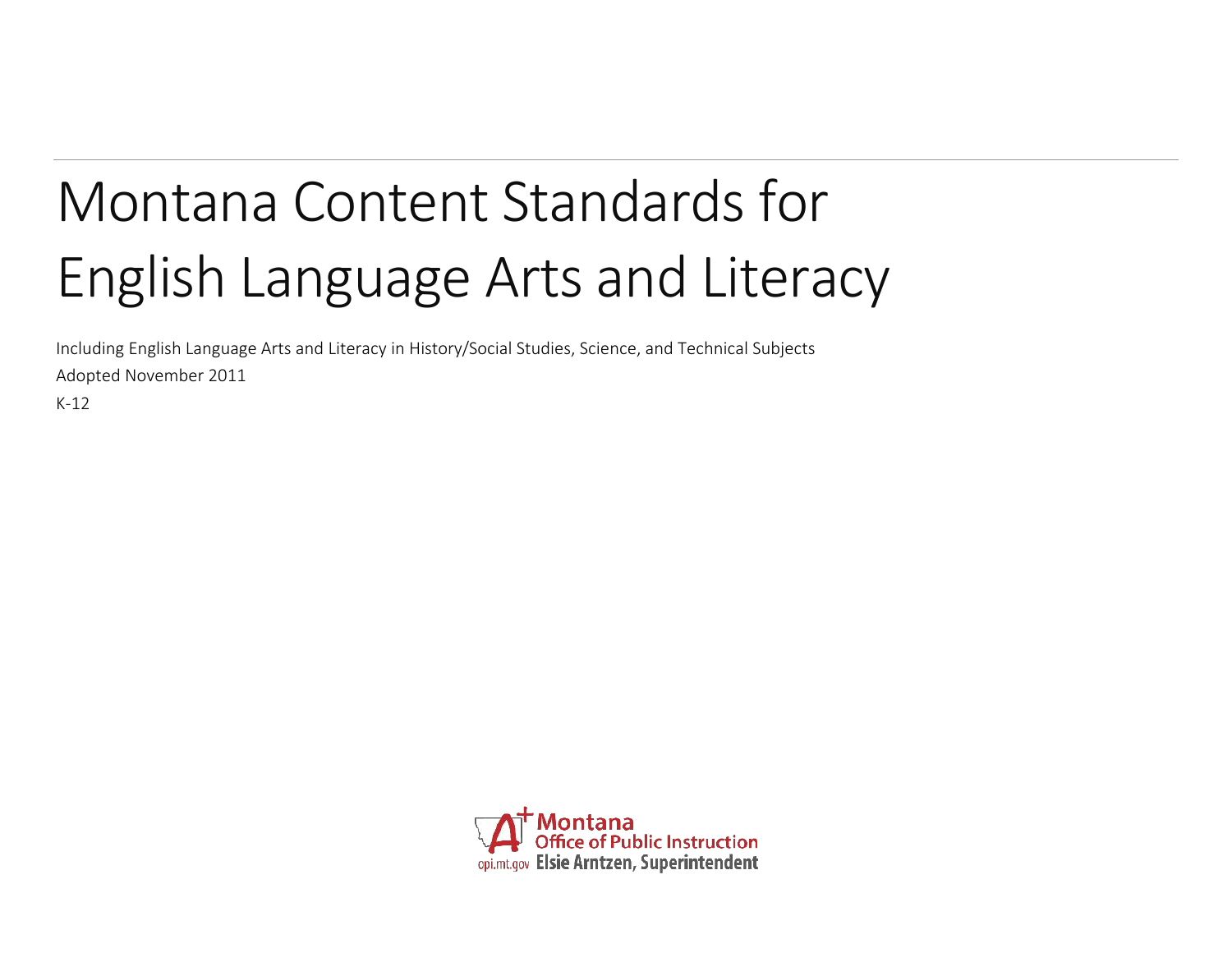# Montana Content Standards for English Language Arts and Literacy

Including English Language Arts and Literacy in History/Social Studies, Science, and Technical Subjects Adopted November 2011

K-12

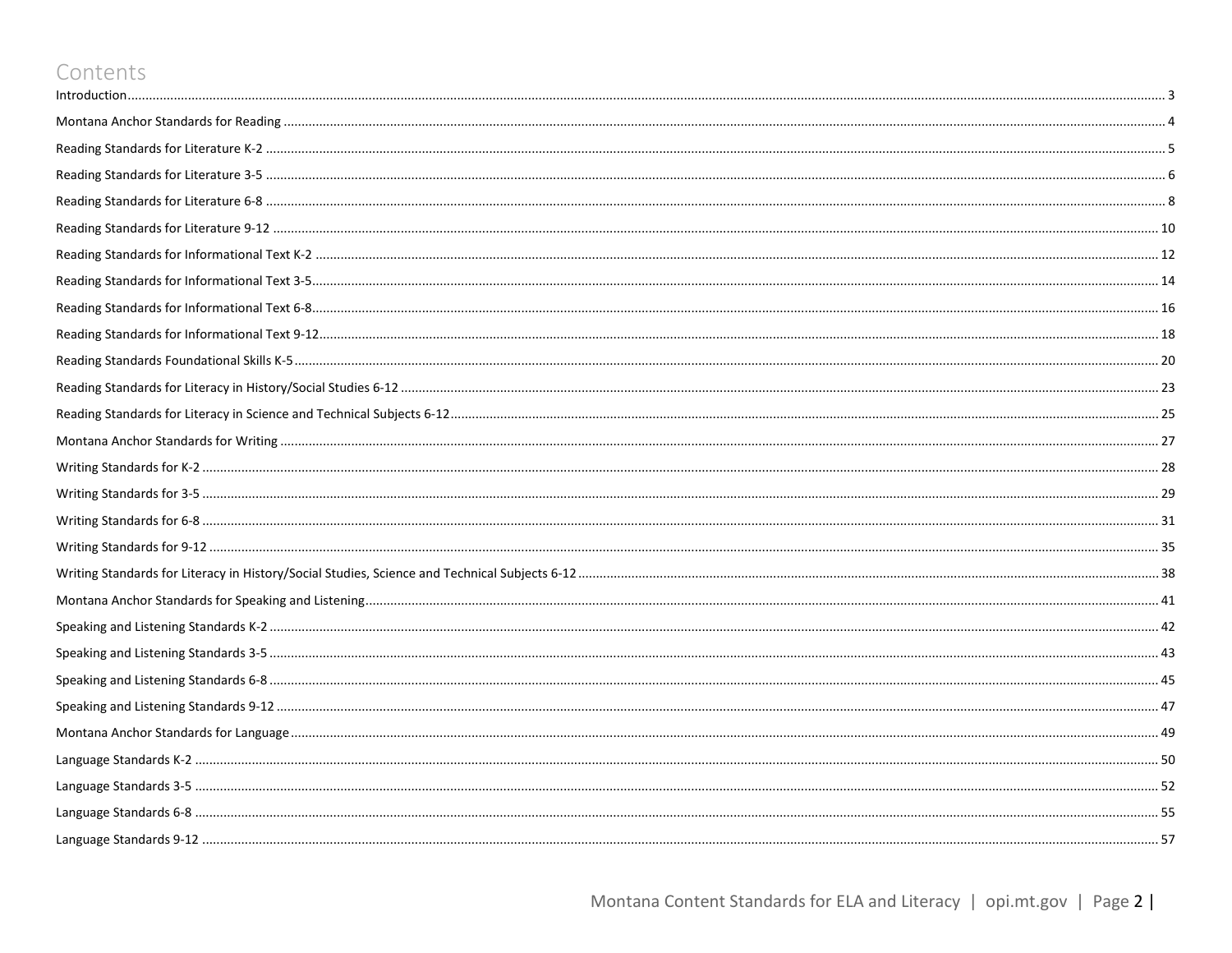### Contents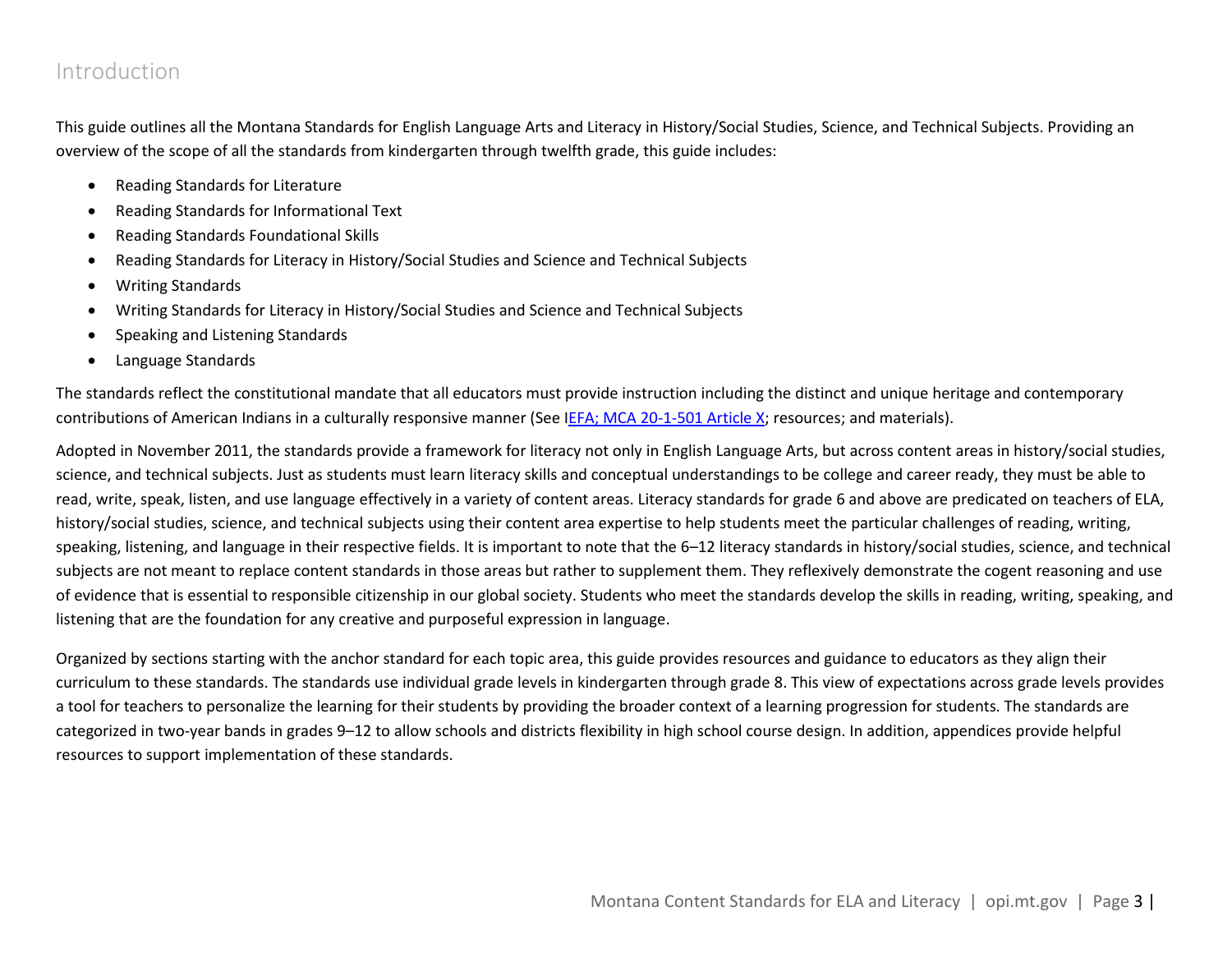### <span id="page-2-0"></span>Introduction

This guide outlines all the Montana Standards for English Language Arts and Literacy in History/Social Studies, Science, and Technical Subjects. Providing an overview of the scope of all the standards from kindergarten through twelfth grade, this guide includes:

- Reading Standards for Literature
- Reading Standards for Informational Text
- Reading Standards Foundational Skills
- Reading Standards for Literacy in History/Social Studies and Science and Technical Subjects
- Writing Standards
- Writing Standards for Literacy in History/Social Studies and Science and Technical Subjects
- Speaking and Listening Standards
- Language Standards

The standards reflect the constitutional mandate that all educators must provide instruction including the distinct and unique heritage and contemporary contributions of American Indians in a culturally responsive manner (See [IEFA; MCA 20-1-501 Article X;](http://www.opi.mt.gov/PDF/IndianEd/Resources/ArticleX_IEFA.pdf) resources; and materials).

Adopted in November 2011, the standards provide a framework for literacy not only in English Language Arts, but across content areas in history/social studies, science, and technical subjects. Just as students must learn literacy skills and conceptual understandings to be college and career ready, they must be able to read, write, speak, listen, and use language effectively in a variety of content areas. Literacy standards for grade 6 and above are predicated on teachers of ELA, history/social studies, science, and technical subjects using their content area expertise to help students meet the particular challenges of reading, writing, speaking, listening, and language in their respective fields. It is important to note that the 6-12 literacy standards in history/social studies, science, and technical subjects are not meant to replace content standards in those areas but rather to supplement them. They reflexively demonstrate the cogent reasoning and use of evidence that is essential to responsible citizenship in our global society. Students who meet the standards develop the skills in reading, writing, speaking, and listening that are the foundation for any creative and purposeful expression in language.

Organized by sections starting with the anchor standard for each topic area, this guide provides resources and guidance to educators as they align their curriculum to these standards. The standards use individual grade levels in kindergarten through grade 8. This view of expectations across grade levels provides a tool for teachers to personalize the learning for their students by providing the broader context of a learning progression for students. The standards are categorized in two-year bands in grades 9–12 to allow schools and districts flexibility in high school course design. In addition, appendices provide helpful resources to support implementation of these standards.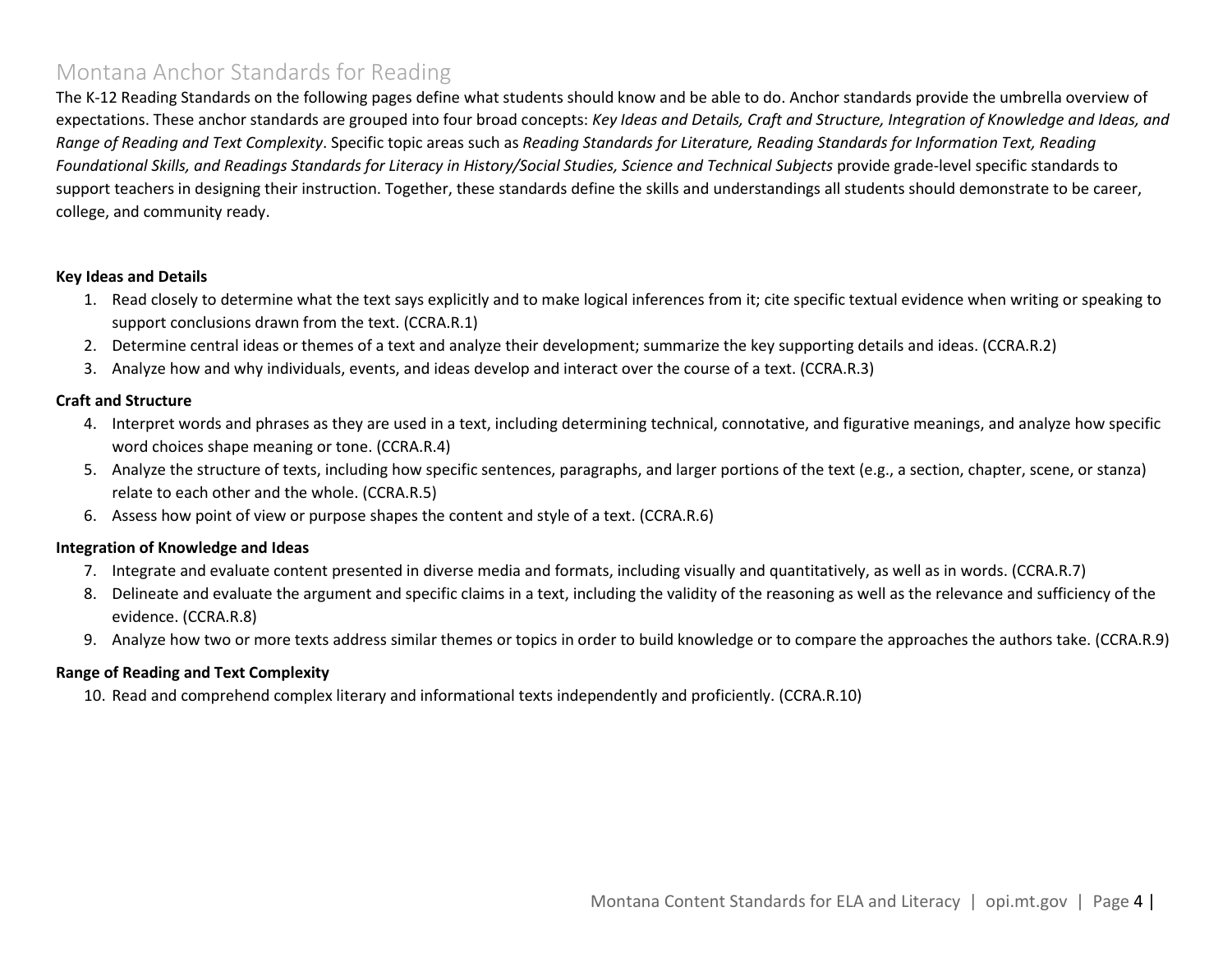### <span id="page-3-0"></span>Montana Anchor Standards for Reading

The K-12 Reading Standards on the following pages define what students should know and be able to do. Anchor standards provide the umbrella overview of expectations. These anchor standards are grouped into four broad concepts: *Key Ideas and Details, Craft and Structure, Integration of Knowledge and Ideas, and Range of Reading and Text Complexity*. Specific topic areas such as *Reading Standards for Literature, Reading Standards for Information Text, Reading Foundational Skills, and Readings Standards for Literacy in History/Social Studies, Science and Technical Subjects* provide grade-level specific standards to support teachers in designing their instruction. Together, these standards define the skills and understandings all students should demonstrate to be career, college, and community ready.

#### **Key Ideas and Details**

- 1. Read closely to determine what the text says explicitly and to make logical inferences from it; cite specific textual evidence when writing or speaking to support conclusions drawn from the text. (CCRA.R.1)
- 2. Determine central ideas or themes of a text and analyze their development; summarize the key supporting details and ideas. (CCRA.R.2)
- 3. Analyze how and why individuals, events, and ideas develop and interact over the course of a text. (CCRA.R.3)

#### **Craft and Structure**

- 4. Interpret words and phrases as they are used in a text, including determining technical, connotative, and figurative meanings, and analyze how specific word choices shape meaning or tone. (CCRA.R.4)
- 5. Analyze the structure of texts, including how specific sentences, paragraphs, and larger portions of the text (e.g., a section, chapter, scene, or stanza) relate to each other and the whole. (CCRA.R.5)
- 6. Assess how point of view or purpose shapes the content and style of a text. (CCRA.R.6)

#### **Integration of Knowledge and Ideas**

- 7. Integrate and evaluate content presented in diverse media and formats, including visually and quantitatively, as well as in words. (CCRA.R.7)
- 8. Delineate and evaluate the argument and specific claims in a text, including the validity of the reasoning as well as the relevance and sufficiency of the evidence. (CCRA.R.8)
- 9. Analyze how two or more texts address similar themes or topics in order to build knowledge or to compare the approaches the authors take. (CCRA.R.9)

#### **Range of Reading and Text Complexity**

10. Read and comprehend complex literary and informational texts independently and proficiently. (CCRA.R.10)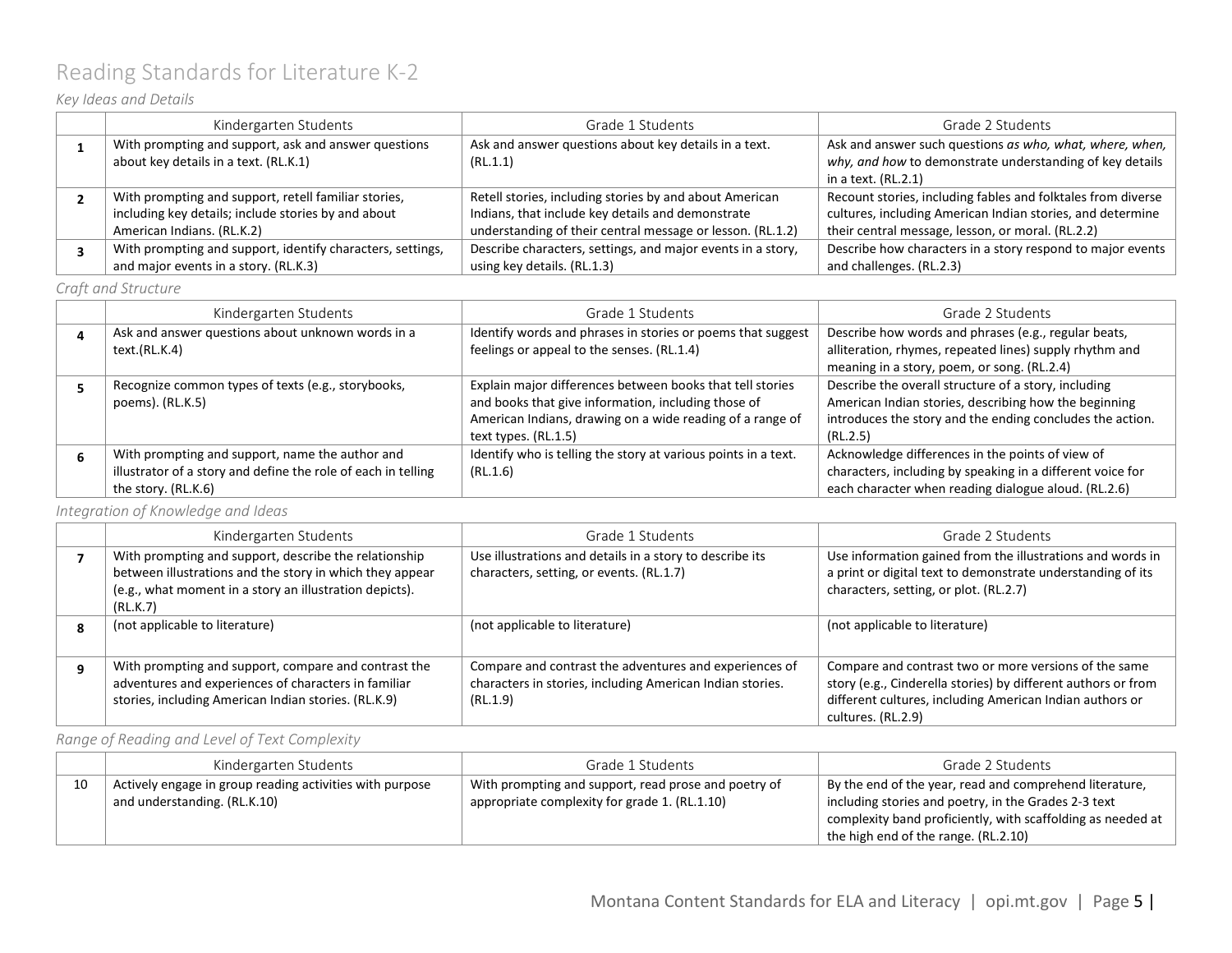# <span id="page-4-0"></span>Reading Standards for Literature K-2

### *Key Ideas and Details*

| Kindergarten Students                                      | Grade 1 Students                                            | Grade 2 Students                                             |
|------------------------------------------------------------|-------------------------------------------------------------|--------------------------------------------------------------|
| With prompting and support, ask and answer questions       | Ask and answer questions about key details in a text.       | Ask and answer such questions as who, what, where, when,     |
| about key details in a text. (RL.K.1)                      | (RL.1.1)                                                    | why, and how to demonstrate understanding of key details     |
|                                                            |                                                             | in a text. $(RL.2.1)$                                        |
| With prompting and support, retell familiar stories,       | Retell stories, including stories by and about American     | Recount stories, including fables and folktales from diverse |
| including key details; include stories by and about        | Indians, that include key details and demonstrate           | cultures, including American Indian stories, and determine   |
| American Indians. (RL.K.2)                                 | understanding of their central message or lesson. (RL.1.2)  | their central message, lesson, or moral. (RL.2.2)            |
| With prompting and support, identify characters, settings, | Describe characters, settings, and major events in a story, | Describe how characters in a story respond to major events   |
| and major events in a story. (RL.K.3)                      | using key details. (RL.1.3)                                 | and challenges. (RL.2.3)                                     |

*Craft and Structure*

|   | Kindergarten Students                                         | Grade 1 Students                                               | Grade 2 Students                                           |
|---|---------------------------------------------------------------|----------------------------------------------------------------|------------------------------------------------------------|
|   | Ask and answer questions about unknown words in a             | Identify words and phrases in stories or poems that suggest    | Describe how words and phrases (e.g., regular beats,       |
|   | text.(RL.K.4)                                                 | feelings or appeal to the senses. (RL.1.4)                     | alliteration, rhymes, repeated lines) supply rhythm and    |
|   |                                                               |                                                                | meaning in a story, poem, or song. (RL.2.4)                |
|   | Recognize common types of texts (e.g., storybooks,            | Explain major differences between books that tell stories      | Describe the overall structure of a story, including       |
|   | poems). (RL.K.5)                                              | and books that give information, including those of            | American Indian stories, describing how the beginning      |
|   |                                                               | American Indians, drawing on a wide reading of a range of      | introduces the story and the ending concludes the action.  |
|   |                                                               | text types. (RL.1.5)                                           | (RL.2.5)                                                   |
| 6 | With prompting and support, name the author and               | Identify who is telling the story at various points in a text. | Acknowledge differences in the points of view of           |
|   | illustrator of a story and define the role of each in telling | (RL.1.6)                                                       | characters, including by speaking in a different voice for |
|   | the story. (RL.K.6)                                           |                                                                | each character when reading dialogue aloud. (RL.2.6)       |

*Integration of Knowledge and Ideas*

| Kindergarten Students                                                                                                                                                        | Grade 1 Students                                                                                                                | Grade 2 Students                                                                                                                                                                                         |
|------------------------------------------------------------------------------------------------------------------------------------------------------------------------------|---------------------------------------------------------------------------------------------------------------------------------|----------------------------------------------------------------------------------------------------------------------------------------------------------------------------------------------------------|
| With prompting and support, describe the relationship<br>between illustrations and the story in which they appear<br>(e.g., what moment in a story an illustration depicts). | Use illustrations and details in a story to describe its<br>characters, setting, or events. (RL.1.7)                            | Use information gained from the illustrations and words in<br>a print or digital text to demonstrate understanding of its<br>characters, setting, or plot. (RL.2.7)                                      |
| (RL.K.7)                                                                                                                                                                     |                                                                                                                                 |                                                                                                                                                                                                          |
| (not applicable to literature)                                                                                                                                               | (not applicable to literature)                                                                                                  | (not applicable to literature)                                                                                                                                                                           |
| With prompting and support, compare and contrast the<br>adventures and experiences of characters in familiar<br>stories, including American Indian stories. (RL.K.9)         | Compare and contrast the adventures and experiences of<br>characters in stories, including American Indian stories.<br>(RL.1.9) | Compare and contrast two or more versions of the same<br>story (e.g., Cinderella stories) by different authors or from<br>different cultures, including American Indian authors or<br>cultures. (RL.2.9) |

### *Range of Reading and Level of Text Complexity*

|    | Kindergarten Students                                    | Grade 1 Students                                     | Grade 2 Students                                            |
|----|----------------------------------------------------------|------------------------------------------------------|-------------------------------------------------------------|
| 10 | Actively engage in group reading activities with purpose | With prompting and support, read prose and poetry of | By the end of the year, read and comprehend literature,     |
|    | and understanding. (RL.K.10)                             | appropriate complexity for grade 1. (RL.1.10)        | including stories and poetry, in the Grades 2-3 text        |
|    |                                                          |                                                      | complexity band proficiently, with scaffolding as needed at |
|    |                                                          |                                                      | the high end of the range. (RL.2.10)                        |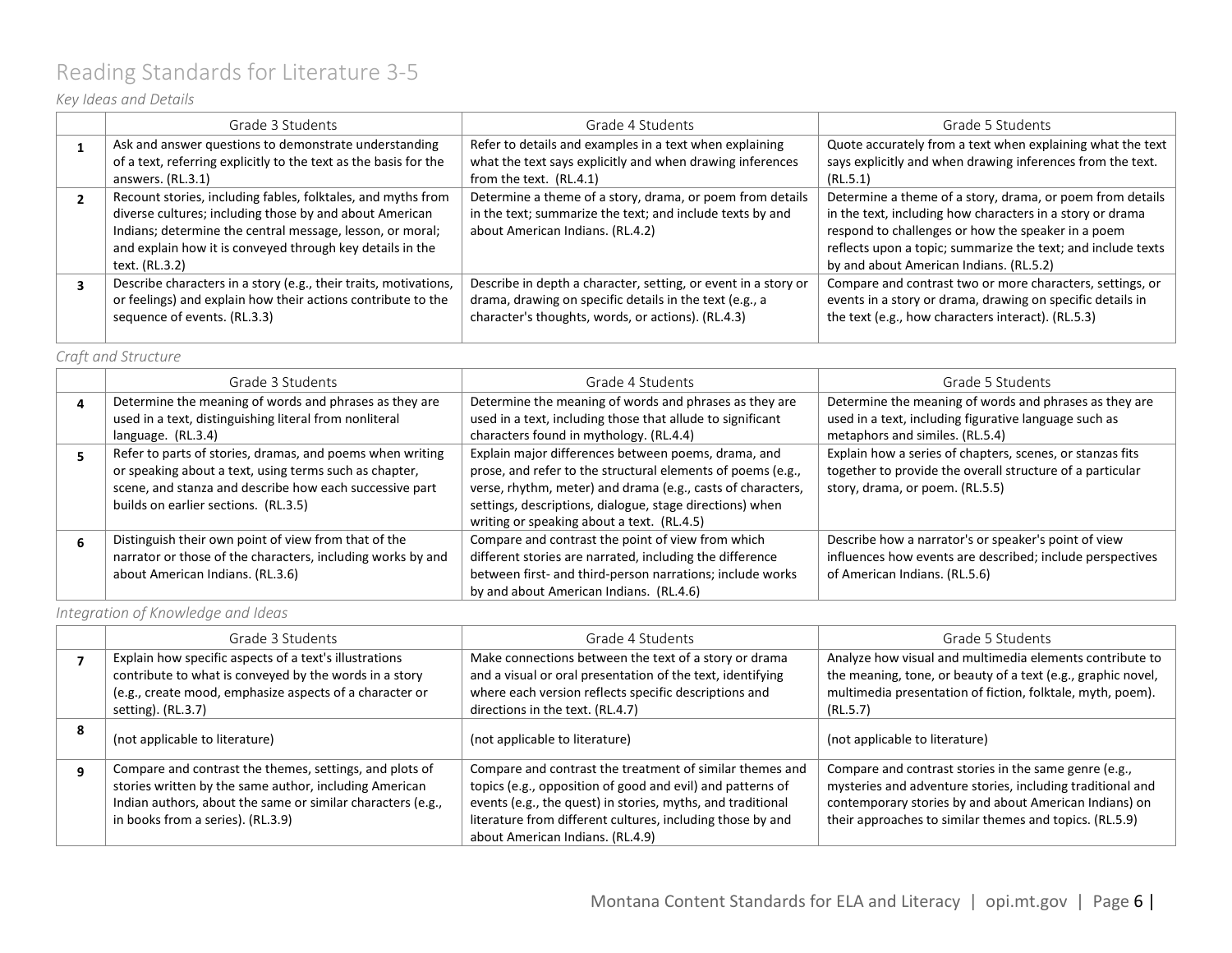# <span id="page-5-0"></span>Reading Standards for Literature 3-5

### *Key Ideas and Details*

|  | Grade 3 Students                                                 | Grade 4 Students                                               | Grade 5 Students                                             |
|--|------------------------------------------------------------------|----------------------------------------------------------------|--------------------------------------------------------------|
|  | Ask and answer questions to demonstrate understanding            | Refer to details and examples in a text when explaining        | Quote accurately from a text when explaining what the text   |
|  | of a text, referring explicitly to the text as the basis for the | what the text says explicitly and when drawing inferences      | says explicitly and when drawing inferences from the text.   |
|  | answers. (RL.3.1)                                                | from the text. (RL.4.1)                                        | (RL.5.1)                                                     |
|  | Recount stories, including fables, folktales, and myths from     | Determine a theme of a story, drama, or poem from details      | Determine a theme of a story, drama, or poem from details    |
|  | diverse cultures; including those by and about American          | in the text; summarize the text; and include texts by and      | in the text, including how characters in a story or drama    |
|  | Indians; determine the central message, lesson, or moral;        | about American Indians. (RL.4.2)                               | respond to challenges or how the speaker in a poem           |
|  | and explain how it is conveyed through key details in the        |                                                                | reflects upon a topic; summarize the text; and include texts |
|  | text. (RL.3.2)                                                   |                                                                | by and about American Indians. (RL.5.2)                      |
|  | Describe characters in a story (e.g., their traits, motivations, | Describe in depth a character, setting, or event in a story or | Compare and contrast two or more characters, settings, or    |
|  | or feelings) and explain how their actions contribute to the     | drama, drawing on specific details in the text (e.g., a        | events in a story or drama, drawing on specific details in   |
|  | sequence of events. (RL.3.3)                                     | character's thoughts, words, or actions). (RL.4.3)             | the text (e.g., how characters interact). (RL.5.3)           |
|  |                                                                  |                                                                |                                                              |

#### *Craft and Structure*

| Grade 3 Students                                            | Grade 4 Students                                            | Grade 5 Students                                          |
|-------------------------------------------------------------|-------------------------------------------------------------|-----------------------------------------------------------|
| Determine the meaning of words and phrases as they are      | Determine the meaning of words and phrases as they are      | Determine the meaning of words and phrases as they are    |
| used in a text, distinguishing literal from nonliteral      | used in a text, including those that allude to significant  | used in a text, including figurative language such as     |
| language. (RL.3.4)                                          | characters found in mythology. (RL.4.4)                     | metaphors and similes. (RL.5.4)                           |
| Refer to parts of stories, dramas, and poems when writing   | Explain major differences between poems, drama, and         | Explain how a series of chapters, scenes, or stanzas fits |
| or speaking about a text, using terms such as chapter,      | prose, and refer to the structural elements of poems (e.g., | together to provide the overall structure of a particular |
| scene, and stanza and describe how each successive part     | verse, rhythm, meter) and drama (e.g., casts of characters, | story, drama, or poem. (RL.5.5)                           |
| builds on earlier sections. (RL.3.5)                        | settings, descriptions, dialogue, stage directions) when    |                                                           |
|                                                             | writing or speaking about a text. (RL.4.5)                  |                                                           |
| Distinguish their own point of view from that of the        | Compare and contrast the point of view from which           | Describe how a narrator's or speaker's point of view      |
| narrator or those of the characters, including works by and | different stories are narrated, including the difference    | influences how events are described; include perspectives |
| about American Indians. (RL.3.6)                            | between first- and third-person narrations; include works   | of American Indians. (RL.5.6)                             |
|                                                             | by and about American Indians. (RL.4.6)                     |                                                           |

*Integration of Knowledge and Ideas*

|   | Grade 3 Students                                                                                                                                                                                                      | Grade 4 Students                                                                                                                                                                                                                                                                        | Grade 5 Students                                                                                                                                                                                                                         |
|---|-----------------------------------------------------------------------------------------------------------------------------------------------------------------------------------------------------------------------|-----------------------------------------------------------------------------------------------------------------------------------------------------------------------------------------------------------------------------------------------------------------------------------------|------------------------------------------------------------------------------------------------------------------------------------------------------------------------------------------------------------------------------------------|
|   | Explain how specific aspects of a text's illustrations<br>contribute to what is conveyed by the words in a story<br>(e.g., create mood, emphasize aspects of a character or<br>setting). (RL.3.7)                     | Make connections between the text of a story or drama<br>and a visual or oral presentation of the text, identifying<br>where each version reflects specific descriptions and<br>directions in the text. (RL.4.7)                                                                        | Analyze how visual and multimedia elements contribute to<br>the meaning, tone, or beauty of a text (e.g., graphic novel,<br>multimedia presentation of fiction, folktale, myth, poem).<br>(RL.5.7)                                       |
| 8 | (not applicable to literature)                                                                                                                                                                                        | (not applicable to literature)                                                                                                                                                                                                                                                          | (not applicable to literature)                                                                                                                                                                                                           |
|   | Compare and contrast the themes, settings, and plots of<br>stories written by the same author, including American<br>Indian authors, about the same or similar characters (e.g.,<br>in books from a series). (RL.3.9) | Compare and contrast the treatment of similar themes and<br>topics (e.g., opposition of good and evil) and patterns of<br>events (e.g., the quest) in stories, myths, and traditional<br>literature from different cultures, including those by and<br>about American Indians. (RL.4.9) | Compare and contrast stories in the same genre (e.g.,<br>mysteries and adventure stories, including traditional and<br>contemporary stories by and about American Indians) on<br>their approaches to similar themes and topics. (RL.5.9) |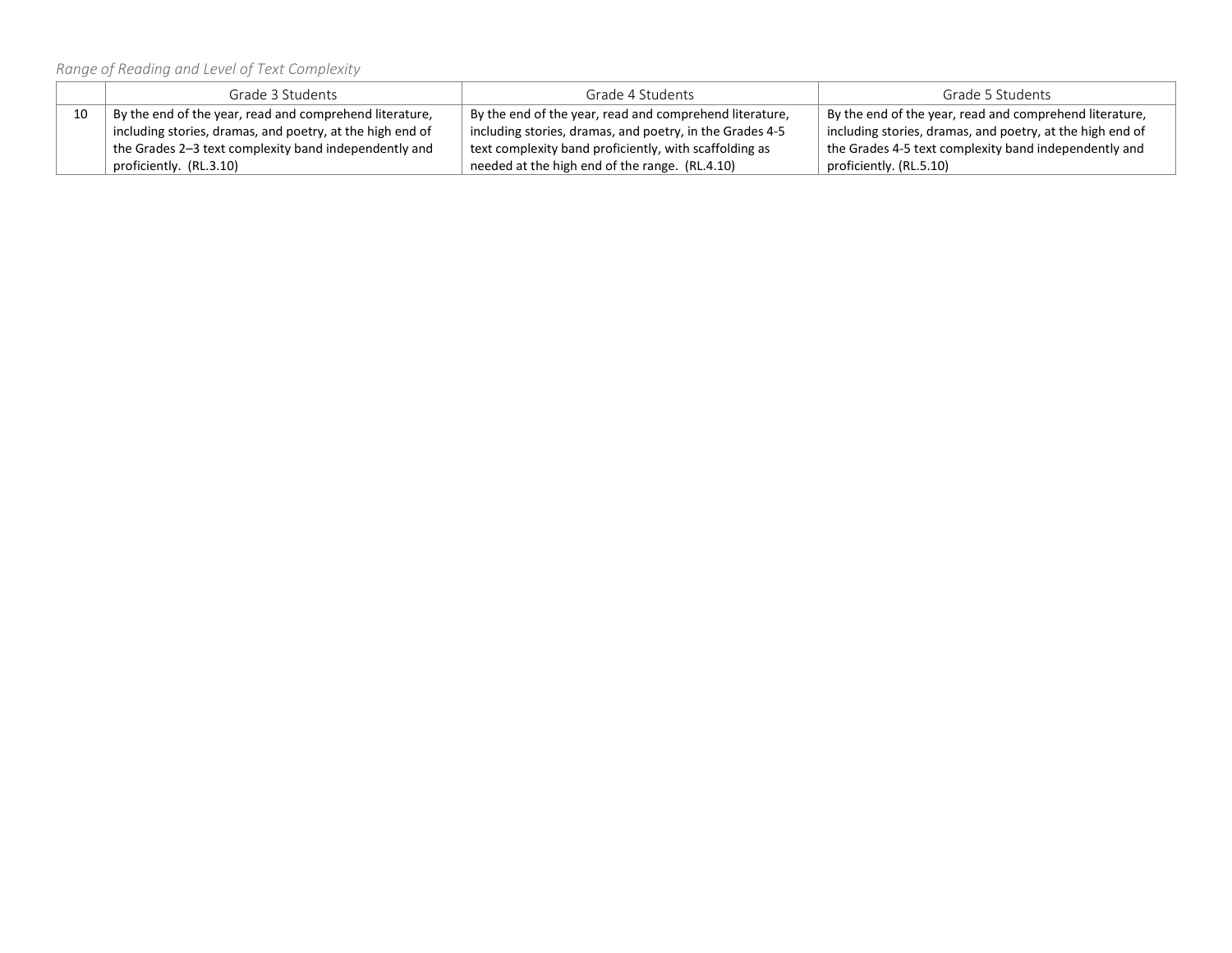*Range of Reading and Level of Text Complexity*

|    | Grade 3 Students                                                     | Grade 4 Students                                         | Grade 5 Students                                          |
|----|----------------------------------------------------------------------|----------------------------------------------------------|-----------------------------------------------------------|
| 10 | $^{\dagger}$ By the end of the year, read and comprehend literature, | By the end of the year, read and comprehend literature,  | By the end of the year, read and comprehend literature,   |
|    | including stories, dramas, and poetry, at the high end of            | including stories, dramas, and poetry, in the Grades 4-5 | including stories, dramas, and poetry, at the high end of |
|    | the Grades 2-3 text complexity band independently and                | text complexity band proficiently, with scaffolding as   | the Grades 4-5 text complexity band independently and     |
|    | proficiently. (RL.3.10)                                              | needed at the high end of the range. (RL.4.10)           | proficiently. (RL.5.10)                                   |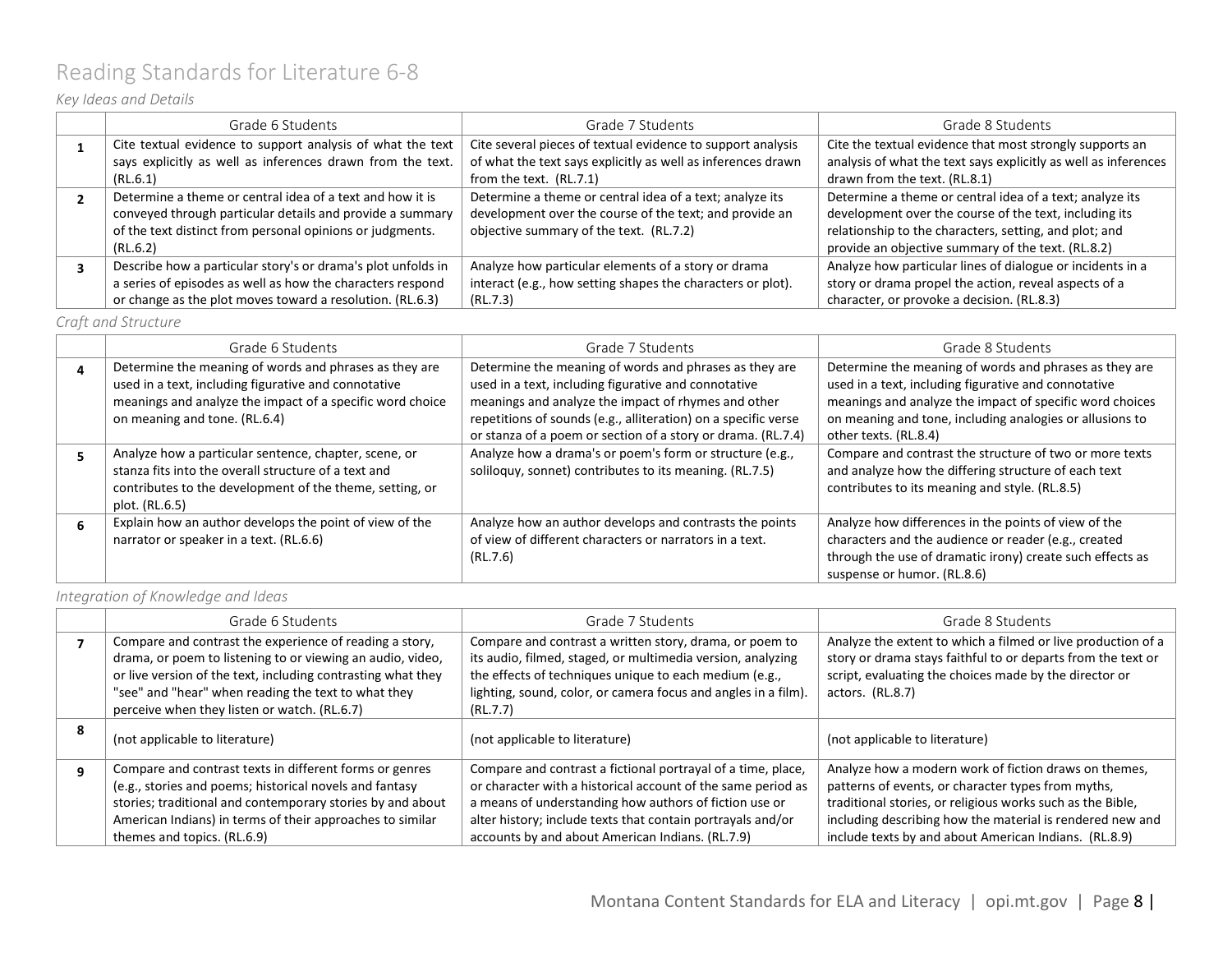## <span id="page-7-0"></span>Reading Standards for Literature 6-8

### *Key Ideas and Details*

| Grade 6 Students                                             | Grade 7 Students                                             | Grade 8 Students                                                |
|--------------------------------------------------------------|--------------------------------------------------------------|-----------------------------------------------------------------|
| Cite textual evidence to support analysis of what the text   | Cite several pieces of textual evidence to support analysis  | Cite the textual evidence that most strongly supports an        |
| says explicitly as well as inferences drawn from the text.   | of what the text says explicitly as well as inferences drawn | analysis of what the text says explicitly as well as inferences |
| (RL.6.1)                                                     | from the text. (RL.7.1)                                      | drawn from the text. (RL.8.1)                                   |
| Determine a theme or central idea of a text and how it is    | Determine a theme or central idea of a text; analyze its     | Determine a theme or central idea of a text; analyze its        |
| conveyed through particular details and provide a summary    | development over the course of the text; and provide an      | development over the course of the text, including its          |
| of the text distinct from personal opinions or judgments.    | objective summary of the text. (RL.7.2)                      | relationship to the characters, setting, and plot; and          |
| (RL.6.2)                                                     |                                                              | provide an objective summary of the text. (RL.8.2)              |
| Describe how a particular story's or drama's plot unfolds in | Analyze how particular elements of a story or drama          | Analyze how particular lines of dialogue or incidents in a      |
| a series of episodes as well as how the characters respond   | interact (e.g., how setting shapes the characters or plot).  | story or drama propel the action, reveal aspects of a           |
| or change as the plot moves toward a resolution. (RL.6.3)    | (RL.7.3)                                                     | character, or provoke a decision. (RL.8.3)                      |

### *Craft and Structure*

| Grade 6 Students                                                                                                                                                                                             | Grade 7 Students                                                                                                                                                                                                                                                                                        | Grade 8 Students                                                                                                                                                                                                                                                |
|--------------------------------------------------------------------------------------------------------------------------------------------------------------------------------------------------------------|---------------------------------------------------------------------------------------------------------------------------------------------------------------------------------------------------------------------------------------------------------------------------------------------------------|-----------------------------------------------------------------------------------------------------------------------------------------------------------------------------------------------------------------------------------------------------------------|
| Determine the meaning of words and phrases as they are<br>used in a text, including figurative and connotative<br>meanings and analyze the impact of a specific word choice<br>on meaning and tone. (RL.6.4) | Determine the meaning of words and phrases as they are<br>used in a text, including figurative and connotative<br>meanings and analyze the impact of rhymes and other<br>repetitions of sounds (e.g., alliteration) on a specific verse<br>or stanza of a poem or section of a story or drama. (RL.7.4) | Determine the meaning of words and phrases as they are<br>used in a text, including figurative and connotative<br>meanings and analyze the impact of specific word choices<br>on meaning and tone, including analogies or allusions to<br>other texts. (RL.8.4) |
| Analyze how a particular sentence, chapter, scene, or<br>stanza fits into the overall structure of a text and<br>contributes to the development of the theme, setting, or<br>plot. (RL.6.5)                  | Analyze how a drama's or poem's form or structure (e.g.,<br>soliloquy, sonnet) contributes to its meaning. (RL.7.5)                                                                                                                                                                                     | Compare and contrast the structure of two or more texts<br>and analyze how the differing structure of each text<br>contributes to its meaning and style. (RL.8.5)                                                                                               |
| Explain how an author develops the point of view of the<br>narrator or speaker in a text. (RL.6.6)                                                                                                           | Analyze how an author develops and contrasts the points<br>of view of different characters or narrators in a text.<br>(RL.7.6)                                                                                                                                                                          | Analyze how differences in the points of view of the<br>characters and the audience or reader (e.g., created<br>through the use of dramatic irony) create such effects as<br>suspense or humor. (RL.8.6)                                                        |

### *Integration of Knowledge and Ideas*

|   | Grade 6 Students                                                                                                                                                                                                                                                                             | Grade 7 Students                                                                                                                                                                                                                                               | Grade 8 Students                                                                                                                                                                                           |
|---|----------------------------------------------------------------------------------------------------------------------------------------------------------------------------------------------------------------------------------------------------------------------------------------------|----------------------------------------------------------------------------------------------------------------------------------------------------------------------------------------------------------------------------------------------------------------|------------------------------------------------------------------------------------------------------------------------------------------------------------------------------------------------------------|
|   | Compare and contrast the experience of reading a story,<br>drama, or poem to listening to or viewing an audio, video,<br>or live version of the text, including contrasting what they<br>"see" and "hear" when reading the text to what they<br>perceive when they listen or watch. (RL.6.7) | Compare and contrast a written story, drama, or poem to<br>its audio, filmed, staged, or multimedia version, analyzing<br>the effects of techniques unique to each medium (e.g.,<br>lighting, sound, color, or camera focus and angles in a film).<br>(RL.7.7) | Analyze the extent to which a filmed or live production of a<br>story or drama stays faithful to or departs from the text or<br>script, evaluating the choices made by the director or<br>actors. (RL.8.7) |
| 8 | (not applicable to literature)                                                                                                                                                                                                                                                               | (not applicable to literature)                                                                                                                                                                                                                                 | (not applicable to literature)                                                                                                                                                                             |
| q | Compare and contrast texts in different forms or genres<br>(e.g., stories and poems; historical novels and fantasy<br>stories; traditional and contemporary stories by and about                                                                                                             | Compare and contrast a fictional portrayal of a time, place,<br>or character with a historical account of the same period as<br>a means of understanding how authors of fiction use or                                                                         | Analyze how a modern work of fiction draws on themes,<br>patterns of events, or character types from myths,<br>traditional stories, or religious works such as the Bible,                                  |
|   | American Indians) in terms of their approaches to similar<br>themes and topics. (RL.6.9)                                                                                                                                                                                                     | alter history; include texts that contain portrayals and/or<br>accounts by and about American Indians. (RL.7.9)                                                                                                                                                | including describing how the material is rendered new and<br>include texts by and about American Indians. (RL.8.9)                                                                                         |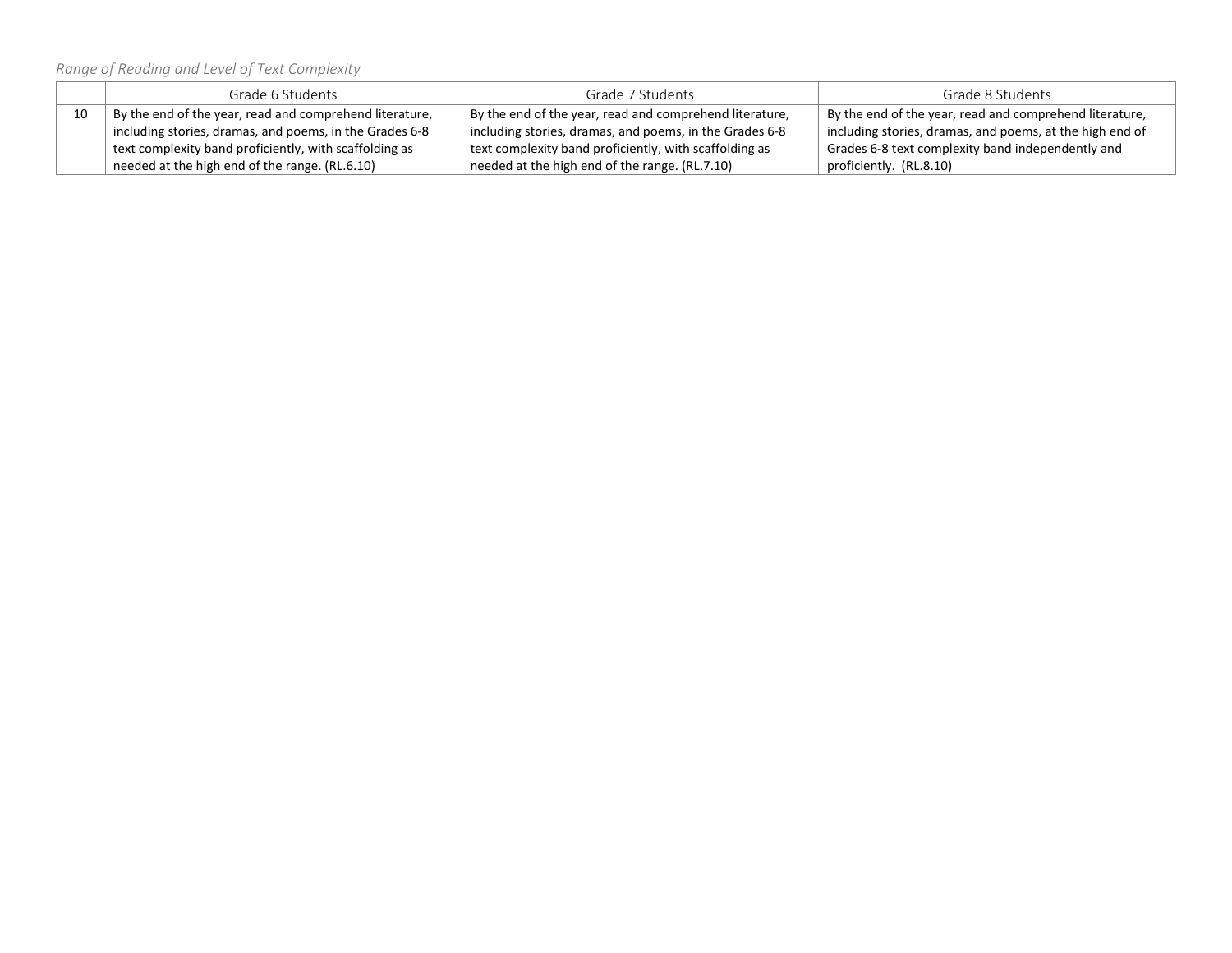*Range of Reading and Level of Text Complexity*

|    | Grade 6 Students                                        | Grade 7 Students                                        | Grade 8 Students                                         |
|----|---------------------------------------------------------|---------------------------------------------------------|----------------------------------------------------------|
| 10 | By the end of the year, read and comprehend literature, | By the end of the year, read and comprehend literature, | By the end of the year, read and comprehend literature,  |
|    | including stories, dramas, and poems, in the Grades 6-8 | including stories, dramas, and poems, in the Grades 6-8 | including stories, dramas, and poems, at the high end of |
|    | text complexity band proficiently, with scaffolding as  | text complexity band proficiently, with scaffolding as  | Grades 6-8 text complexity band independently and        |
|    | needed at the high end of the range. (RL.6.10)          | needed at the high end of the range. (RL.7.10)          | proficiently. (RL.8.10)                                  |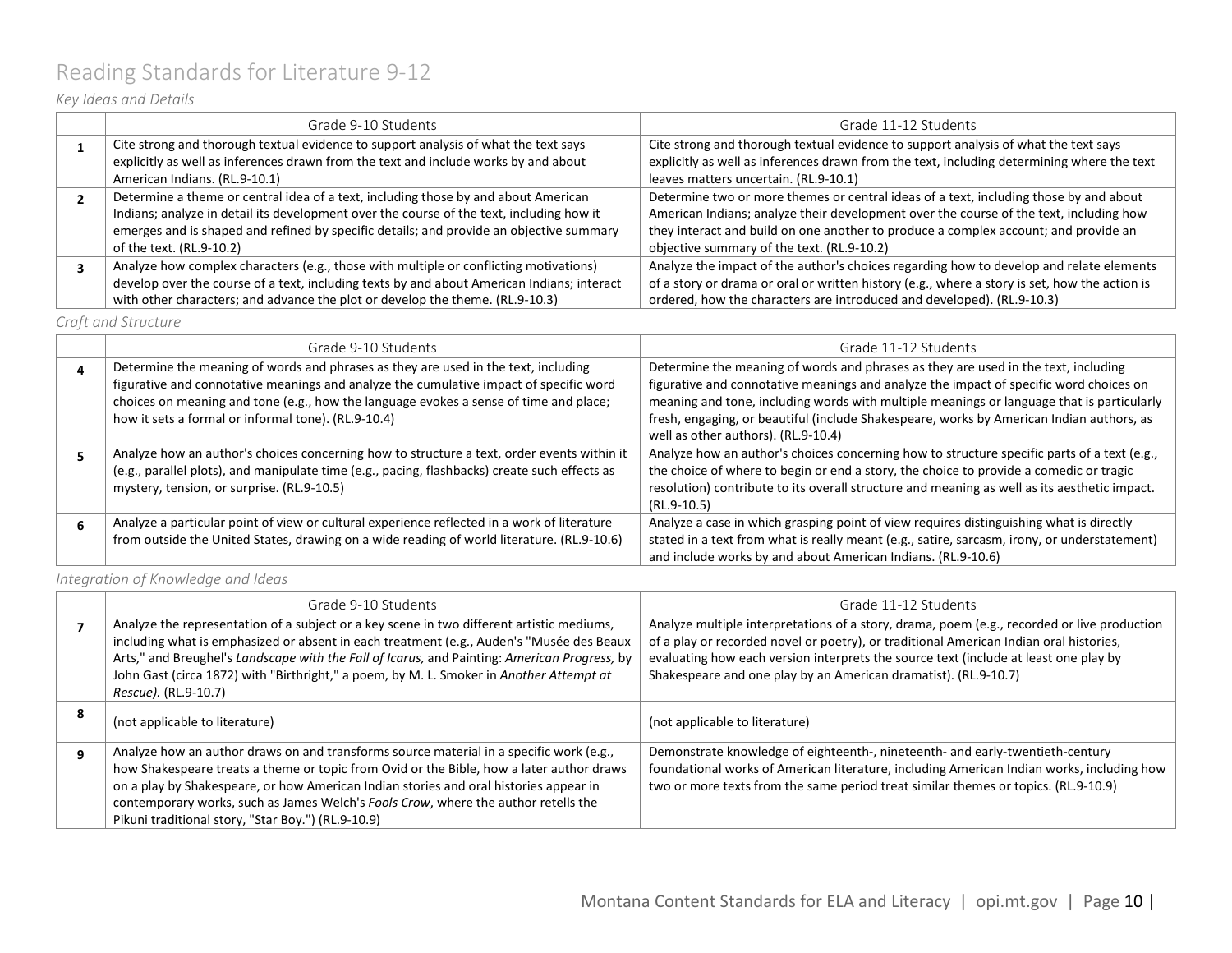## <span id="page-9-0"></span>Reading Standards for Literature 9-12

### *Key Ideas and Details*

| Grade 9-10 Students                                                                        | Grade 11-12 Students                                                                          |
|--------------------------------------------------------------------------------------------|-----------------------------------------------------------------------------------------------|
| Cite strong and thorough textual evidence to support analysis of what the text says        | Cite strong and thorough textual evidence to support analysis of what the text says           |
| explicitly as well as inferences drawn from the text and include works by and about        | explicitly as well as inferences drawn from the text, including determining where the text    |
| American Indians. (RL.9-10.1)                                                              | leaves matters uncertain. (RL.9-10.1)                                                         |
| Determine a theme or central idea of a text, including those by and about American         | Determine two or more themes or central ideas of a text, including those by and about         |
| Indians; analyze in detail its development over the course of the text, including how it   | American Indians; analyze their development over the course of the text, including how        |
| emerges and is shaped and refined by specific details; and provide an objective summary    | they interact and build on one another to produce a complex account; and provide an           |
| of the text. (RL.9-10.2)                                                                   | objective summary of the text. (RL.9-10.2)                                                    |
| Analyze how complex characters (e.g., those with multiple or conflicting motivations)      | Analyze the impact of the author's choices regarding how to develop and relate elements       |
| develop over the course of a text, including texts by and about American Indians; interact | of a story or drama or oral or written history (e.g., where a story is set, how the action is |
| with other characters; and advance the plot or develop the theme. (RL.9-10.3)              | ordered, how the characters are introduced and developed). (RL.9-10.3)                        |

*Craft and Structure*

| Grade 9-10 Students                                                                                                                                                                                                                                                                                                          | Grade 11-12 Students                                                                                                                                                                                                                                                                                                                                                                                         |
|------------------------------------------------------------------------------------------------------------------------------------------------------------------------------------------------------------------------------------------------------------------------------------------------------------------------------|--------------------------------------------------------------------------------------------------------------------------------------------------------------------------------------------------------------------------------------------------------------------------------------------------------------------------------------------------------------------------------------------------------------|
| Determine the meaning of words and phrases as they are used in the text, including<br>figurative and connotative meanings and analyze the cumulative impact of specific word<br>choices on meaning and tone (e.g., how the language evokes a sense of time and place;<br>how it sets a formal or informal tone). (RL.9-10.4) | Determine the meaning of words and phrases as they are used in the text, including<br>figurative and connotative meanings and analyze the impact of specific word choices on<br>meaning and tone, including words with multiple meanings or language that is particularly<br>fresh, engaging, or beautiful (include Shakespeare, works by American Indian authors, as<br>well as other authors). (RL.9-10.4) |
| Analyze how an author's choices concerning how to structure a text, order events within it<br>(e.g., parallel plots), and manipulate time (e.g., pacing, flashbacks) create such effects as<br>mystery, tension, or surprise. (RL.9-10.5)                                                                                    | Analyze how an author's choices concerning how to structure specific parts of a text (e.g.,<br>the choice of where to begin or end a story, the choice to provide a comedic or tragic<br>resolution) contribute to its overall structure and meaning as well as its aesthetic impact.<br>(RL.9-10.5)                                                                                                         |
| Analyze a particular point of view or cultural experience reflected in a work of literature<br>from outside the United States, drawing on a wide reading of world literature. (RL.9-10.6)                                                                                                                                    | Analyze a case in which grasping point of view requires distinguishing what is directly<br>stated in a text from what is really meant (e.g., satire, sarcasm, irony, or understatement)<br>and include works by and about American Indians. (RL.9-10.6)                                                                                                                                                      |

*Integration of Knowledge and Ideas*

|   | Grade 9-10 Students                                                                                                                                                                                                                                                                                                                                                                                                      | Grade 11-12 Students                                                                                                                                                                                                                                                                                                                             |
|---|--------------------------------------------------------------------------------------------------------------------------------------------------------------------------------------------------------------------------------------------------------------------------------------------------------------------------------------------------------------------------------------------------------------------------|--------------------------------------------------------------------------------------------------------------------------------------------------------------------------------------------------------------------------------------------------------------------------------------------------------------------------------------------------|
|   | Analyze the representation of a subject or a key scene in two different artistic mediums,<br>including what is emphasized or absent in each treatment (e.g., Auden's "Musée des Beaux<br>Arts," and Breughel's Landscape with the Fall of Icarus, and Painting: American Progress, by<br>John Gast (circa 1872) with "Birthright," a poem, by M. L. Smoker in Another Attempt at<br>Rescue). (RL.9-10.7)                 | Analyze multiple interpretations of a story, drama, poem (e.g., recorded or live production<br>of a play or recorded novel or poetry), or traditional American Indian oral histories,<br>evaluating how each version interprets the source text (include at least one play by<br>Shakespeare and one play by an American dramatist). (RL.9-10.7) |
| 8 | (not applicable to literature)                                                                                                                                                                                                                                                                                                                                                                                           | (not applicable to literature)                                                                                                                                                                                                                                                                                                                   |
| q | Analyze how an author draws on and transforms source material in a specific work (e.g.,<br>how Shakespeare treats a theme or topic from Ovid or the Bible, how a later author draws<br>on a play by Shakespeare, or how American Indian stories and oral histories appear in<br>contemporary works, such as James Welch's Fools Crow, where the author retells the<br>Pikuni traditional story, "Star Boy.") (RL.9-10.9) | Demonstrate knowledge of eighteenth-, nineteenth- and early-twentieth-century<br>foundational works of American literature, including American Indian works, including how<br>two or more texts from the same period treat similar themes or topics. (RL.9-10.9)                                                                                 |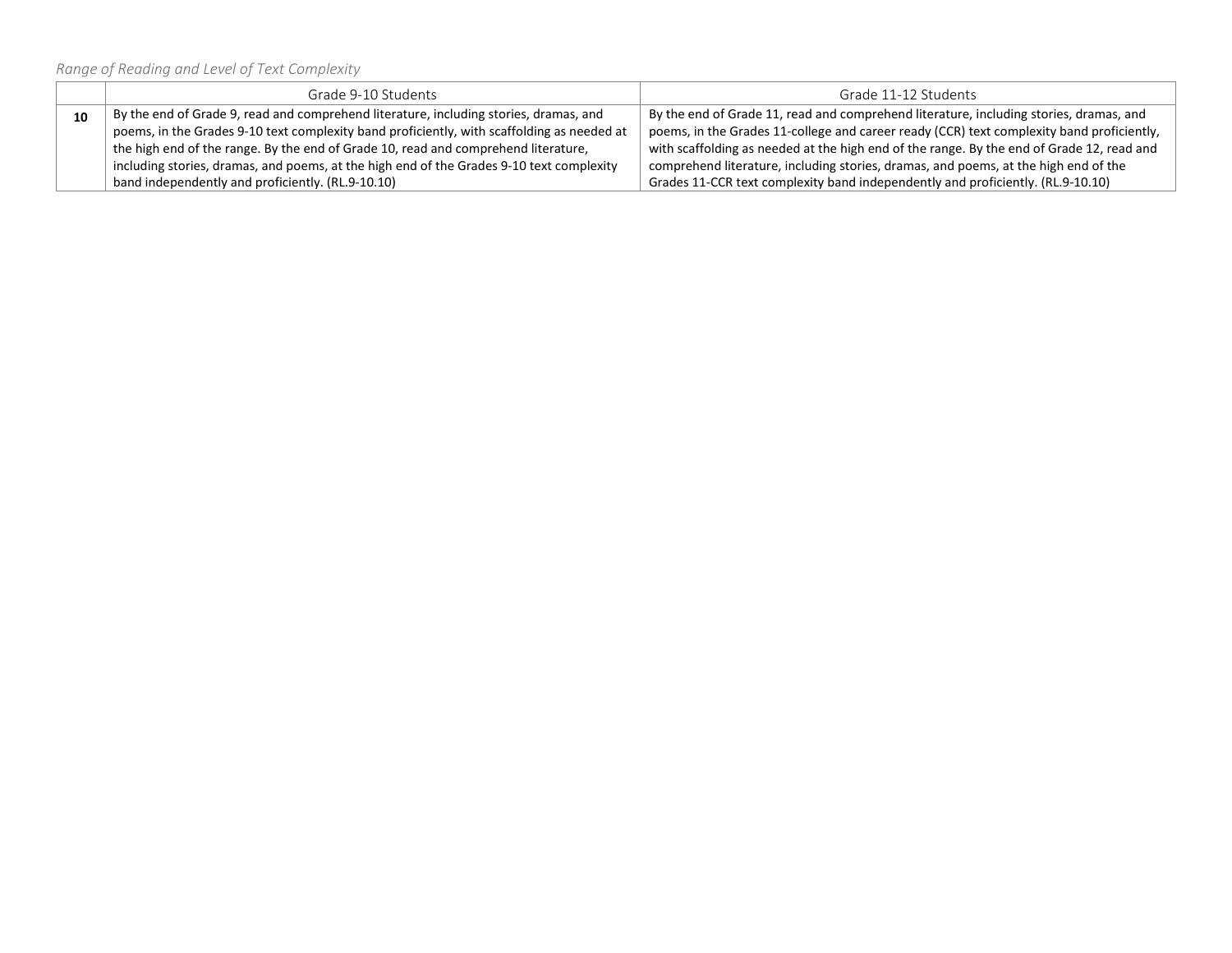*Range of Reading and Level of Text Complexity*

|    | Grade 9-10 Students                                                                        | Grade 11-12 Students                                                                      |
|----|--------------------------------------------------------------------------------------------|-------------------------------------------------------------------------------------------|
| 10 | By the end of Grade 9, read and comprehend literature, including stories, dramas, and      | By the end of Grade 11, read and comprehend literature, including stories, dramas, and    |
|    | poems, in the Grades 9-10 text complexity band proficiently, with scaffolding as needed at | poems, in the Grades 11-college and career ready (CCR) text complexity band proficiently, |
|    | the high end of the range. By the end of Grade 10, read and comprehend literature,         | with scaffolding as needed at the high end of the range. By the end of Grade 12, read and |
|    | including stories, dramas, and poems, at the high end of the Grades 9-10 text complexity   | comprehend literature, including stories, dramas, and poems, at the high end of the       |
|    | band independently and proficiently. (RL.9-10.10)                                          | Grades 11-CCR text complexity band independently and proficiently. (RL.9-10.10)           |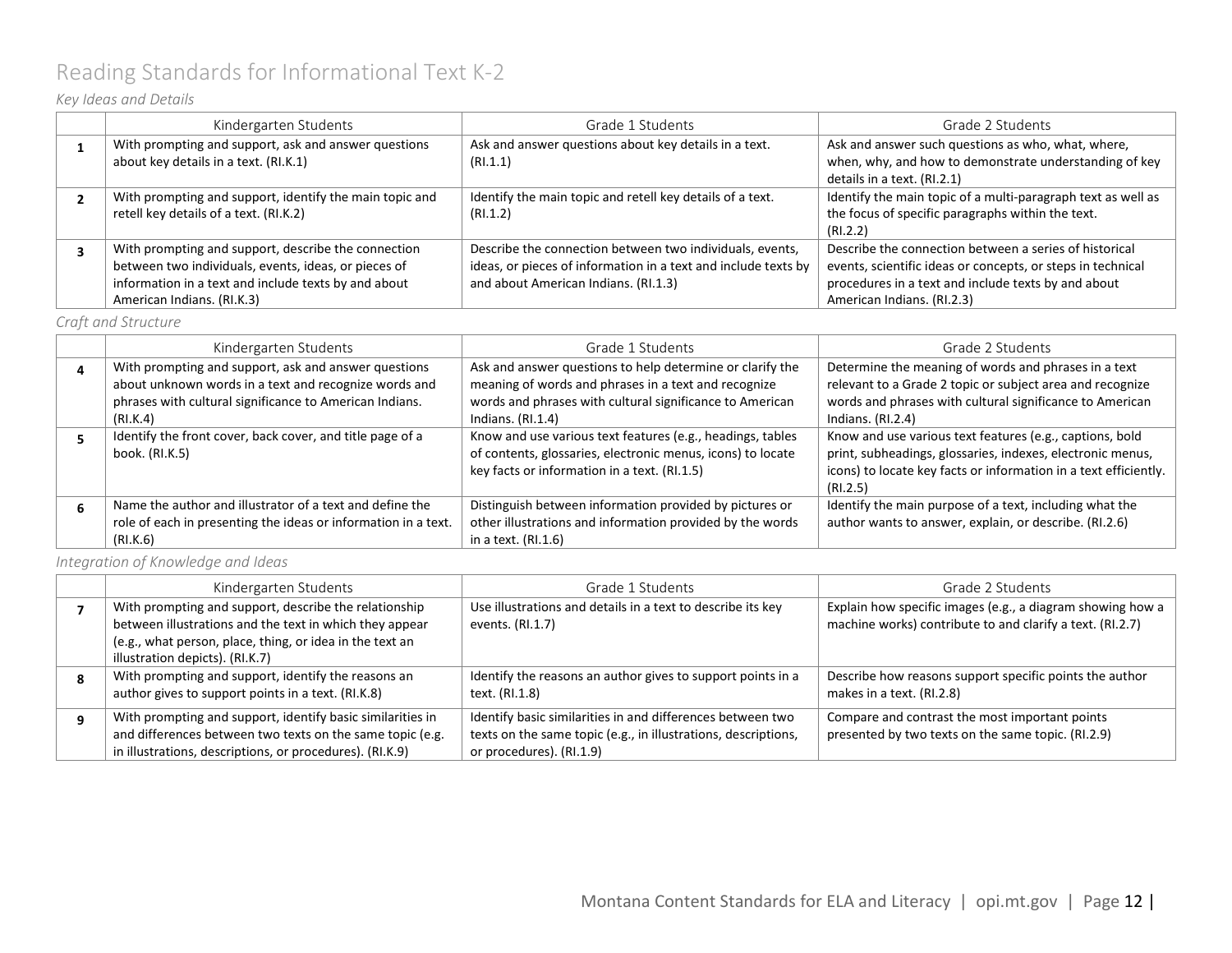# <span id="page-11-0"></span>Reading Standards for Informational Text K-2

### *Key Ideas and Details*

| Kindergarten Students                                                                                                                                                                             | Grade 1 Students                                                                                                                                                   | Grade 2 Students                                                                                                                                                                                           |
|---------------------------------------------------------------------------------------------------------------------------------------------------------------------------------------------------|--------------------------------------------------------------------------------------------------------------------------------------------------------------------|------------------------------------------------------------------------------------------------------------------------------------------------------------------------------------------------------------|
| With prompting and support, ask and answer questions<br>about key details in a text. (RI.K.1)                                                                                                     | Ask and answer questions about key details in a text.<br>(RI.1.1)                                                                                                  | Ask and answer such questions as who, what, where,<br>when, why, and how to demonstrate understanding of key<br>details in a text. (RI.2.1)                                                                |
| With prompting and support, identify the main topic and<br>retell key details of a text. (RI.K.2)                                                                                                 | Identify the main topic and retell key details of a text.<br>(RI.1.2)                                                                                              | Identify the main topic of a multi-paragraph text as well as<br>the focus of specific paragraphs within the text.<br>(RI.2.2)                                                                              |
| With prompting and support, describe the connection<br>between two individuals, events, ideas, or pieces of<br>information in a text and include texts by and about<br>American Indians. (RI.K.3) | Describe the connection between two individuals, events,<br>ideas, or pieces of information in a text and include texts by<br>and about American Indians. (RI.1.3) | Describe the connection between a series of historical<br>events, scientific ideas or concepts, or steps in technical<br>procedures in a text and include texts by and about<br>American Indians. (RI.2.3) |

### *Craft and Structure*

| Kindergarten Students                                          | Grade 1 Students                                            | Grade 2 Students                                                 |
|----------------------------------------------------------------|-------------------------------------------------------------|------------------------------------------------------------------|
| With prompting and support, ask and answer questions           | Ask and answer questions to help determine or clarify the   | Determine the meaning of words and phrases in a text             |
| about unknown words in a text and recognize words and          | meaning of words and phrases in a text and recognize        | relevant to a Grade 2 topic or subject area and recognize        |
| phrases with cultural significance to American Indians.        | words and phrases with cultural significance to American    | words and phrases with cultural significance to American         |
| (RI.K.4)                                                       | Indians. $(RI.1.4)$                                         | Indians. $(RI.2.4)$                                              |
| Identify the front cover, back cover, and title page of a      | Know and use various text features (e.g., headings, tables  | Know and use various text features (e.g., captions, bold         |
| book. (RI.K.5)                                                 | of contents, glossaries, electronic menus, icons) to locate | print, subheadings, glossaries, indexes, electronic menus,       |
|                                                                | key facts or information in a text. (RI.1.5)                | icons) to locate key facts or information in a text efficiently. |
|                                                                |                                                             | (RI.2.5)                                                         |
| Name the author and illustrator of a text and define the       | Distinguish between information provided by pictures or     | Identify the main purpose of a text, including what the          |
| role of each in presenting the ideas or information in a text. | other illustrations and information provided by the words   | author wants to answer, explain, or describe. (RI.2.6)           |
| (RI.K.6)                                                       | in a text. (RI.1.6)                                         |                                                                  |

*Integration of Knowledge and Ideas*

| Kindergarten Students                                                                                                                                                                                           | Grade 1 Students                                                                                                                                         | Grade 2 Students                                                                                                        |
|-----------------------------------------------------------------------------------------------------------------------------------------------------------------------------------------------------------------|----------------------------------------------------------------------------------------------------------------------------------------------------------|-------------------------------------------------------------------------------------------------------------------------|
| With prompting and support, describe the relationship<br>between illustrations and the text in which they appear<br>(e.g., what person, place, thing, or idea in the text an<br>illustration depicts). (RI.K.7) | Use illustrations and details in a text to describe its key<br>events. (RI.1.7)                                                                          | Explain how specific images (e.g., a diagram showing how a<br>machine works) contribute to and clarify a text. (RI.2.7) |
| With prompting and support, identify the reasons an<br>author gives to support points in a text. (RI.K.8)                                                                                                       | Identify the reasons an author gives to support points in a<br>text. (RI.1.8)                                                                            | Describe how reasons support specific points the author<br>makes in a text. (RI.2.8)                                    |
| With prompting and support, identify basic similarities in<br>and differences between two texts on the same topic (e.g.<br>in illustrations, descriptions, or procedures). (RI.K.9)                             | Identify basic similarities in and differences between two<br>texts on the same topic (e.g., in illustrations, descriptions,<br>or procedures). (RI.1.9) | Compare and contrast the most important points<br>presented by two texts on the same topic. (RI.2.9)                    |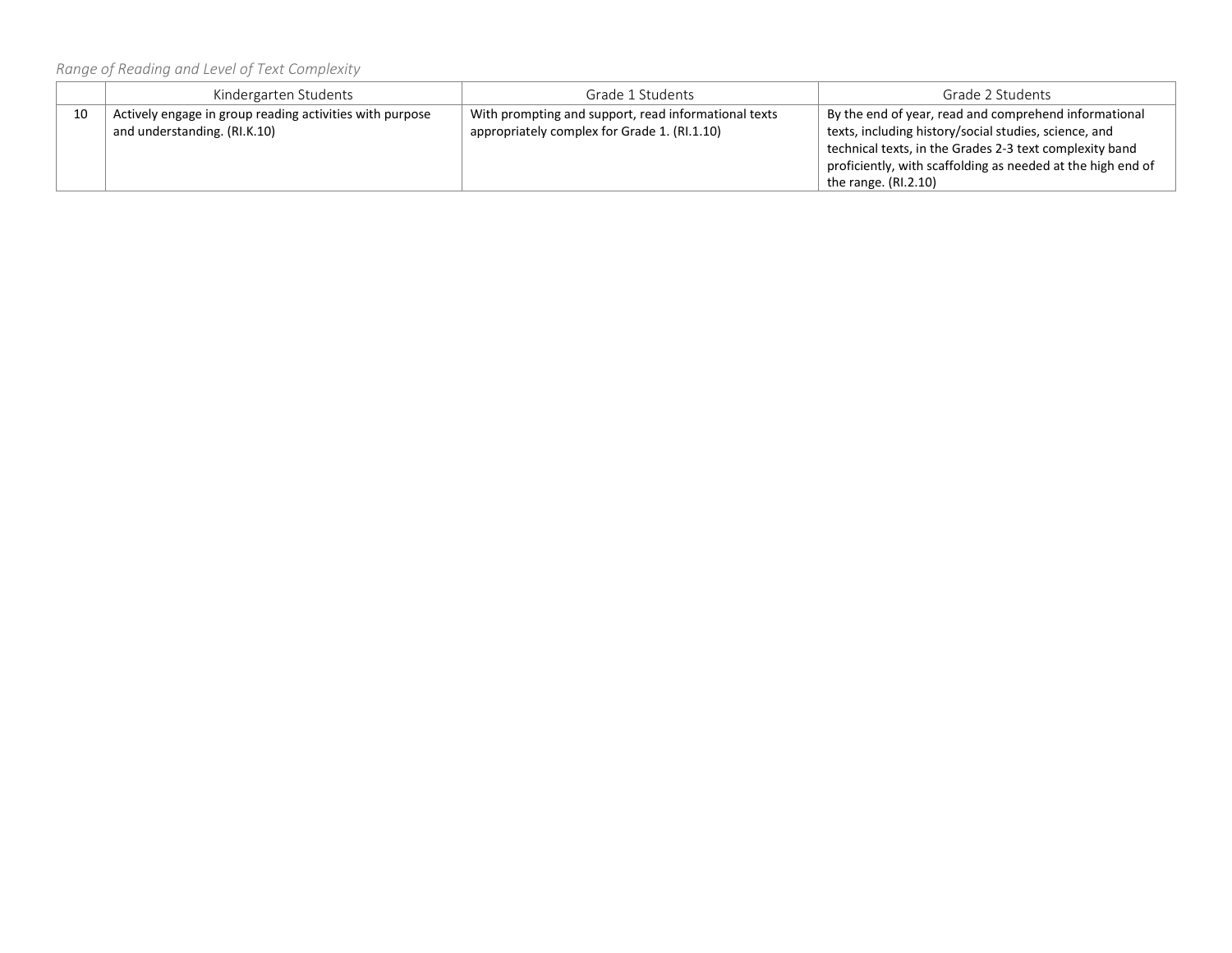*Range of Reading and Level of Text Complexity*

|    | Kindergarten Students                                                                    | Grade 1 Students                                                                                     | Grade 2 Students                                                                                                                                                                                                                                                   |
|----|------------------------------------------------------------------------------------------|------------------------------------------------------------------------------------------------------|--------------------------------------------------------------------------------------------------------------------------------------------------------------------------------------------------------------------------------------------------------------------|
| 10 | Actively engage in group reading activities with purpose<br>and understanding. (RI.K.10) | With prompting and support, read informational texts<br>appropriately complex for Grade 1. (RI.1.10) | By the end of year, read and comprehend informational<br>texts, including history/social studies, science, and<br>technical texts, in the Grades 2-3 text complexity band<br>proficiently, with scaffolding as needed at the high end of<br>the range. $(RI.2.10)$ |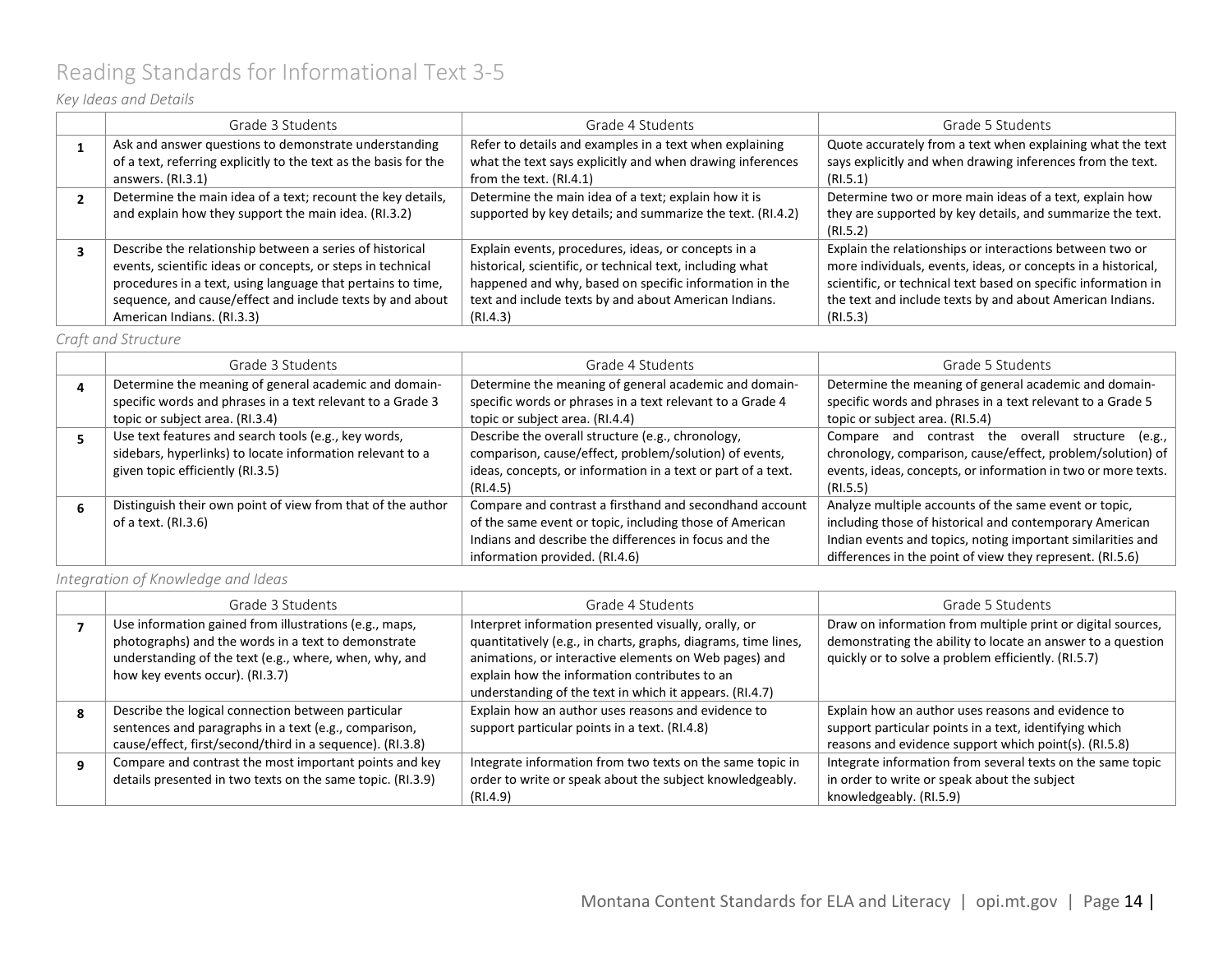# <span id="page-13-0"></span>Reading Standards for Informational Text 3-5

### *Key Ideas and Details*

| Grade 3 Students                                                                                                    | Grade 4 Students                                                                                                   | Grade 5 Students                                                                                                                  |
|---------------------------------------------------------------------------------------------------------------------|--------------------------------------------------------------------------------------------------------------------|-----------------------------------------------------------------------------------------------------------------------------------|
| Ask and answer questions to demonstrate understanding                                                               | Refer to details and examples in a text when explaining                                                            | Quote accurately from a text when explaining what the text                                                                        |
| of a text, referring explicitly to the text as the basis for the                                                    | what the text says explicitly and when drawing inferences                                                          | says explicitly and when drawing inferences from the text.                                                                        |
| answers. $(RI.3.1)$                                                                                                 | from the text. (RI.4.1)                                                                                            | (RI.5.1)                                                                                                                          |
| Determine the main idea of a text; recount the key details,<br>and explain how they support the main idea. (RI.3.2) | Determine the main idea of a text; explain how it is<br>supported by key details; and summarize the text. (RI.4.2) | Determine two or more main ideas of a text, explain how<br>they are supported by key details, and summarize the text.<br>(RI.5.2) |
| Describe the relationship between a series of historical                                                            | Explain events, procedures, ideas, or concepts in a                                                                | Explain the relationships or interactions between two or                                                                          |
| events, scientific ideas or concepts, or steps in technical                                                         | historical, scientific, or technical text, including what                                                          | more individuals, events, ideas, or concepts in a historical,                                                                     |
| procedures in a text, using language that pertains to time,                                                         | happened and why, based on specific information in the                                                             | scientific, or technical text based on specific information in                                                                    |
| sequence, and cause/effect and include texts by and about                                                           | text and include texts by and about American Indians.                                                              | the text and include texts by and about American Indians.                                                                         |
| American Indians. (RI.3.3)                                                                                          | (RI.4.3)                                                                                                           | (RI.5.3)                                                                                                                          |

#### *Craft and Structure*

| Grade 3 Students                                            | Grade 4 Students                                             | Grade 5 Students                                              |
|-------------------------------------------------------------|--------------------------------------------------------------|---------------------------------------------------------------|
| Determine the meaning of general academic and domain-       | Determine the meaning of general academic and domain-        | Determine the meaning of general academic and domain-         |
| specific words and phrases in a text relevant to a Grade 3  | specific words or phrases in a text relevant to a Grade 4    | specific words and phrases in a text relevant to a Grade 5    |
| topic or subject area. (RI.3.4)                             | topic or subject area. (RI.4.4)                              | topic or subject area. (RI.5.4)                               |
| Use text features and search tools (e.g., key words,        | Describe the overall structure (e.g., chronology,            | Compare and contrast the overall structure (e.g.,             |
| sidebars, hyperlinks) to locate information relevant to a   | comparison, cause/effect, problem/solution) of events,       | chronology, comparison, cause/effect, problem/solution) of    |
| given topic efficiently (RI.3.5)                            | ideas, concepts, or information in a text or part of a text. | events, ideas, concepts, or information in two or more texts. |
|                                                             | (RI.4.5)                                                     | (RI.5.5)                                                      |
| Distinguish their own point of view from that of the author | Compare and contrast a firsthand and secondhand account      | Analyze multiple accounts of the same event or topic,         |
| of a text. (RI.3.6)                                         | of the same event or topic, including those of American      | including those of historical and contemporary American       |
|                                                             | Indians and describe the differences in focus and the        | Indian events and topics, noting important similarities and   |
|                                                             | information provided. (RI.4.6)                               | differences in the point of view they represent. (RI.5.6)     |

### *Integration of Knowledge and Ideas*

| Grade 3 Students                                           | Grade 4 Students                                               | Grade 5 Students                                            |
|------------------------------------------------------------|----------------------------------------------------------------|-------------------------------------------------------------|
| Use information gained from illustrations (e.g., maps,     | Interpret information presented visually, orally, or           | Draw on information from multiple print or digital sources, |
| photographs) and the words in a text to demonstrate        | quantitatively (e.g., in charts, graphs, diagrams, time lines, | demonstrating the ability to locate an answer to a question |
| understanding of the text (e.g., where, when, why, and     | animations, or interactive elements on Web pages) and          | quickly or to solve a problem efficiently. (RI.5.7)         |
| how key events occur). (RI.3.7)                            | explain how the information contributes to an                  |                                                             |
|                                                            | understanding of the text in which it appears. (RI.4.7)        |                                                             |
| Describe the logical connection between particular         | Explain how an author uses reasons and evidence to             | Explain how an author uses reasons and evidence to          |
| sentences and paragraphs in a text (e.g., comparison,      | support particular points in a text. (RI.4.8)                  | support particular points in a text, identifying which      |
| cause/effect, first/second/third in a sequence). (RI.3.8)  |                                                                | reasons and evidence support which point(s). (RI.5.8)       |
| Compare and contrast the most important points and key     | Integrate information from two texts on the same topic in      | Integrate information from several texts on the same topic  |
| details presented in two texts on the same topic. (RI.3.9) | order to write or speak about the subject knowledgeably.       | in order to write or speak about the subject                |
|                                                            | (RI.4.9)                                                       | knowledgeably. (RI.5.9)                                     |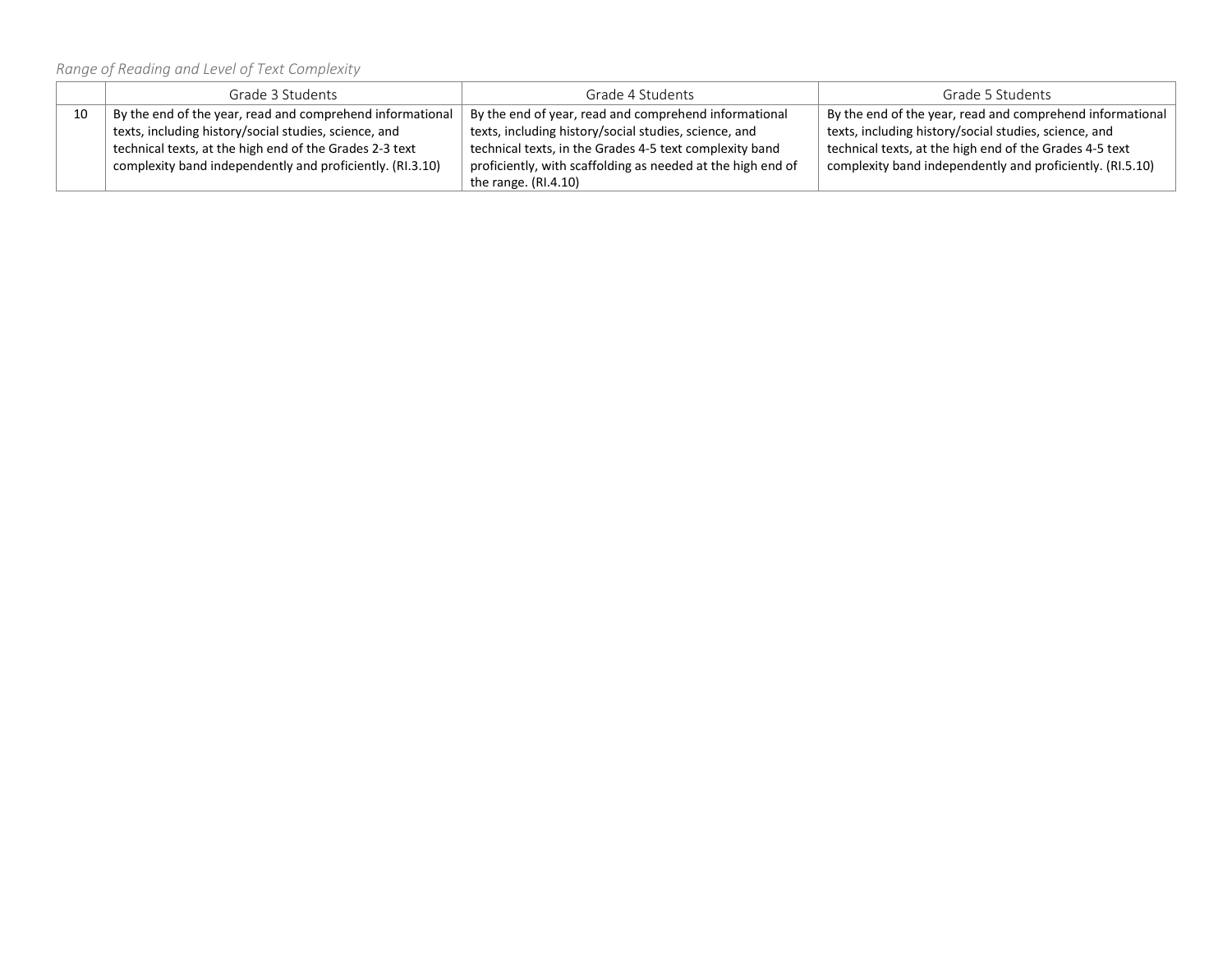*Range of Reading and Level of Text Complexity*

|    | Grade 3 Students                                          | Grade 4 Students                                                                                                   | Grade 5 Students                                          |
|----|-----------------------------------------------------------|--------------------------------------------------------------------------------------------------------------------|-----------------------------------------------------------|
| 10 | By the end of the year, read and comprehend informational | By the end of the year, read and comprehend informational<br>By the end of year, read and comprehend informational |                                                           |
|    | texts, including history/social studies, science, and     | texts, including history/social studies, science, and                                                              | texts, including history/social studies, science, and     |
|    | technical texts, at the high end of the Grades 2-3 text   | technical texts, in the Grades 4-5 text complexity band                                                            | technical texts, at the high end of the Grades 4-5 text   |
|    | complexity band independently and proficiently. (RI.3.10) | proficiently, with scaffolding as needed at the high end of                                                        | complexity band independently and proficiently. (RI.5.10) |
|    |                                                           | the range. $(RI.4.10)$                                                                                             |                                                           |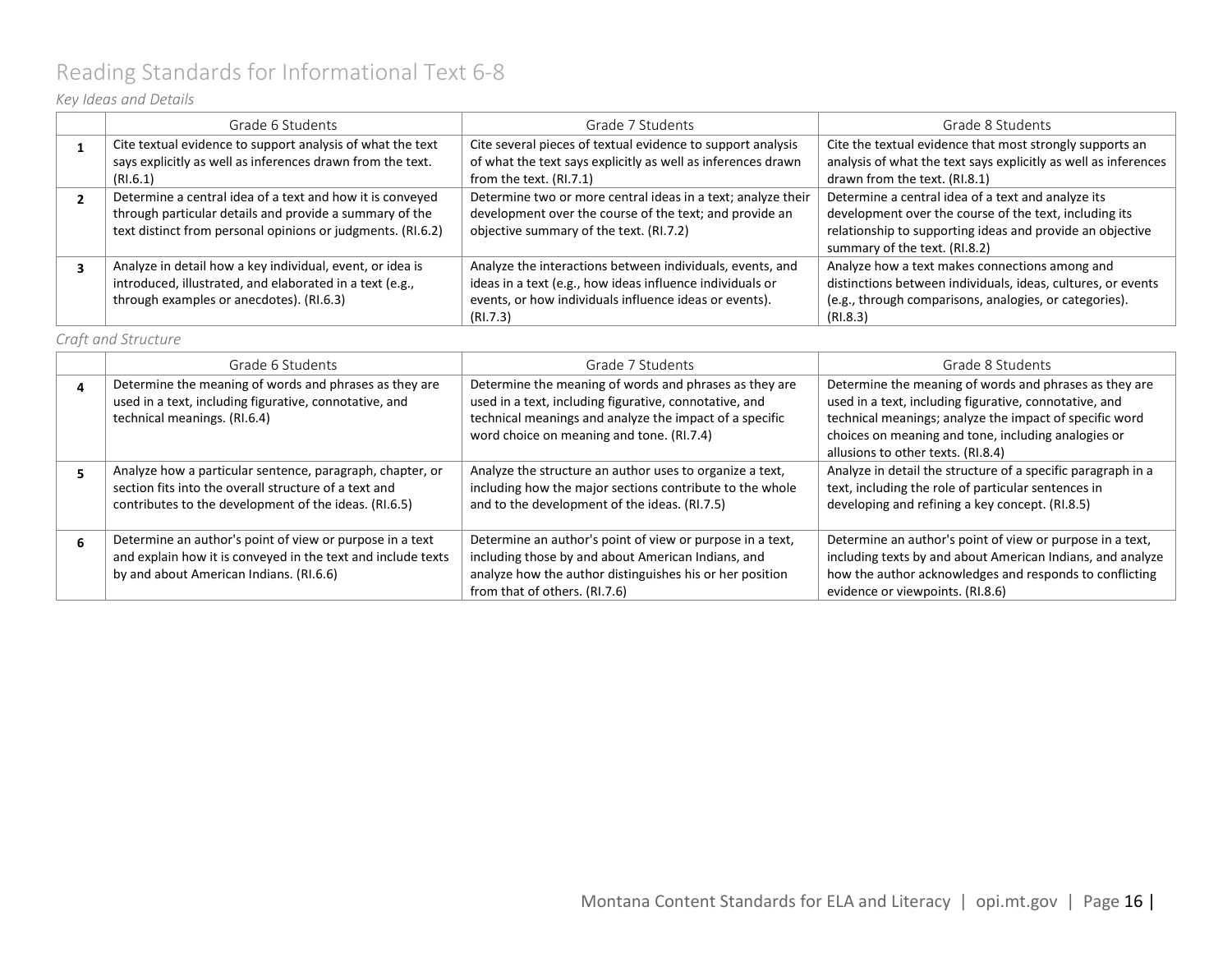# <span id="page-15-0"></span>Reading Standards for Informational Text 6-8

### *Key Ideas and Details*

| Grade 6 Students                                            | Grade 7 Students                                             | Grade 8 Students                                                |
|-------------------------------------------------------------|--------------------------------------------------------------|-----------------------------------------------------------------|
| Cite textual evidence to support analysis of what the text  | Cite several pieces of textual evidence to support analysis  | Cite the textual evidence that most strongly supports an        |
| says explicitly as well as inferences drawn from the text.  | of what the text says explicitly as well as inferences drawn | analysis of what the text says explicitly as well as inferences |
| (RI.6.1)                                                    | from the text. (RI.7.1)                                      | drawn from the text. (RI.8.1)                                   |
| Determine a central idea of a text and how it is conveyed   | Determine two or more central ideas in a text; analyze their | Determine a central idea of a text and analyze its              |
| through particular details and provide a summary of the     | development over the course of the text; and provide an      | development over the course of the text, including its          |
| text distinct from personal opinions or judgments. (RI.6.2) | objective summary of the text. (RI.7.2)                      | relationship to supporting ideas and provide an objective       |
|                                                             |                                                              | summary of the text. (RI.8.2)                                   |
| Analyze in detail how a key individual, event, or idea is   | Analyze the interactions between individuals, events, and    | Analyze how a text makes connections among and                  |
| introduced, illustrated, and elaborated in a text (e.g.,    | ideas in a text (e.g., how ideas influence individuals or    | distinctions between individuals, ideas, cultures, or events    |
| through examples or anecdotes). (RI.6.3)                    | events, or how individuals influence ideas or events).       | (e.g., through comparisons, analogies, or categories).          |
|                                                             | (RI.7.3)                                                     | (RI.8.3)                                                        |

#### *Craft and Structure*

| Grade 6 Students                                                                                                                                                            | Grade 7 Students                                                                                                                                                                                                         | Grade 8 Students                                                                                                                                                                                                                                                         |
|-----------------------------------------------------------------------------------------------------------------------------------------------------------------------------|--------------------------------------------------------------------------------------------------------------------------------------------------------------------------------------------------------------------------|--------------------------------------------------------------------------------------------------------------------------------------------------------------------------------------------------------------------------------------------------------------------------|
| Determine the meaning of words and phrases as they are<br>used in a text, including figurative, connotative, and<br>technical meanings. (RI.6.4)                            | Determine the meaning of words and phrases as they are<br>used in a text, including figurative, connotative, and<br>technical meanings and analyze the impact of a specific<br>word choice on meaning and tone. (RI.7.4) | Determine the meaning of words and phrases as they are<br>used in a text, including figurative, connotative, and<br>technical meanings; analyze the impact of specific word<br>choices on meaning and tone, including analogies or<br>allusions to other texts. (RI.8.4) |
| Analyze how a particular sentence, paragraph, chapter, or<br>section fits into the overall structure of a text and<br>contributes to the development of the ideas. (RI.6.5) | Analyze the structure an author uses to organize a text,<br>including how the major sections contribute to the whole<br>and to the development of the ideas. (RI.7.5)                                                    | Analyze in detail the structure of a specific paragraph in a<br>text, including the role of particular sentences in<br>developing and refining a key concept. (RI.8.5)                                                                                                   |
| Determine an author's point of view or purpose in a text<br>and explain how it is conveyed in the text and include texts<br>by and about American Indians. (RI.6.6)         | Determine an author's point of view or purpose in a text,<br>including those by and about American Indians, and<br>analyze how the author distinguishes his or her position<br>from that of others. (RI.7.6)             | Determine an author's point of view or purpose in a text,<br>including texts by and about American Indians, and analyze<br>how the author acknowledges and responds to conflicting<br>evidence or viewpoints. (RI.8.6)                                                   |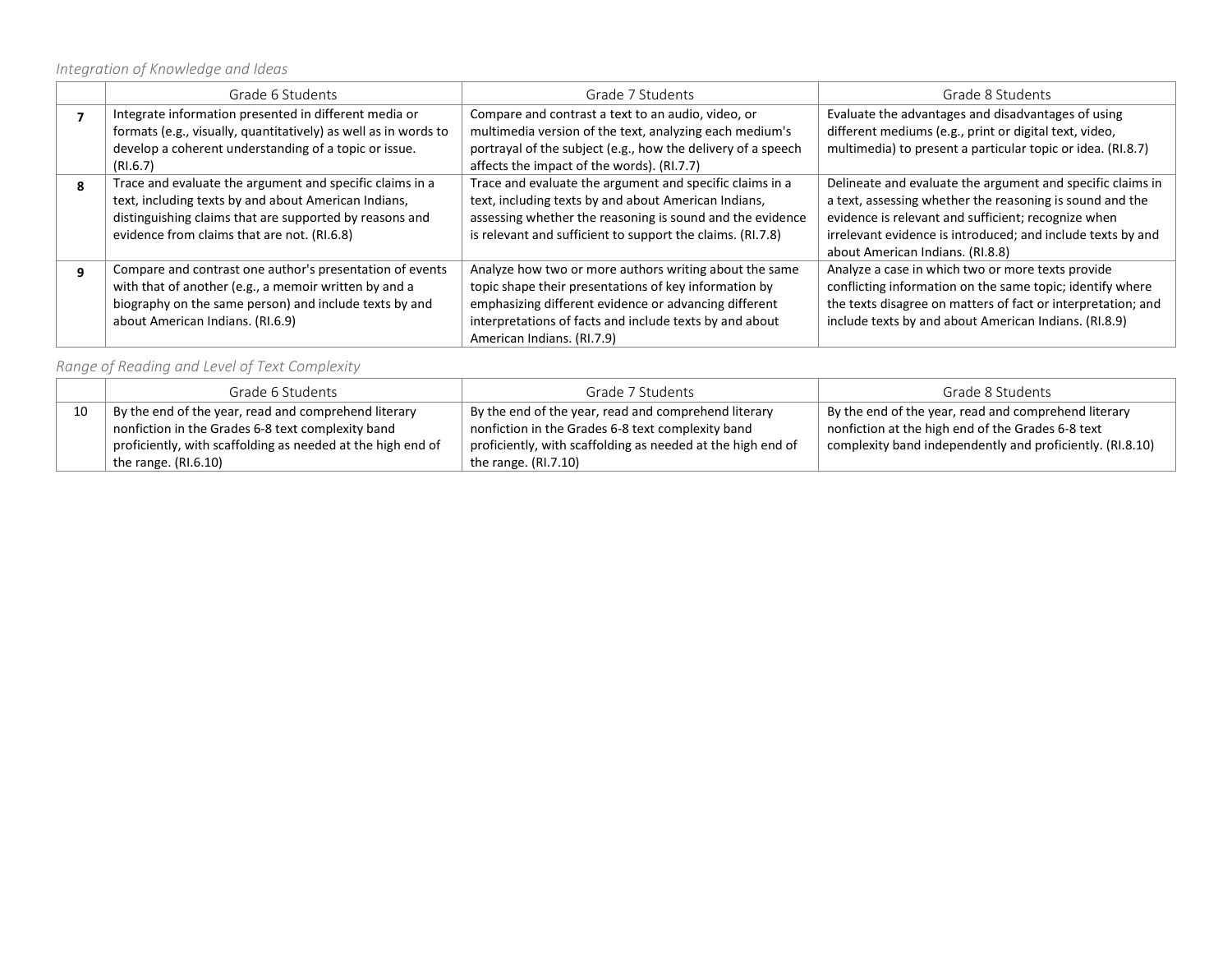*Integration of Knowledge and Ideas*

|   | Grade 6 Students                                                                                                                                                                                                           | Grade 7 Students                                                                                                                                                                                                                                                  | Grade 8 Students                                                                                                                                                                                                                                                                 |
|---|----------------------------------------------------------------------------------------------------------------------------------------------------------------------------------------------------------------------------|-------------------------------------------------------------------------------------------------------------------------------------------------------------------------------------------------------------------------------------------------------------------|----------------------------------------------------------------------------------------------------------------------------------------------------------------------------------------------------------------------------------------------------------------------------------|
|   | Integrate information presented in different media or<br>formats (e.g., visually, quantitatively) as well as in words to<br>develop a coherent understanding of a topic or issue.<br>(RI.6.7)                              | Compare and contrast a text to an audio, video, or<br>multimedia version of the text, analyzing each medium's<br>portrayal of the subject (e.g., how the delivery of a speech<br>affects the impact of the words). (RI.7.7)                                       | Evaluate the advantages and disadvantages of using<br>different mediums (e.g., print or digital text, video,<br>multimedia) to present a particular topic or idea. (RI.8.7)                                                                                                      |
| 8 | Trace and evaluate the argument and specific claims in a<br>text, including texts by and about American Indians,<br>distinguishing claims that are supported by reasons and<br>evidence from claims that are not. (RI.6.8) | Trace and evaluate the argument and specific claims in a<br>text, including texts by and about American Indians,<br>assessing whether the reasoning is sound and the evidence<br>is relevant and sufficient to support the claims. (RI.7.8)                       | Delineate and evaluate the argument and specific claims in<br>a text, assessing whether the reasoning is sound and the<br>evidence is relevant and sufficient; recognize when<br>irrelevant evidence is introduced; and include texts by and<br>about American Indians. (RI.8.8) |
| q | Compare and contrast one author's presentation of events<br>with that of another (e.g., a memoir written by and a<br>biography on the same person) and include texts by and<br>about American Indians. (RI.6.9)            | Analyze how two or more authors writing about the same<br>topic shape their presentations of key information by<br>emphasizing different evidence or advancing different<br>interpretations of facts and include texts by and about<br>American Indians. (RI.7.9) | Analyze a case in which two or more texts provide<br>conflicting information on the same topic; identify where<br>the texts disagree on matters of fact or interpretation; and<br>include texts by and about American Indians. (RI.8.9)                                          |

### *Range of Reading and Level of Text Complexity*

|    | Grade 6 Students                                            | Grade 7 Students                                            | Grade 8 Students                                          |
|----|-------------------------------------------------------------|-------------------------------------------------------------|-----------------------------------------------------------|
| 10 | By the end of the year, read and comprehend literary        | By the end of the year, read and comprehend literary        | By the end of the year, read and comprehend literary      |
|    | nonfiction in the Grades 6-8 text complexity band           | nonfiction in the Grades 6-8 text complexity band           | nonfiction at the high end of the Grades 6-8 text         |
|    | proficiently, with scaffolding as needed at the high end of | proficiently, with scaffolding as needed at the high end of | complexity band independently and proficiently. (RI.8.10) |
|    | the range. $(RI.6.10)$                                      | the range. $(RI.7.10)$                                      |                                                           |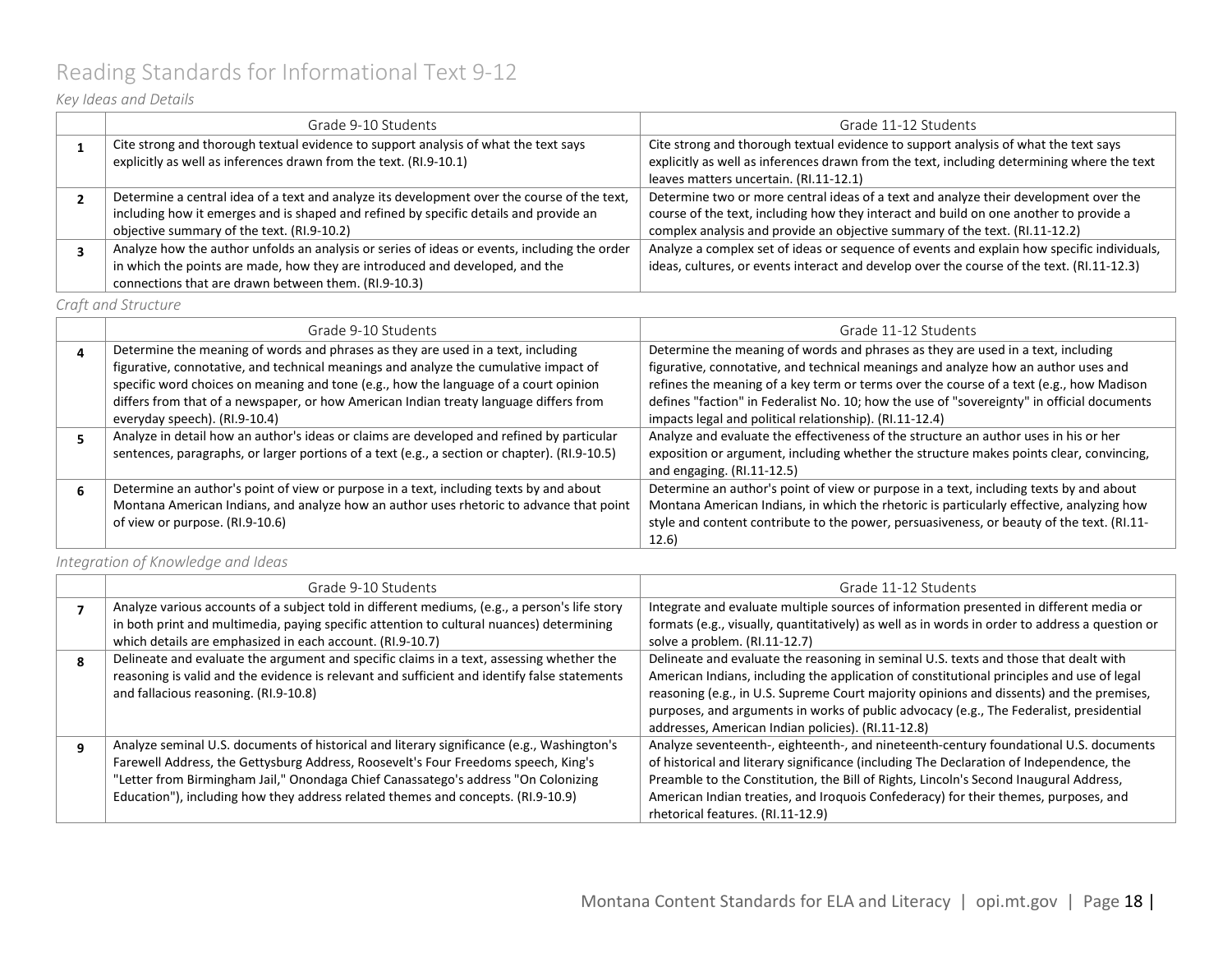# <span id="page-17-0"></span>Reading Standards for Informational Text 9-12

### *Key Ideas and Details*

| Grade 9-10 Students                                                                                                                                      | Grade 11-12 Students                                                                                                                                                              |
|----------------------------------------------------------------------------------------------------------------------------------------------------------|-----------------------------------------------------------------------------------------------------------------------------------------------------------------------------------|
| Cite strong and thorough textual evidence to support analysis of what the text says<br>explicitly as well as inferences drawn from the text. (RI.9-10.1) | Cite strong and thorough textual evidence to support analysis of what the text says<br>explicitly as well as inferences drawn from the text, including determining where the text |
|                                                                                                                                                          | leaves matters uncertain. (RI.11-12.1)                                                                                                                                            |
| Determine a central idea of a text and analyze its development over the course of the text,                                                              | Determine two or more central ideas of a text and analyze their development over the                                                                                              |
| including how it emerges and is shaped and refined by specific details and provide an                                                                    | course of the text, including how they interact and build on one another to provide a                                                                                             |
| objective summary of the text. (RI.9-10.2)                                                                                                               | complex analysis and provide an objective summary of the text. (RI.11-12.2)                                                                                                       |
| Analyze how the author unfolds an analysis or series of ideas or events, including the order                                                             | Analyze a complex set of ideas or sequence of events and explain how specific individuals,                                                                                        |
| in which the points are made, how they are introduced and developed, and the                                                                             | ideas, cultures, or events interact and develop over the course of the text. (RI.11-12.3)                                                                                         |
| connections that are drawn between them. (RI.9-10.3)                                                                                                     |                                                                                                                                                                                   |

*Craft and Structure*

| Grade 9-10 Students                                                                                                                                                                                                                                                                                                                                                                        | Grade 11-12 Students                                                                                                                                                                                                                                                                                                                                                                                                       |
|--------------------------------------------------------------------------------------------------------------------------------------------------------------------------------------------------------------------------------------------------------------------------------------------------------------------------------------------------------------------------------------------|----------------------------------------------------------------------------------------------------------------------------------------------------------------------------------------------------------------------------------------------------------------------------------------------------------------------------------------------------------------------------------------------------------------------------|
| Determine the meaning of words and phrases as they are used in a text, including<br>figurative, connotative, and technical meanings and analyze the cumulative impact of<br>specific word choices on meaning and tone (e.g., how the language of a court opinion<br>differs from that of a newspaper, or how American Indian treaty language differs from<br>everyday speech). (RI.9-10.4) | Determine the meaning of words and phrases as they are used in a text, including<br>figurative, connotative, and technical meanings and analyze how an author uses and<br>refines the meaning of a key term or terms over the course of a text (e.g., how Madison<br>defines "faction" in Federalist No. 10; how the use of "sovereignty" in official documents<br>impacts legal and political relationship). (RI.11-12.4) |
| Analyze in detail how an author's ideas or claims are developed and refined by particular<br>sentences, paragraphs, or larger portions of a text (e.g., a section or chapter). (RI.9-10.5)                                                                                                                                                                                                 | Analyze and evaluate the effectiveness of the structure an author uses in his or her<br>exposition or argument, including whether the structure makes points clear, convincing,<br>and engaging. $(RI.11-12.5)$                                                                                                                                                                                                            |
| Determine an author's point of view or purpose in a text, including texts by and about<br>Montana American Indians, and analyze how an author uses rhetoric to advance that point<br>of view or purpose. (RI.9-10.6)                                                                                                                                                                       | Determine an author's point of view or purpose in a text, including texts by and about<br>Montana American Indians, in which the rhetoric is particularly effective, analyzing how<br>style and content contribute to the power, persuasiveness, or beauty of the text. (RI.11-<br>12.6)                                                                                                                                   |

*Integration of Knowledge and Ideas*

| Grade 9-10 Students                                                                           | Grade 11-12 Students                                                                           |
|-----------------------------------------------------------------------------------------------|------------------------------------------------------------------------------------------------|
| Analyze various accounts of a subject told in different mediums, (e.g., a person's life story | Integrate and evaluate multiple sources of information presented in different media or         |
| in both print and multimedia, paying specific attention to cultural nuances) determining      | formats (e.g., visually, quantitatively) as well as in words in order to address a question or |
| which details are emphasized in each account. (RI.9-10.7)                                     | solve a problem. (RI.11-12.7)                                                                  |
| Delineate and evaluate the argument and specific claims in a text, assessing whether the      | Delineate and evaluate the reasoning in seminal U.S. texts and those that dealt with           |
| reasoning is valid and the evidence is relevant and sufficient and identify false statements  | American Indians, including the application of constitutional principles and use of legal      |
| and fallacious reasoning. (RI.9-10.8)                                                         | reasoning (e.g., in U.S. Supreme Court majority opinions and dissents) and the premises,       |
|                                                                                               | purposes, and arguments in works of public advocacy (e.g., The Federalist, presidential        |
|                                                                                               | addresses, American Indian policies). (RI.11-12.8)                                             |
| Analyze seminal U.S. documents of historical and literary significance (e.g., Washington's    | Analyze seventeenth-, eighteenth-, and nineteenth-century foundational U.S. documents          |
| Farewell Address, the Gettysburg Address, Roosevelt's Four Freedoms speech, King's            | of historical and literary significance (including The Declaration of Independence, the        |
| "Letter from Birmingham Jail," Onondaga Chief Canassatego's address "On Colonizing            | Preamble to the Constitution, the Bill of Rights, Lincoln's Second Inaugural Address,          |
| Education"), including how they address related themes and concepts. (RI.9-10.9)              | American Indian treaties, and Iroquois Confederacy) for their themes, purposes, and            |
|                                                                                               | rhetorical features. (RI.11-12.9)                                                              |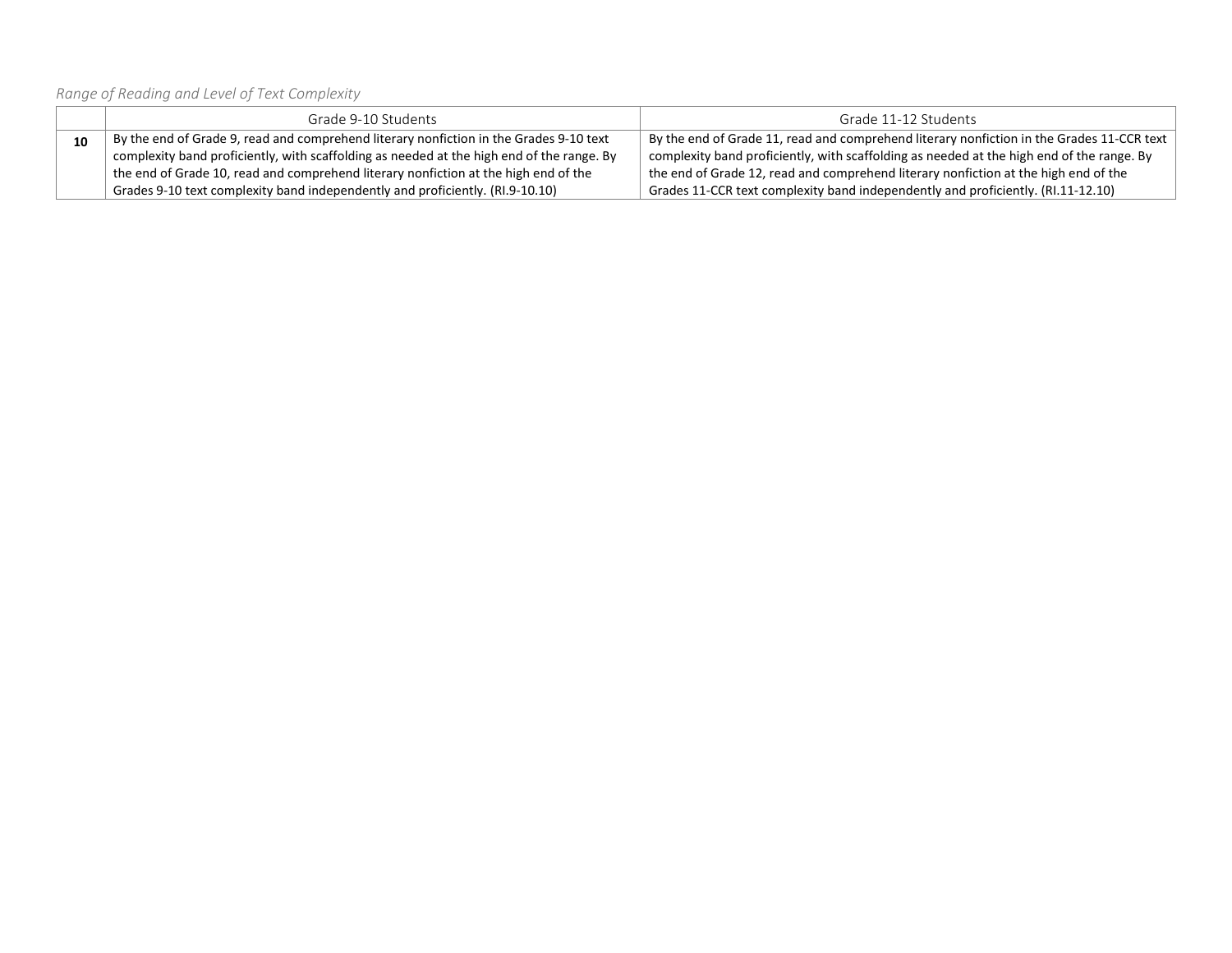*Range of Reading and Level of Text Complexity*

|    | Grade 9-10 Students                                                                       | Grade 11-12 Students                                                                                 |
|----|-------------------------------------------------------------------------------------------|------------------------------------------------------------------------------------------------------|
| 10 | By the end of Grade 9, read and comprehend literary nonfiction in the Grades 9-10 text    | By the end of Grade 11, read and comprehend literary nonfiction in the Grades 11-CCR text            |
|    | complexity band proficiently, with scaffolding as needed at the high end of the range. By | $^{\circ}$ complexity band proficiently, with scaffolding as needed at the high end of the range. By |
|    | the end of Grade 10, read and comprehend literary nonfiction at the high end of the       | the end of Grade 12, read and comprehend literary nonfiction at the high end of the                  |
|    | Grades 9-10 text complexity band independently and proficiently. (RI.9-10.10)             | Grades 11-CCR text complexity band independently and proficiently. (RI.11-12.10)                     |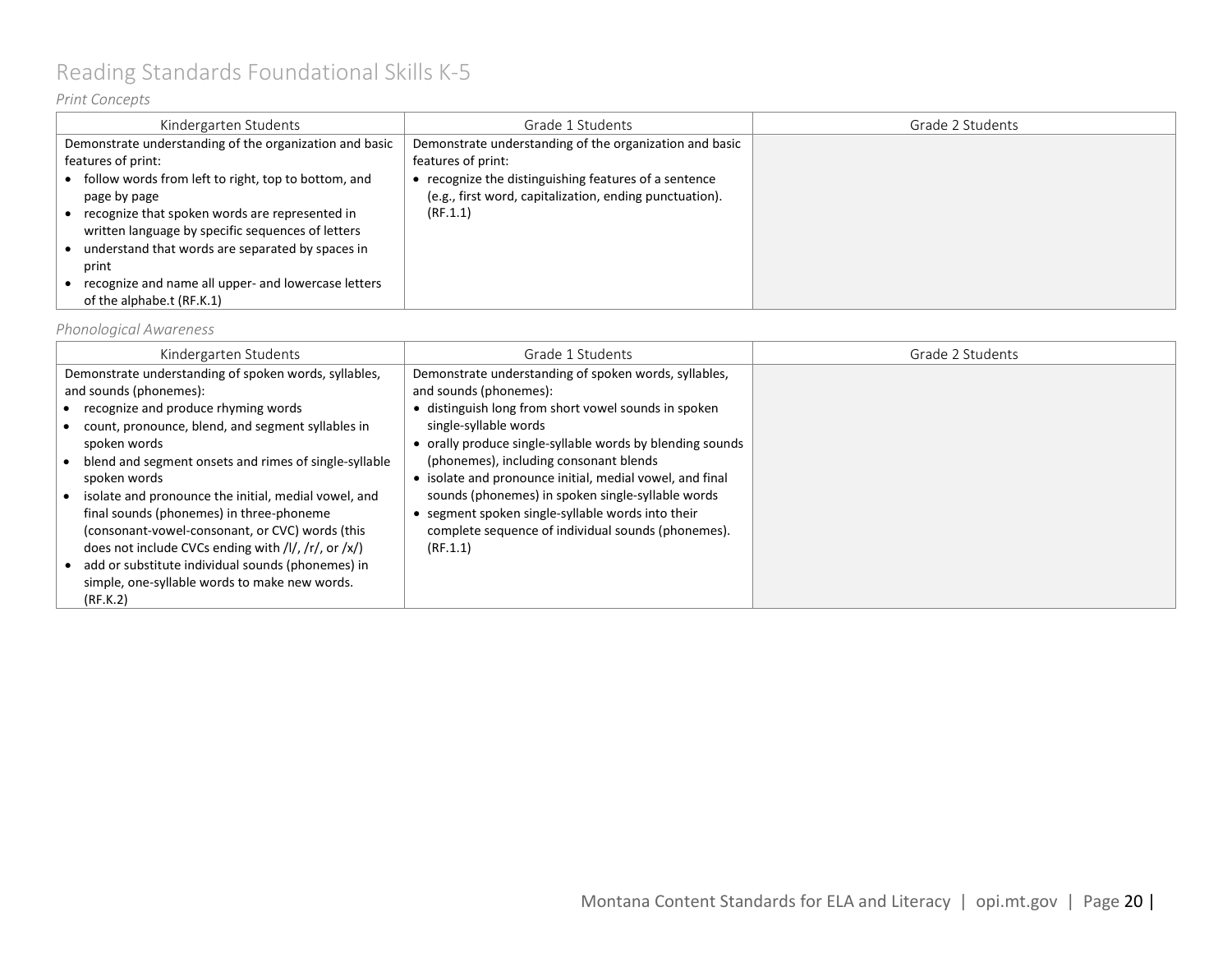# <span id="page-19-0"></span>Reading Standards Foundational Skills K-5

### *Print Concepts*

| Kindergarten Students                                   | Grade 1 Students                                        | Grade 2 Students |
|---------------------------------------------------------|---------------------------------------------------------|------------------|
| Demonstrate understanding of the organization and basic | Demonstrate understanding of the organization and basic |                  |
| features of print:                                      | features of print:                                      |                  |
| follow words from left to right, top to bottom, and     | recognize the distinguishing features of a sentence     |                  |
| page by page                                            | (e.g., first word, capitalization, ending punctuation). |                  |
| recognize that spoken words are represented in          | (RF.1.1)                                                |                  |
| written language by specific sequences of letters       |                                                         |                  |
| understand that words are separated by spaces in        |                                                         |                  |
| print                                                   |                                                         |                  |
| recognize and name all upper- and lowercase letters     |                                                         |                  |
| of the alphabe.t (RF.K.1)                               |                                                         |                  |

#### *Phonological Awareness*

| Kindergarten Students                                                                                                                                                                                                                                                                                                                                                                                                                                                                                                                                                                                                         | Grade 1 Students                                                                                                                                                                                                                                                                                                                                                                                                                                                                                                | Grade 2 Students |
|-------------------------------------------------------------------------------------------------------------------------------------------------------------------------------------------------------------------------------------------------------------------------------------------------------------------------------------------------------------------------------------------------------------------------------------------------------------------------------------------------------------------------------------------------------------------------------------------------------------------------------|-----------------------------------------------------------------------------------------------------------------------------------------------------------------------------------------------------------------------------------------------------------------------------------------------------------------------------------------------------------------------------------------------------------------------------------------------------------------------------------------------------------------|------------------|
| Demonstrate understanding of spoken words, syllables,<br>and sounds (phonemes):<br>recognize and produce rhyming words<br>count, pronounce, blend, and segment syllables in<br>spoken words<br>blend and segment onsets and rimes of single-syllable<br>spoken words<br>isolate and pronounce the initial, medial vowel, and<br>final sounds (phonemes) in three-phoneme<br>(consonant-vowel-consonant, or CVC) words (this<br>does not include CVCs ending with $\frac{1}{\sqrt{2}}$ /r/, or $\frac{x}{x}$<br>add or substitute individual sounds (phonemes) in<br>simple, one-syllable words to make new words.<br>(RF.K.2) | Demonstrate understanding of spoken words, syllables,<br>and sounds (phonemes):<br>• distinguish long from short vowel sounds in spoken<br>single-syllable words<br>• orally produce single-syllable words by blending sounds<br>(phonemes), including consonant blends<br>• isolate and pronounce initial, medial vowel, and final<br>sounds (phonemes) in spoken single-syllable words<br>• segment spoken single-syllable words into their<br>complete sequence of individual sounds (phonemes).<br>(RF.1.1) |                  |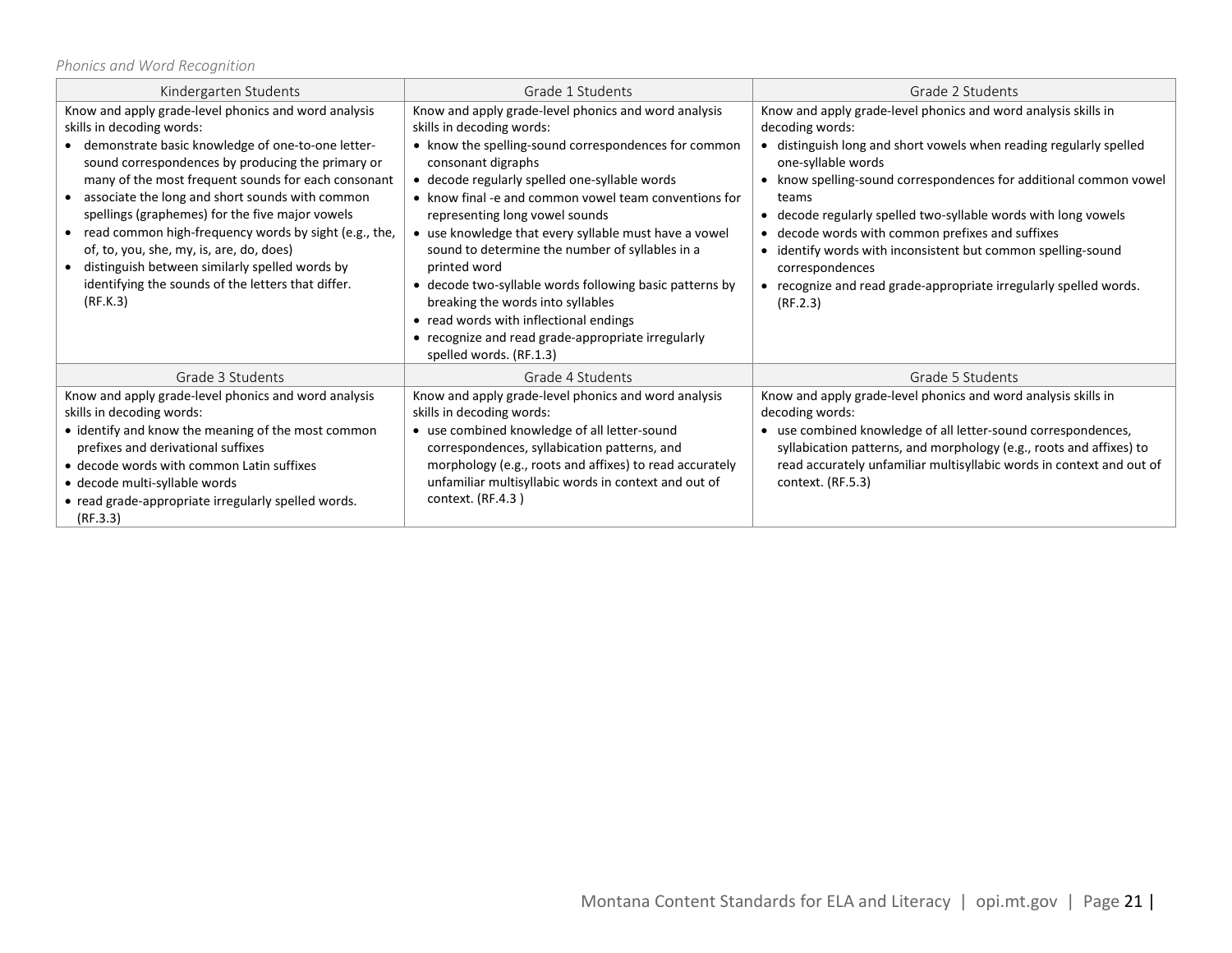### *Phonics and Word Recognition*

| Kindergarten Students                                                                                                                                                                                                                                                                                                                                                                                                                                                                                                                                                                          | Grade 1 Students                                                                                                                                                                                                                                                                                                                                                                                                                                                                                                                                                                                                                                                   | Grade 2 Students                                                                                                                                                                                                                                                                                                                                                                                                                                                                                                                            |
|------------------------------------------------------------------------------------------------------------------------------------------------------------------------------------------------------------------------------------------------------------------------------------------------------------------------------------------------------------------------------------------------------------------------------------------------------------------------------------------------------------------------------------------------------------------------------------------------|--------------------------------------------------------------------------------------------------------------------------------------------------------------------------------------------------------------------------------------------------------------------------------------------------------------------------------------------------------------------------------------------------------------------------------------------------------------------------------------------------------------------------------------------------------------------------------------------------------------------------------------------------------------------|---------------------------------------------------------------------------------------------------------------------------------------------------------------------------------------------------------------------------------------------------------------------------------------------------------------------------------------------------------------------------------------------------------------------------------------------------------------------------------------------------------------------------------------------|
| Know and apply grade-level phonics and word analysis<br>skills in decoding words:<br>demonstrate basic knowledge of one-to-one letter-<br>sound correspondences by producing the primary or<br>many of the most frequent sounds for each consonant<br>associate the long and short sounds with common<br>spellings (graphemes) for the five major vowels<br>read common high-frequency words by sight (e.g., the,<br>$\bullet$<br>of, to, you, she, my, is, are, do, does)<br>distinguish between similarly spelled words by<br>identifying the sounds of the letters that differ.<br>(RF.K.3) | Know and apply grade-level phonics and word analysis<br>skills in decoding words:<br>• know the spelling-sound correspondences for common<br>consonant digraphs<br>• decode regularly spelled one-syllable words<br>• know final -e and common vowel team conventions for<br>representing long vowel sounds<br>• use knowledge that every syllable must have a vowel<br>sound to determine the number of syllables in a<br>printed word<br>• decode two-syllable words following basic patterns by<br>breaking the words into syllables<br>• read words with inflectional endings<br>• recognize and read grade-appropriate irregularly<br>spelled words. (RF.1.3) | Know and apply grade-level phonics and word analysis skills in<br>decoding words:<br>distinguish long and short vowels when reading regularly spelled<br>one-syllable words<br>• know spelling-sound correspondences for additional common vowel<br>teams<br>decode regularly spelled two-syllable words with long vowels<br>decode words with common prefixes and suffixes<br>identify words with inconsistent but common spelling-sound<br>correspondences<br>recognize and read grade-appropriate irregularly spelled words.<br>(RF.2.3) |
| Grade 3 Students                                                                                                                                                                                                                                                                                                                                                                                                                                                                                                                                                                               | Grade 4 Students                                                                                                                                                                                                                                                                                                                                                                                                                                                                                                                                                                                                                                                   | Grade 5 Students                                                                                                                                                                                                                                                                                                                                                                                                                                                                                                                            |
| Know and apply grade-level phonics and word analysis<br>skills in decoding words:<br>• identify and know the meaning of the most common<br>prefixes and derivational suffixes<br>• decode words with common Latin suffixes<br>· decode multi-syllable words<br>• read grade-appropriate irregularly spelled words.<br>(RF.3.3)                                                                                                                                                                                                                                                                 | Know and apply grade-level phonics and word analysis<br>skills in decoding words:<br>• use combined knowledge of all letter-sound<br>correspondences, syllabication patterns, and<br>morphology (e.g., roots and affixes) to read accurately<br>unfamiliar multisyllabic words in context and out of<br>context. (RF.4.3)                                                                                                                                                                                                                                                                                                                                          | Know and apply grade-level phonics and word analysis skills in<br>decoding words:<br>use combined knowledge of all letter-sound correspondences,<br>syllabication patterns, and morphology (e.g., roots and affixes) to<br>read accurately unfamiliar multisyllabic words in context and out of<br>context. (RF.5.3)                                                                                                                                                                                                                        |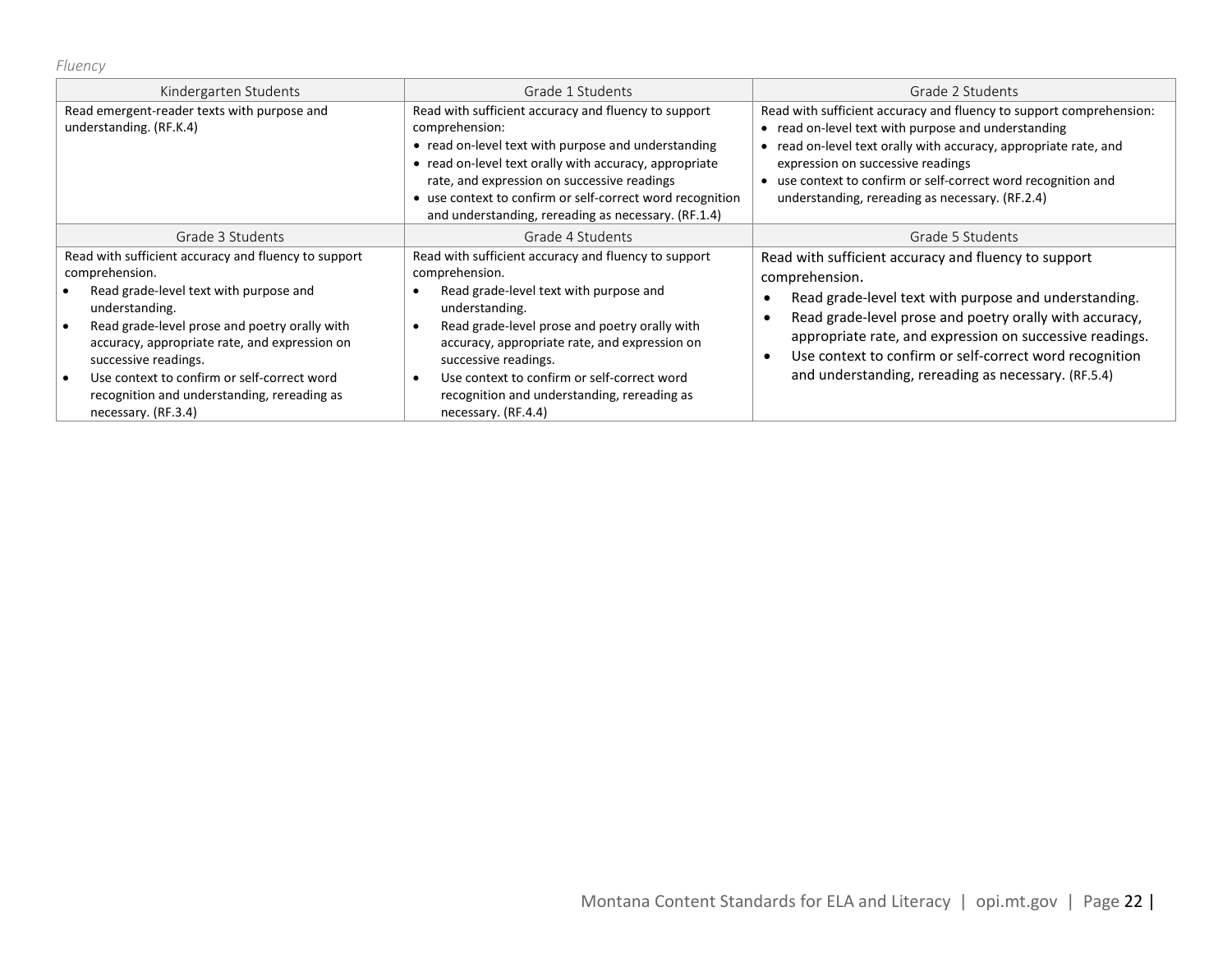*Fluency*

| Kindergarten Students                                                                                                                                                                                                                                                                                                                                                             | Grade 1 Students                                                                                                                                                                                                                                                                                                                                                                  | Grade 2 Students                                                                                                                                                                                                                                                                                                                                                              |
|-----------------------------------------------------------------------------------------------------------------------------------------------------------------------------------------------------------------------------------------------------------------------------------------------------------------------------------------------------------------------------------|-----------------------------------------------------------------------------------------------------------------------------------------------------------------------------------------------------------------------------------------------------------------------------------------------------------------------------------------------------------------------------------|-------------------------------------------------------------------------------------------------------------------------------------------------------------------------------------------------------------------------------------------------------------------------------------------------------------------------------------------------------------------------------|
| Read emergent-reader texts with purpose and<br>understanding. (RF.K.4)                                                                                                                                                                                                                                                                                                            | Read with sufficient accuracy and fluency to support<br>comprehension:<br>• read on-level text with purpose and understanding<br>• read on-level text orally with accuracy, appropriate<br>rate, and expression on successive readings<br>• use context to confirm or self-correct word recognition<br>and understanding, rereading as necessary. (RF.1.4)                        | Read with sufficient accuracy and fluency to support comprehension:<br>read on-level text with purpose and understanding<br>read on-level text orally with accuracy, appropriate rate, and<br>expression on successive readings<br>use context to confirm or self-correct word recognition and<br>understanding, rereading as necessary. (RF.2.4)                             |
| Grade 3 Students                                                                                                                                                                                                                                                                                                                                                                  | Grade 4 Students                                                                                                                                                                                                                                                                                                                                                                  | Grade 5 Students                                                                                                                                                                                                                                                                                                                                                              |
| Read with sufficient accuracy and fluency to support<br>comprehension.<br>Read grade-level text with purpose and<br>understanding.<br>Read grade-level prose and poetry orally with<br>accuracy, appropriate rate, and expression on<br>successive readings.<br>Use context to confirm or self-correct word<br>recognition and understanding, rereading as<br>necessary. (RF.3.4) | Read with sufficient accuracy and fluency to support<br>comprehension.<br>Read grade-level text with purpose and<br>understanding.<br>Read grade-level prose and poetry orally with<br>accuracy, appropriate rate, and expression on<br>successive readings.<br>Use context to confirm or self-correct word<br>recognition and understanding, rereading as<br>necessary. (RF.4.4) | Read with sufficient accuracy and fluency to support<br>comprehension.<br>Read grade-level text with purpose and understanding.<br>Read grade-level prose and poetry orally with accuracy,<br>appropriate rate, and expression on successive readings.<br>Use context to confirm or self-correct word recognition<br>٠<br>and understanding, rereading as necessary. (RF.5.4) |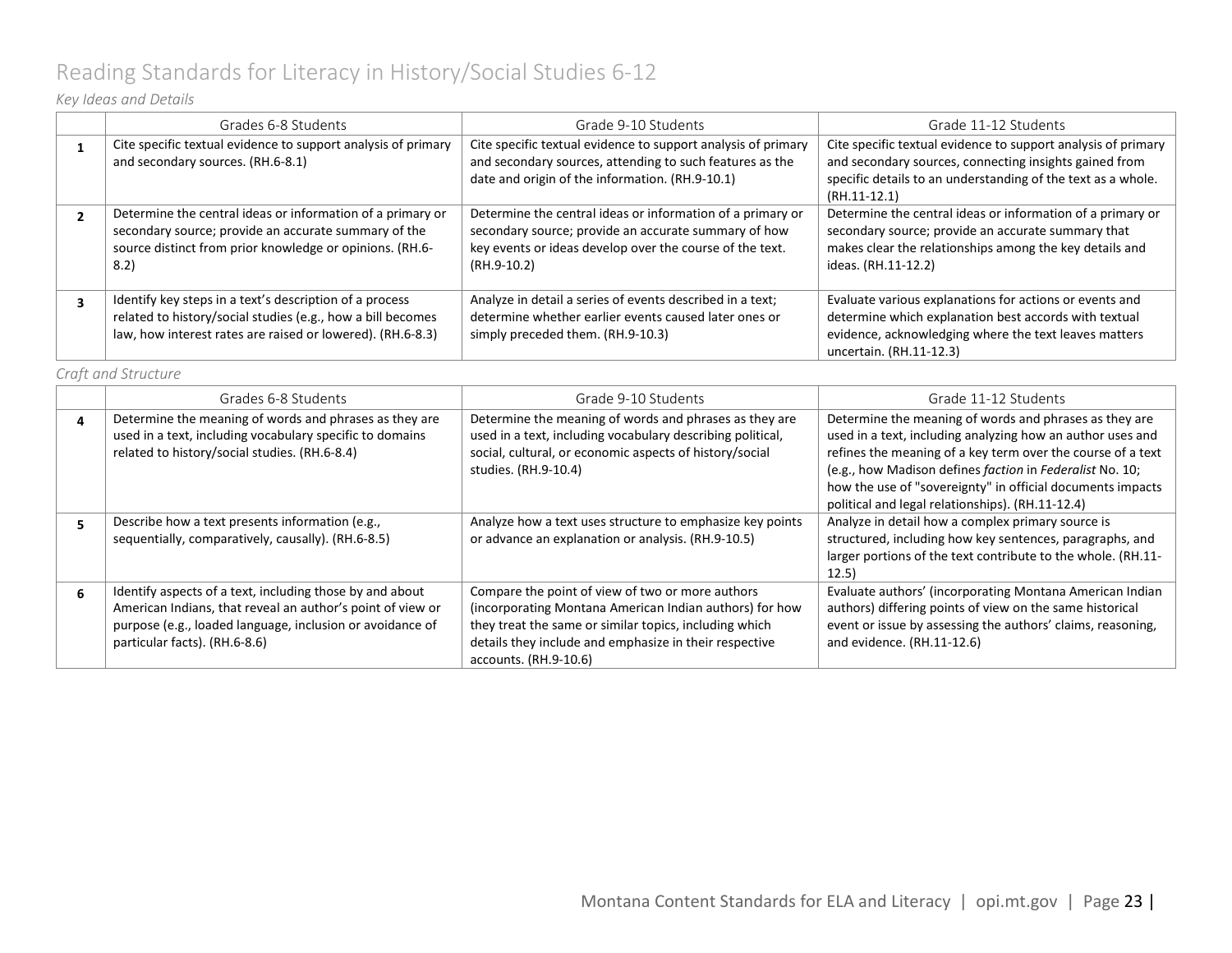# <span id="page-22-0"></span>Reading Standards for Literacy in History/Social Studies 6-12

### *Key Ideas and Details*

|  | Grades 6-8 Students                                                                                                                                                                    | Grade 9-10 Students                                                                                                                                                                           | Grade 11-12 Students                                                                                                                                                                                      |
|--|----------------------------------------------------------------------------------------------------------------------------------------------------------------------------------------|-----------------------------------------------------------------------------------------------------------------------------------------------------------------------------------------------|-----------------------------------------------------------------------------------------------------------------------------------------------------------------------------------------------------------|
|  | Cite specific textual evidence to support analysis of primary<br>and secondary sources. (RH.6-8.1)                                                                                     | Cite specific textual evidence to support analysis of primary<br>and secondary sources, attending to such features as the<br>date and origin of the information. (RH.9-10.1)                  | Cite specific textual evidence to support analysis of primary<br>and secondary sources, connecting insights gained from<br>specific details to an understanding of the text as a whole.<br>$(RH.11-12.1)$ |
|  | Determine the central ideas or information of a primary or<br>secondary source; provide an accurate summary of the<br>source distinct from prior knowledge or opinions. (RH.6-<br>8.2) | Determine the central ideas or information of a primary or<br>secondary source; provide an accurate summary of how<br>key events or ideas develop over the course of the text.<br>(RH.9-10.2) | Determine the central ideas or information of a primary or<br>secondary source; provide an accurate summary that<br>makes clear the relationships among the key details and<br>ideas. (RH.11-12.2)        |
|  | Identify key steps in a text's description of a process<br>related to history/social studies (e.g., how a bill becomes<br>law, how interest rates are raised or lowered). (RH.6-8.3)   | Analyze in detail a series of events described in a text;<br>determine whether earlier events caused later ones or<br>simply preceded them. (RH.9-10.3)                                       | Evaluate various explanations for actions or events and<br>determine which explanation best accords with textual<br>evidence, acknowledging where the text leaves matters<br>uncertain. (RH.11-12.3)      |

*Craft and Structure*

|   | Grades 6-8 Students                                                                                                                                                                                                  | Grade 9-10 Students                                                                                                                                                                                                                                      | Grade 11-12 Students                                                                                                                                                                                                                                                                                                                                              |
|---|----------------------------------------------------------------------------------------------------------------------------------------------------------------------------------------------------------------------|----------------------------------------------------------------------------------------------------------------------------------------------------------------------------------------------------------------------------------------------------------|-------------------------------------------------------------------------------------------------------------------------------------------------------------------------------------------------------------------------------------------------------------------------------------------------------------------------------------------------------------------|
| 4 | Determine the meaning of words and phrases as they are<br>used in a text, including vocabulary specific to domains<br>related to history/social studies. (RH.6-8.4)                                                  | Determine the meaning of words and phrases as they are<br>used in a text, including vocabulary describing political,<br>social, cultural, or economic aspects of history/social<br>studies. (RH.9-10.4)                                                  | Determine the meaning of words and phrases as they are<br>used in a text, including analyzing how an author uses and<br>refines the meaning of a key term over the course of a text<br>(e.g., how Madison defines faction in Federalist No. 10;<br>how the use of "sovereignty" in official documents impacts<br>political and legal relationships). (RH.11-12.4) |
|   | Describe how a text presents information (e.g.,<br>sequentially, comparatively, causally). (RH.6-8.5)                                                                                                                | Analyze how a text uses structure to emphasize key points<br>or advance an explanation or analysis. (RH.9-10.5)                                                                                                                                          | Analyze in detail how a complex primary source is<br>structured, including how key sentences, paragraphs, and<br>larger portions of the text contribute to the whole. (RH.11-<br>12.5)                                                                                                                                                                            |
| 6 | Identify aspects of a text, including those by and about<br>American Indians, that reveal an author's point of view or<br>purpose (e.g., loaded language, inclusion or avoidance of<br>particular facts). (RH.6-8.6) | Compare the point of view of two or more authors<br>(incorporating Montana American Indian authors) for how<br>they treat the same or similar topics, including which<br>details they include and emphasize in their respective<br>accounts. (RH.9-10.6) | Evaluate authors' (incorporating Montana American Indian<br>authors) differing points of view on the same historical<br>event or issue by assessing the authors' claims, reasoning,<br>and evidence. (RH.11-12.6)                                                                                                                                                 |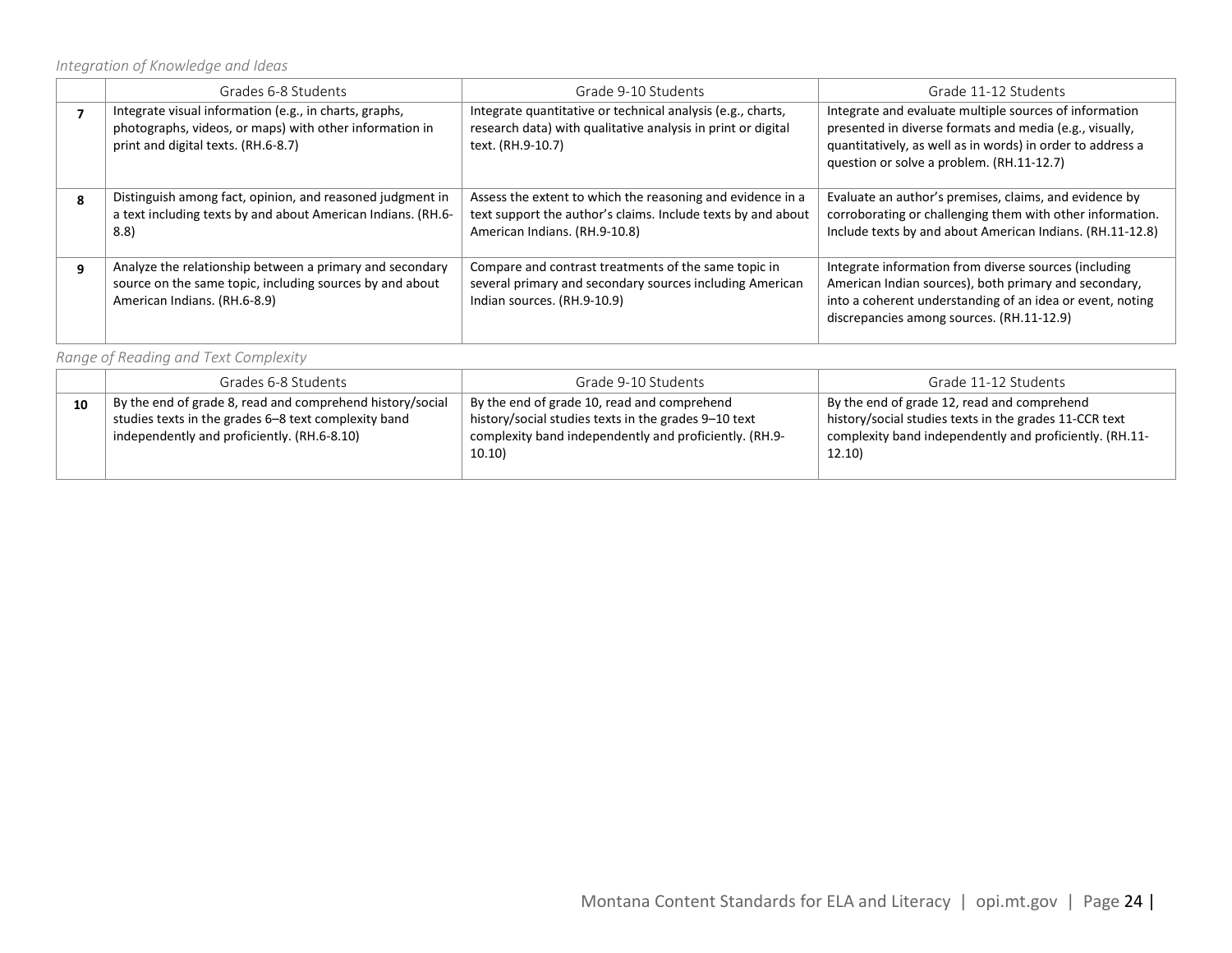*Integration of Knowledge and Ideas*

|   | Grades 6-8 Students                                                                                                                                      | Grade 9-10 Students                                                                                                                                         | Grade 11-12 Students                                                                                                                                                                                                         |
|---|----------------------------------------------------------------------------------------------------------------------------------------------------------|-------------------------------------------------------------------------------------------------------------------------------------------------------------|------------------------------------------------------------------------------------------------------------------------------------------------------------------------------------------------------------------------------|
|   | Integrate visual information (e.g., in charts, graphs,<br>photographs, videos, or maps) with other information in<br>print and digital texts. (RH.6-8.7) | Integrate quantitative or technical analysis (e.g., charts,<br>research data) with qualitative analysis in print or digital<br>text. (RH.9-10.7)            | Integrate and evaluate multiple sources of information<br>presented in diverse formats and media (e.g., visually,<br>quantitatively, as well as in words) in order to address a<br>question or solve a problem. (RH.11-12.7) |
| 8 | Distinguish among fact, opinion, and reasoned judgment in<br>a text including texts by and about American Indians. (RH.6-<br>8.8                         | Assess the extent to which the reasoning and evidence in a<br>text support the author's claims. Include texts by and about<br>American Indians. (RH.9-10.8) | Evaluate an author's premises, claims, and evidence by<br>corroborating or challenging them with other information.<br>Include texts by and about American Indians. (RH.11-12.8)                                             |
| q | Analyze the relationship between a primary and secondary<br>source on the same topic, including sources by and about<br>American Indians. (RH.6-8.9)     | Compare and contrast treatments of the same topic in<br>several primary and secondary sources including American<br>Indian sources. (RH.9-10.9)             | Integrate information from diverse sources (including<br>American Indian sources), both primary and secondary,<br>into a coherent understanding of an idea or event, noting<br>discrepancies among sources. (RH.11-12.9)     |

*Range of Reading and Text Complexity*

|    | Grades 6-8 Students                                                                                                                                              | Grade 9-10 Students                                                                                                                                                     | Grade 11-12 Students                                                                                                                                                       |
|----|------------------------------------------------------------------------------------------------------------------------------------------------------------------|-------------------------------------------------------------------------------------------------------------------------------------------------------------------------|----------------------------------------------------------------------------------------------------------------------------------------------------------------------------|
| 10 | By the end of grade 8, read and comprehend history/social<br>studies texts in the grades 6-8 text complexity band<br>independently and proficiently. (RH.6-8.10) | By the end of grade 10, read and comprehend<br>history/social studies texts in the grades 9-10 text<br>complexity band independently and proficiently. (RH.9-<br>10.10) | By the end of grade 12, read and comprehend<br>history/social studies texts in the grades 11-CCR text<br>complexity band independently and proficiently. (RH.11-<br>12.10) |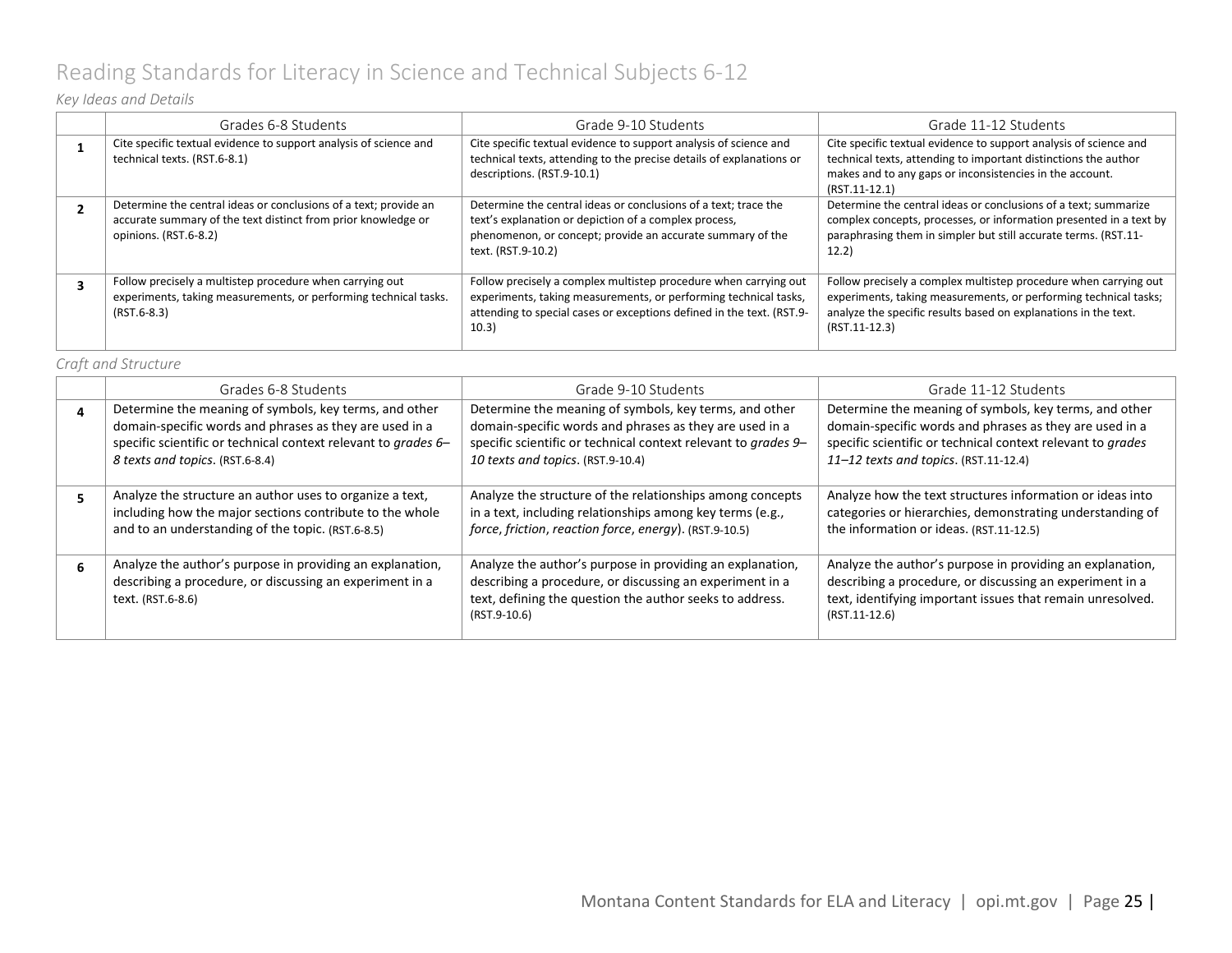# <span id="page-24-0"></span>Reading Standards for Literacy in Science and Technical Subjects 6-12

### *Key Ideas and Details*

| Grades 6-8 Students                                                                                                                                        | Grade 9-10 Students                                                                                                                                                                                                    | Grade 11-12 Students                                                                                                                                                                                                       |
|------------------------------------------------------------------------------------------------------------------------------------------------------------|------------------------------------------------------------------------------------------------------------------------------------------------------------------------------------------------------------------------|----------------------------------------------------------------------------------------------------------------------------------------------------------------------------------------------------------------------------|
| Cite specific textual evidence to support analysis of science and<br>technical texts. (RST.6-8.1)                                                          | Cite specific textual evidence to support analysis of science and<br>technical texts, attending to the precise details of explanations or<br>descriptions. (RST.9-10.1)                                                | Cite specific textual evidence to support analysis of science and<br>technical texts, attending to important distinctions the author<br>makes and to any gaps or inconsistencies in the account.<br>$(RST.11-12.1)$        |
| Determine the central ideas or conclusions of a text; provide an<br>accurate summary of the text distinct from prior knowledge or<br>opinions. (RST.6-8.2) | Determine the central ideas or conclusions of a text; trace the<br>text's explanation or depiction of a complex process,<br>phenomenon, or concept; provide an accurate summary of the<br>text. (RST.9-10.2)           | Determine the central ideas or conclusions of a text; summarize<br>complex concepts, processes, or information presented in a text by<br>paraphrasing them in simpler but still accurate terms. (RST.11-<br>12.2)          |
| Follow precisely a multistep procedure when carrying out<br>experiments, taking measurements, or performing technical tasks.<br>$(RST.6-8.3)$              | Follow precisely a complex multistep procedure when carrying out<br>experiments, taking measurements, or performing technical tasks,<br>attending to special cases or exceptions defined in the text. (RST.9-<br>10.3) | Follow precisely a complex multistep procedure when carrying out<br>experiments, taking measurements, or performing technical tasks;<br>analyze the specific results based on explanations in the text.<br>$(RST.11-12.3)$ |

#### *Craft and Structure*

| Grades 6-8 Students                                                                                                                                                                                                    | Grade 9-10 Students                                                                                                                                                                                                      | Grade 11-12 Students                                                                                                                                                                                                      |
|------------------------------------------------------------------------------------------------------------------------------------------------------------------------------------------------------------------------|--------------------------------------------------------------------------------------------------------------------------------------------------------------------------------------------------------------------------|---------------------------------------------------------------------------------------------------------------------------------------------------------------------------------------------------------------------------|
| Determine the meaning of symbols, key terms, and other<br>domain-specific words and phrases as they are used in a<br>specific scientific or technical context relevant to grades 6-<br>8 texts and topics. (RST.6-8.4) | Determine the meaning of symbols, key terms, and other<br>domain-specific words and phrases as they are used in a<br>specific scientific or technical context relevant to grades 9-<br>10 texts and topics. (RST.9-10.4) | Determine the meaning of symbols, key terms, and other<br>domain-specific words and phrases as they are used in a<br>specific scientific or technical context relevant to grades<br>11-12 texts and topics. (RST.11-12.4) |
| Analyze the structure an author uses to organize a text,<br>including how the major sections contribute to the whole<br>and to an understanding of the topic. (RST.6-8.5)                                              | Analyze the structure of the relationships among concepts<br>in a text, including relationships among key terms (e.g.,<br>force, friction, reaction force, energy). (RST.9-10.5)                                         | Analyze how the text structures information or ideas into<br>categories or hierarchies, demonstrating understanding of<br>the information or ideas. (RST.11-12.5)                                                         |
| Analyze the author's purpose in providing an explanation,<br>describing a procedure, or discussing an experiment in a<br>text. (RST.6-8.6)                                                                             | Analyze the author's purpose in providing an explanation,<br>describing a procedure, or discussing an experiment in a<br>text, defining the question the author seeks to address.<br>(RST.9-10.6)                        | Analyze the author's purpose in providing an explanation,<br>describing a procedure, or discussing an experiment in a<br>text, identifying important issues that remain unresolved.<br>$(RST.11-12.6)$                    |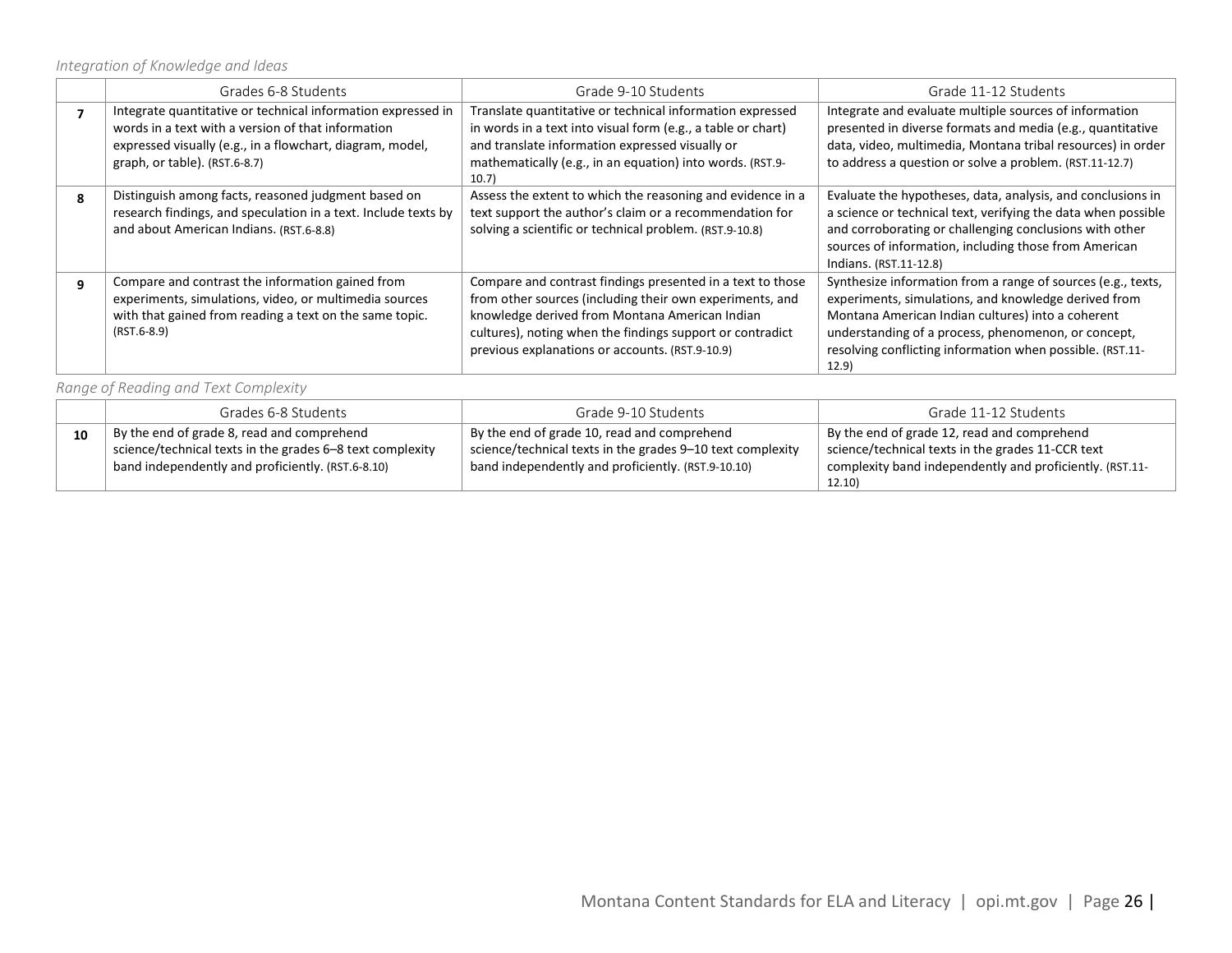*Integration of Knowledge and Ideas*

|   | Grades 6-8 Students                                                                                                                                                                                              | Grade 9-10 Students                                                                                                                                                                                                                                                                      | Grade 11-12 Students                                                                                                                                                                                                                                                                                   |
|---|------------------------------------------------------------------------------------------------------------------------------------------------------------------------------------------------------------------|------------------------------------------------------------------------------------------------------------------------------------------------------------------------------------------------------------------------------------------------------------------------------------------|--------------------------------------------------------------------------------------------------------------------------------------------------------------------------------------------------------------------------------------------------------------------------------------------------------|
|   | Integrate quantitative or technical information expressed in<br>words in a text with a version of that information<br>expressed visually (e.g., in a flowchart, diagram, model,<br>graph, or table). (RST.6-8.7) | Translate quantitative or technical information expressed<br>in words in a text into visual form (e.g., a table or chart)<br>and translate information expressed visually or<br>mathematically (e.g., in an equation) into words. (RST.9-<br>10.7)                                       | Integrate and evaluate multiple sources of information<br>presented in diverse formats and media (e.g., quantitative<br>data, video, multimedia, Montana tribal resources) in order<br>to address a question or solve a problem. (RST.11-12.7)                                                         |
| Я | Distinguish among facts, reasoned judgment based on<br>research findings, and speculation in a text. Include texts by<br>and about American Indians. (RST.6-8.8)                                                 | Assess the extent to which the reasoning and evidence in a<br>text support the author's claim or a recommendation for<br>solving a scientific or technical problem. (RST.9-10.8)                                                                                                         | Evaluate the hypotheses, data, analysis, and conclusions in<br>a science or technical text, verifying the data when possible<br>and corroborating or challenging conclusions with other<br>sources of information, including those from American<br>Indians. (RST.11-12.8)                             |
| q | Compare and contrast the information gained from<br>experiments, simulations, video, or multimedia sources<br>with that gained from reading a text on the same topic.<br>$(RST.6-8.9)$                           | Compare and contrast findings presented in a text to those<br>from other sources (including their own experiments, and<br>knowledge derived from Montana American Indian<br>cultures), noting when the findings support or contradict<br>previous explanations or accounts. (RST.9-10.9) | Synthesize information from a range of sources (e.g., texts,<br>experiments, simulations, and knowledge derived from<br>Montana American Indian cultures) into a coherent<br>understanding of a process, phenomenon, or concept,<br>resolving conflicting information when possible. (RST.11-<br>12.9) |

*Range of Reading and Text Complexity*

|    | Grades 6-8 Students                                       | Grade 9-10 Students                                        | Grade 11-12 Students                                     |
|----|-----------------------------------------------------------|------------------------------------------------------------|----------------------------------------------------------|
| 10 | By the end of grade 8, read and comprehend                | By the end of grade 10, read and comprehend                | By the end of grade 12, read and comprehend              |
|    | science/technical texts in the grades 6-8 text complexity | science/technical texts in the grades 9-10 text complexity | science/technical texts in the grades 11-CCR text        |
|    | band independently and proficiently. (RST.6-8.10)         | band independently and proficiently. (RST.9-10.10)         | complexity band independently and proficiently. (RST.11- |
|    |                                                           |                                                            | 12.10)                                                   |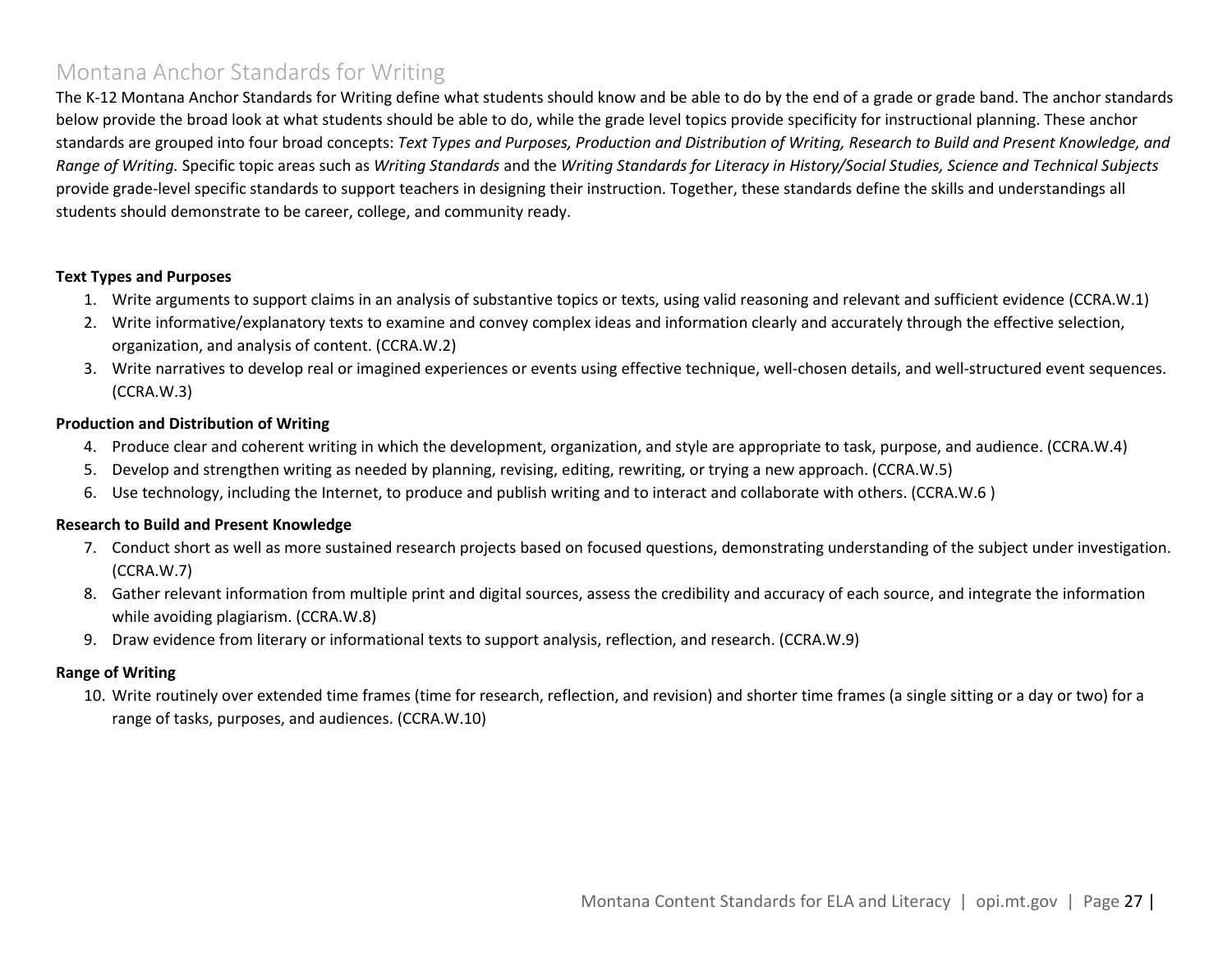### <span id="page-26-0"></span>Montana Anchor Standards for Writing

The K-12 Montana Anchor Standards for Writing define what students should know and be able to do by the end of a grade or grade band. The anchor standards below provide the broad look at what students should be able to do, while the grade level topics provide specificity for instructional planning. These anchor standards are grouped into four broad concepts: *Text Types and Purposes, Production and Distribution of Writing, Research to Build and Present Knowledge, and Range of Writing.* Specific topic areas such as *Writing Standards* and the *Writing Standards for Literacy in History/Social Studies, Science and Technical Subjects* provide grade-level specific standards to support teachers in designing their instruction. Together, these standards define the skills and understandings all students should demonstrate to be career, college, and community ready.

#### **Text Types and Purposes**

- 1. Write arguments to support claims in an analysis of substantive topics or texts, using valid reasoning and relevant and sufficient evidence (CCRA.W.1)
- 2. Write informative/explanatory texts to examine and convey complex ideas and information clearly and accurately through the effective selection, organization, and analysis of content. (CCRA.W.2)
- 3. Write narratives to develop real or imagined experiences or events using effective technique, well-chosen details, and well-structured event sequences. (CCRA.W.3)

#### **Production and Distribution of Writing**

- 4. Produce clear and coherent writing in which the development, organization, and style are appropriate to task, purpose, and audience. (CCRA.W.4)
- 5. Develop and strengthen writing as needed by planning, revising, editing, rewriting, or trying a new approach. (CCRA.W.5)
- 6. Use technology, including the Internet, to produce and publish writing and to interact and collaborate with others. (CCRA.W.6 )

#### **Research to Build and Present Knowledge**

- 7. Conduct short as well as more sustained research projects based on focused questions, demonstrating understanding of the subject under investigation. (CCRA.W.7)
- 8. Gather relevant information from multiple print and digital sources, assess the credibility and accuracy of each source, and integrate the information while avoiding plagiarism. (CCRA.W.8)
- 9. Draw evidence from literary or informational texts to support analysis, reflection, and research. (CCRA.W.9)

#### **Range of Writing**

10. Write routinely over extended time frames (time for research, reflection, and revision) and shorter time frames (a single sitting or a day or two) for a range of tasks, purposes, and audiences. (CCRA.W.10)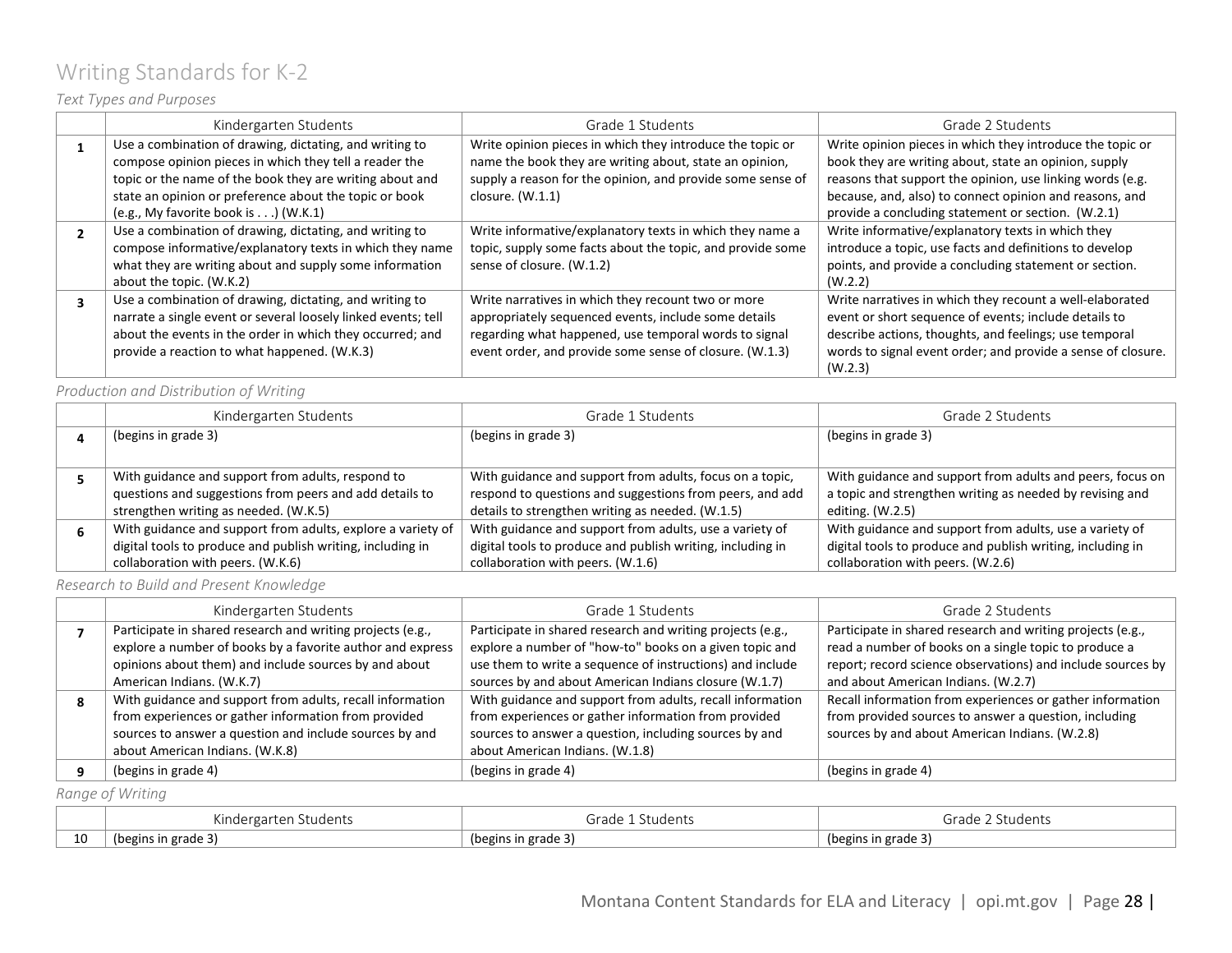# <span id="page-27-0"></span>Writing Standards for K-2

### *Text Types and Purposes*

| Kindergarten Students                                         | Grade 1 Students                                           | Grade 2 Students                                             |
|---------------------------------------------------------------|------------------------------------------------------------|--------------------------------------------------------------|
| Use a combination of drawing, dictating, and writing to       | Write opinion pieces in which they introduce the topic or  | Write opinion pieces in which they introduce the topic or    |
| compose opinion pieces in which they tell a reader the        | name the book they are writing about, state an opinion,    | book they are writing about, state an opinion, supply        |
| topic or the name of the book they are writing about and      | supply a reason for the opinion, and provide some sense of | reasons that support the opinion, use linking words (e.g.    |
| state an opinion or preference about the topic or book        | closure. $(W.1.1)$                                         | because, and, also) to connect opinion and reasons, and      |
| (e.g., My favorite book is) (W.K.1)                           |                                                            | provide a concluding statement or section. (W.2.1)           |
| Use a combination of drawing, dictating, and writing to       | Write informative/explanatory texts in which they name a   | Write informative/explanatory texts in which they            |
| compose informative/explanatory texts in which they name      | topic, supply some facts about the topic, and provide some | introduce a topic, use facts and definitions to develop      |
| what they are writing about and supply some information       | sense of closure. (W.1.2)                                  | points, and provide a concluding statement or section.       |
| about the topic. (W.K.2)                                      |                                                            | (W.2.2)                                                      |
| Use a combination of drawing, dictating, and writing to       | Write narratives in which they recount two or more         | Write narratives in which they recount a well-elaborated     |
| narrate a single event or several loosely linked events; tell | appropriately sequenced events, include some details       | event or short sequence of events; include details to        |
| about the events in the order in which they occurred; and     | regarding what happened, use temporal words to signal      | describe actions, thoughts, and feelings; use temporal       |
| provide a reaction to what happened. (W.K.3)                  | event order, and provide some sense of closure. (W.1.3)    | words to signal event order; and provide a sense of closure. |
|                                                               |                                                            | (W.2.3)                                                      |

*Production and Distribution of Writing*

|   | Kindergarten Students                                       | Grade 1 Students                                           | Grade 2 Students                                           |
|---|-------------------------------------------------------------|------------------------------------------------------------|------------------------------------------------------------|
|   | (begins in grade 3)                                         | (begins in grade 3)                                        | (begins in grade 3)                                        |
|   |                                                             |                                                            |                                                            |
|   | With guidance and support from adults, respond to           | With guidance and support from adults, focus on a topic,   | With guidance and support from adults and peers, focus on  |
|   | questions and suggestions from peers and add details to     | respond to questions and suggestions from peers, and add   | a topic and strengthen writing as needed by revising and   |
|   | strengthen writing as needed. (W.K.5)                       | details to strengthen writing as needed. (W.1.5)           | editing. $(W.2.5)$                                         |
| h | With guidance and support from adults, explore a variety of | With guidance and support from adults, use a variety of    | With guidance and support from adults, use a variety of    |
|   | digital tools to produce and publish writing, including in  | digital tools to produce and publish writing, including in | digital tools to produce and publish writing, including in |
|   | collaboration with peers. (W.K.6)                           | collaboration with peers. (W.1.6)                          | collaboration with peers. (W.2.6)                          |

*Research to Build and Present Knowledge*

| Kindergarten Students                                      | Grade 1 Students                                           | Grade 2 Students                                            |
|------------------------------------------------------------|------------------------------------------------------------|-------------------------------------------------------------|
| Participate in shared research and writing projects (e.g., | Participate in shared research and writing projects (e.g., | Participate in shared research and writing projects (e.g.,  |
| explore a number of books by a favorite author and express | explore a number of "how-to" books on a given topic and    | read a number of books on a single topic to produce a       |
| opinions about them) and include sources by and about      | use them to write a sequence of instructions) and include  | report; record science observations) and include sources by |
| American Indians. (W.K.7)                                  | sources by and about American Indians closure (W.1.7)      | and about American Indians. (W.2.7)                         |
| With guidance and support from adults, recall information  | With guidance and support from adults, recall information  | Recall information from experiences or gather information   |
| from experiences or gather information from provided       | from experiences or gather information from provided       | from provided sources to answer a question, including       |
| sources to answer a question and include sources by and    | sources to answer a question, including sources by and     | sources by and about American Indians. (W.2.8)              |
| about American Indians. (W.K.8)                            | about American Indians. (W.1.8)                            |                                                             |
| (begins in grade 4)                                        | (begins in grade 4)                                        | (begins in grade 4)                                         |

*Range of Writing*

|    | $\cdots$<br>Students<br>∵≏n<br>Kinde<br>$\overline{1}$ | .<br>rod.<br>idents<br>araue | irade<br>tudents    |
|----|--------------------------------------------------------|------------------------------|---------------------|
| 10 | $\sim$<br>(begins in grade)                            | (begins in grade 3)          | (begins in grade 3) |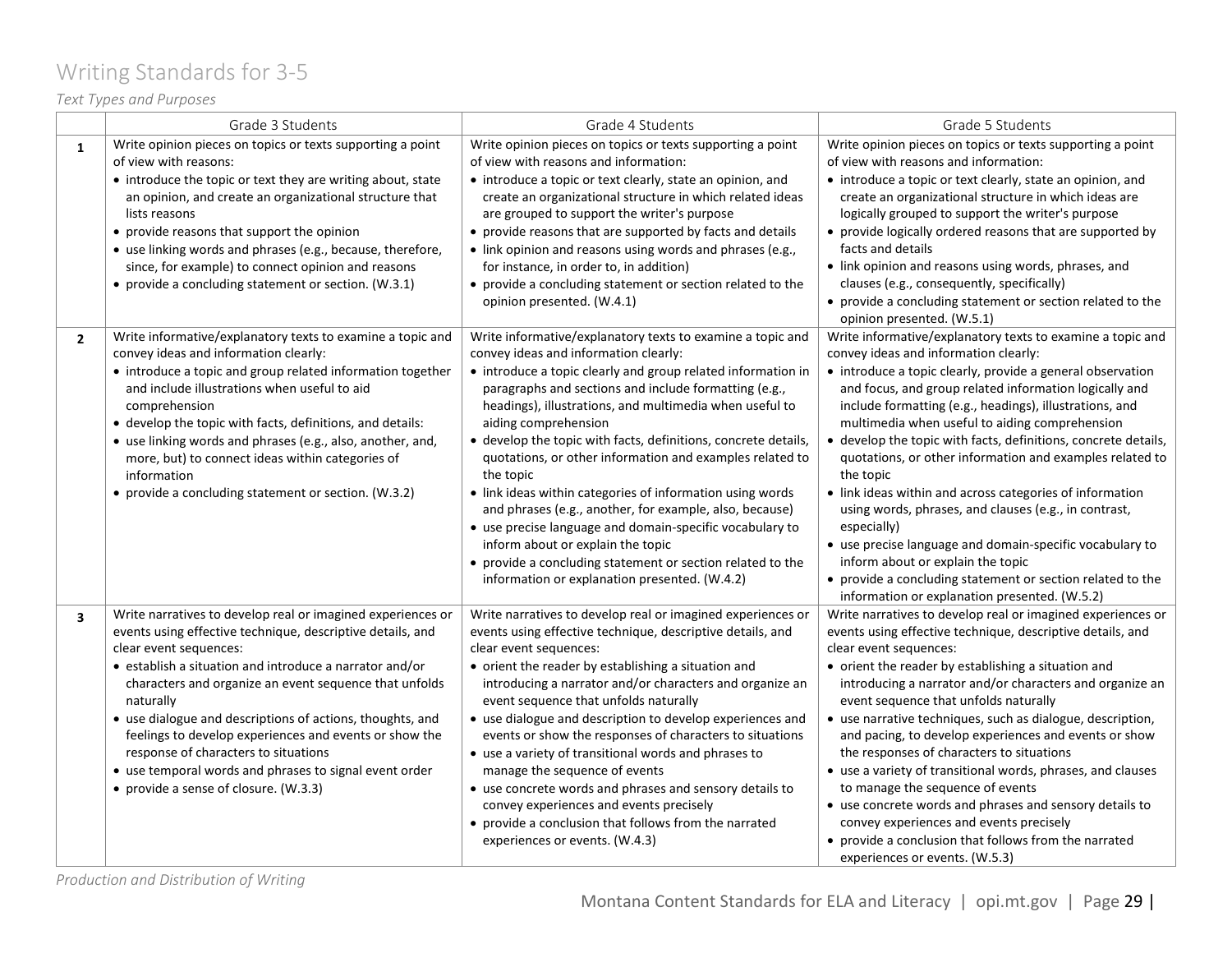# <span id="page-28-0"></span>Writing Standards for 3-5

### *Text Types and Purposes*

|                         | Grade 3 Students                                                                                                                                                                                                                                                                                                                                                                                                                                                                                                                                        | Grade 4 Students                                                                                                                                                                                                                                                                                                                                                                                                                                                                                                                                                                                                                                                                                                                                                                                   | Grade 5 Students                                                                                                                                                                                                                                                                                                                                                                                                                                                                                                                                                                                                                                                                                                                                                                                                                        |
|-------------------------|---------------------------------------------------------------------------------------------------------------------------------------------------------------------------------------------------------------------------------------------------------------------------------------------------------------------------------------------------------------------------------------------------------------------------------------------------------------------------------------------------------------------------------------------------------|----------------------------------------------------------------------------------------------------------------------------------------------------------------------------------------------------------------------------------------------------------------------------------------------------------------------------------------------------------------------------------------------------------------------------------------------------------------------------------------------------------------------------------------------------------------------------------------------------------------------------------------------------------------------------------------------------------------------------------------------------------------------------------------------------|-----------------------------------------------------------------------------------------------------------------------------------------------------------------------------------------------------------------------------------------------------------------------------------------------------------------------------------------------------------------------------------------------------------------------------------------------------------------------------------------------------------------------------------------------------------------------------------------------------------------------------------------------------------------------------------------------------------------------------------------------------------------------------------------------------------------------------------------|
| $\mathbf{1}$            | Write opinion pieces on topics or texts supporting a point<br>of view with reasons:<br>• introduce the topic or text they are writing about, state<br>an opinion, and create an organizational structure that<br>lists reasons<br>• provide reasons that support the opinion<br>• use linking words and phrases (e.g., because, therefore,<br>since, for example) to connect opinion and reasons<br>• provide a concluding statement or section. (W.3.1)                                                                                                | Write opinion pieces on topics or texts supporting a point<br>of view with reasons and information:<br>• introduce a topic or text clearly, state an opinion, and<br>create an organizational structure in which related ideas<br>are grouped to support the writer's purpose<br>• provide reasons that are supported by facts and details<br>• link opinion and reasons using words and phrases (e.g.,<br>for instance, in order to, in addition)<br>• provide a concluding statement or section related to the<br>opinion presented. (W.4.1)                                                                                                                                                                                                                                                     | Write opinion pieces on topics or texts supporting a point<br>of view with reasons and information:<br>• introduce a topic or text clearly, state an opinion, and<br>create an organizational structure in which ideas are<br>logically grouped to support the writer's purpose<br>• provide logically ordered reasons that are supported by<br>facts and details<br>• link opinion and reasons using words, phrases, and<br>clauses (e.g., consequently, specifically)<br>• provide a concluding statement or section related to the<br>opinion presented. (W.5.1)                                                                                                                                                                                                                                                                     |
| $\overline{2}$          | Write informative/explanatory texts to examine a topic and<br>convey ideas and information clearly:<br>• introduce a topic and group related information together<br>and include illustrations when useful to aid<br>comprehension<br>• develop the topic with facts, definitions, and details:<br>• use linking words and phrases (e.g., also, another, and,<br>more, but) to connect ideas within categories of<br>information<br>• provide a concluding statement or section. (W.3.2)                                                                | Write informative/explanatory texts to examine a topic and<br>convey ideas and information clearly:<br>• introduce a topic clearly and group related information in<br>paragraphs and sections and include formatting (e.g.,<br>headings), illustrations, and multimedia when useful to<br>aiding comprehension<br>• develop the topic with facts, definitions, concrete details,<br>quotations, or other information and examples related to<br>the topic<br>• link ideas within categories of information using words<br>and phrases (e.g., another, for example, also, because)<br>• use precise language and domain-specific vocabulary to<br>inform about or explain the topic<br>• provide a concluding statement or section related to the<br>information or explanation presented. (W.4.2) | Write informative/explanatory texts to examine a topic and<br>convey ideas and information clearly:<br>• introduce a topic clearly, provide a general observation<br>and focus, and group related information logically and<br>include formatting (e.g., headings), illustrations, and<br>multimedia when useful to aiding comprehension<br>• develop the topic with facts, definitions, concrete details,<br>quotations, or other information and examples related to<br>the topic<br>• link ideas within and across categories of information<br>using words, phrases, and clauses (e.g., in contrast,<br>especially)<br>• use precise language and domain-specific vocabulary to<br>inform about or explain the topic<br>• provide a concluding statement or section related to the<br>information or explanation presented. (W.5.2) |
| $\overline{\mathbf{3}}$ | Write narratives to develop real or imagined experiences or<br>events using effective technique, descriptive details, and<br>clear event sequences:<br>• establish a situation and introduce a narrator and/or<br>characters and organize an event sequence that unfolds<br>naturally<br>• use dialogue and descriptions of actions, thoughts, and<br>feelings to develop experiences and events or show the<br>response of characters to situations<br>• use temporal words and phrases to signal event order<br>• provide a sense of closure. (W.3.3) | Write narratives to develop real or imagined experiences or<br>events using effective technique, descriptive details, and<br>clear event sequences:<br>• orient the reader by establishing a situation and<br>introducing a narrator and/or characters and organize an<br>event sequence that unfolds naturally<br>• use dialogue and description to develop experiences and<br>events or show the responses of characters to situations<br>• use a variety of transitional words and phrases to<br>manage the sequence of events<br>• use concrete words and phrases and sensory details to<br>convey experiences and events precisely<br>• provide a conclusion that follows from the narrated<br>experiences or events. (W.4.3)                                                                 | Write narratives to develop real or imagined experiences or<br>events using effective technique, descriptive details, and<br>clear event sequences:<br>• orient the reader by establishing a situation and<br>introducing a narrator and/or characters and organize an<br>event sequence that unfolds naturally<br>• use narrative techniques, such as dialogue, description,<br>and pacing, to develop experiences and events or show<br>the responses of characters to situations<br>• use a variety of transitional words, phrases, and clauses<br>to manage the sequence of events<br>• use concrete words and phrases and sensory details to<br>convey experiences and events precisely<br>• provide a conclusion that follows from the narrated<br>experiences or events. (W.5.3)                                                 |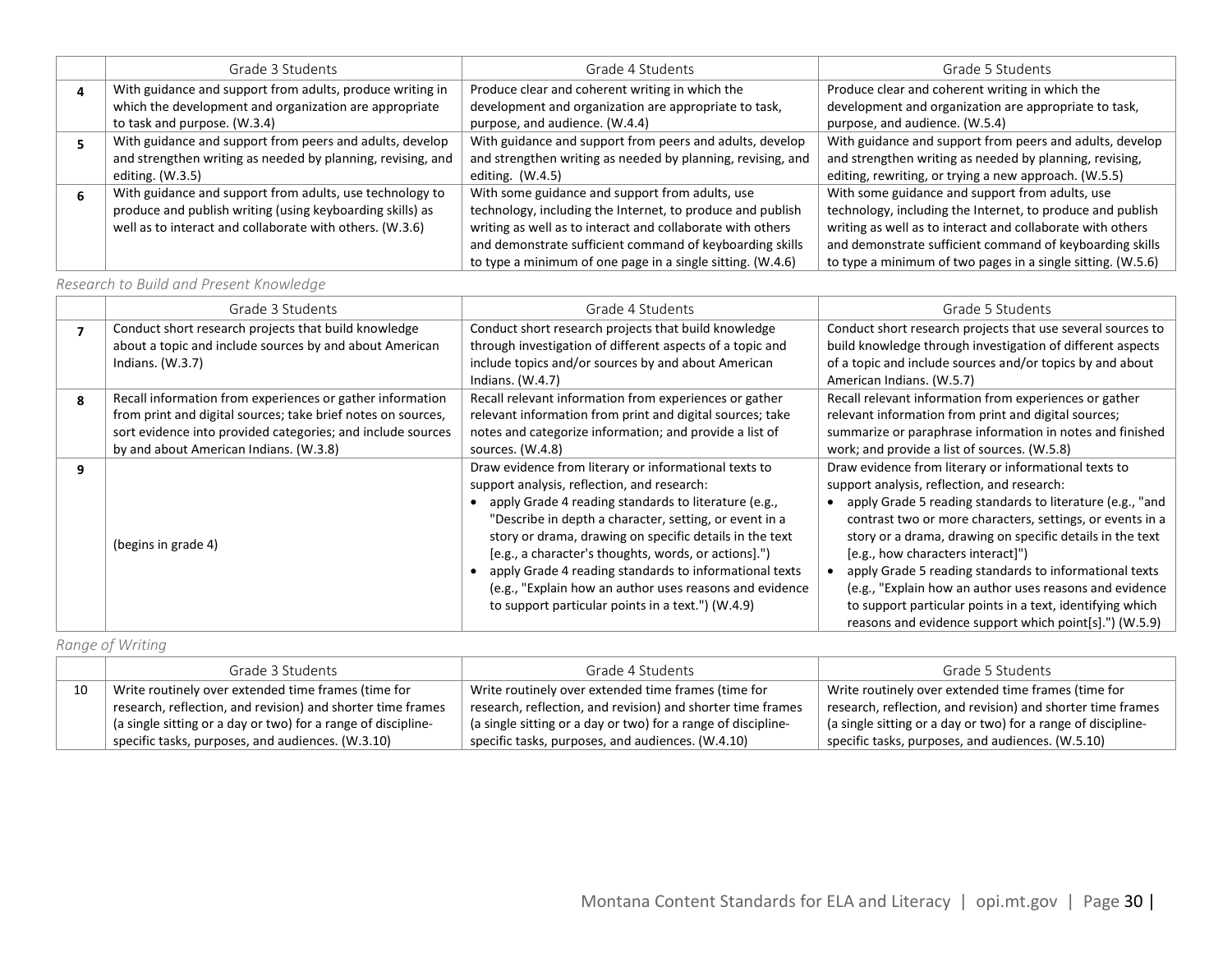| Grade 3 Students                                            | Grade 4 Students                                            | Grade 5 Students                                            |
|-------------------------------------------------------------|-------------------------------------------------------------|-------------------------------------------------------------|
| With guidance and support from adults, produce writing in   | Produce clear and coherent writing in which the             | Produce clear and coherent writing in which the             |
| which the development and organization are appropriate      | development and organization are appropriate to task,       | development and organization are appropriate to task,       |
| to task and purpose. (W.3.4)                                | purpose, and audience. (W.4.4)                              | purpose, and audience. (W.5.4)                              |
| With guidance and support from peers and adults, develop    | With guidance and support from peers and adults, develop    | With guidance and support from peers and adults, develop    |
| and strengthen writing as needed by planning, revising, and | and strengthen writing as needed by planning, revising, and | and strengthen writing as needed by planning, revising,     |
| editing. $(W.3.5)$                                          | editing. $(W.4.5)$                                          | editing, rewriting, or trying a new approach. (W.5.5)       |
| With guidance and support from adults, use technology to    | With some guidance and support from adults, use             | With some guidance and support from adults, use             |
| produce and publish writing (using keyboarding skills) as   | technology, including the Internet, to produce and publish  | technology, including the Internet, to produce and publish  |
| well as to interact and collaborate with others. (W.3.6)    | writing as well as to interact and collaborate with others  | writing as well as to interact and collaborate with others  |
|                                                             | and demonstrate sufficient command of keyboarding skills    | and demonstrate sufficient command of keyboarding skills    |
|                                                             | to type a minimum of one page in a single sitting. (W.4.6)  | to type a minimum of two pages in a single sitting. (W.5.6) |

### *Research to Build and Present Knowledge*

|   | Grade 3 Students                                             | Grade 4 Students                                          | Grade 5 Students                                            |
|---|--------------------------------------------------------------|-----------------------------------------------------------|-------------------------------------------------------------|
| 7 | Conduct short research projects that build knowledge         | Conduct short research projects that build knowledge      | Conduct short research projects that use several sources to |
|   | about a topic and include sources by and about American      | through investigation of different aspects of a topic and | build knowledge through investigation of different aspects  |
|   | Indians. $(W.3.7)$                                           | include topics and/or sources by and about American       | of a topic and include sources and/or topics by and about   |
|   |                                                              | Indians. $(W.4.7)$                                        | American Indians. (W.5.7)                                   |
| 8 | Recall information from experiences or gather information    | Recall relevant information from experiences or gather    | Recall relevant information from experiences or gather      |
|   | from print and digital sources; take brief notes on sources, | relevant information from print and digital sources; take | relevant information from print and digital sources;        |
|   | sort evidence into provided categories; and include sources  | notes and categorize information; and provide a list of   | summarize or paraphrase information in notes and finished   |
|   | by and about American Indians. (W.3.8)                       | sources. (W.4.8)                                          | work; and provide a list of sources. (W.5.8)                |
| 9 |                                                              | Draw evidence from literary or informational texts to     | Draw evidence from literary or informational texts to       |
|   |                                                              | support analysis, reflection, and research:               | support analysis, reflection, and research:                 |
|   |                                                              | apply Grade 4 reading standards to literature (e.g.,      | apply Grade 5 reading standards to literature (e.g., "and   |
|   |                                                              | "Describe in depth a character, setting, or event in a    | contrast two or more characters, settings, or events in a   |
|   | (begins in grade 4)                                          | story or drama, drawing on specific details in the text   | story or a drama, drawing on specific details in the text   |
|   |                                                              | [e.g., a character's thoughts, words, or actions].")      | [e.g., how characters interact]")                           |
|   |                                                              | apply Grade 4 reading standards to informational texts    | apply Grade 5 reading standards to informational texts      |
|   |                                                              | (e.g., "Explain how an author uses reasons and evidence   | (e.g., "Explain how an author uses reasons and evidence     |
|   |                                                              | to support particular points in a text.") (W.4.9)         | to support particular points in a text, identifying which   |
|   |                                                              |                                                           | reasons and evidence support which point[s].") (W.5.9)      |

### *Range of Writing*

|    | Grade 3 Students                                                    | Grade 4 Students                                                           | Grade 5 Students                                              |
|----|---------------------------------------------------------------------|----------------------------------------------------------------------------|---------------------------------------------------------------|
| 10 | Write routinely over extended time frames (time for                 | Write routinely over extended time frames (time for                        | Write routinely over extended time frames (time for           |
|    | research, reflection, and revision) and shorter time frames         | research, reflection, and revision) and shorter time frames                | research, reflection, and revision) and shorter time frames   |
|    | $\pm$ (a single sitting or a day or two) for a range of discipline- | <sup>1</sup> (a single sitting or a day or two) for a range of discipline- | (a single sitting or a day or two) for a range of discipline- |
|    | specific tasks, purposes, and audiences. (W.3.10)                   | specific tasks, purposes, and audiences. (W.4.10)                          | specific tasks, purposes, and audiences. (W.5.10)             |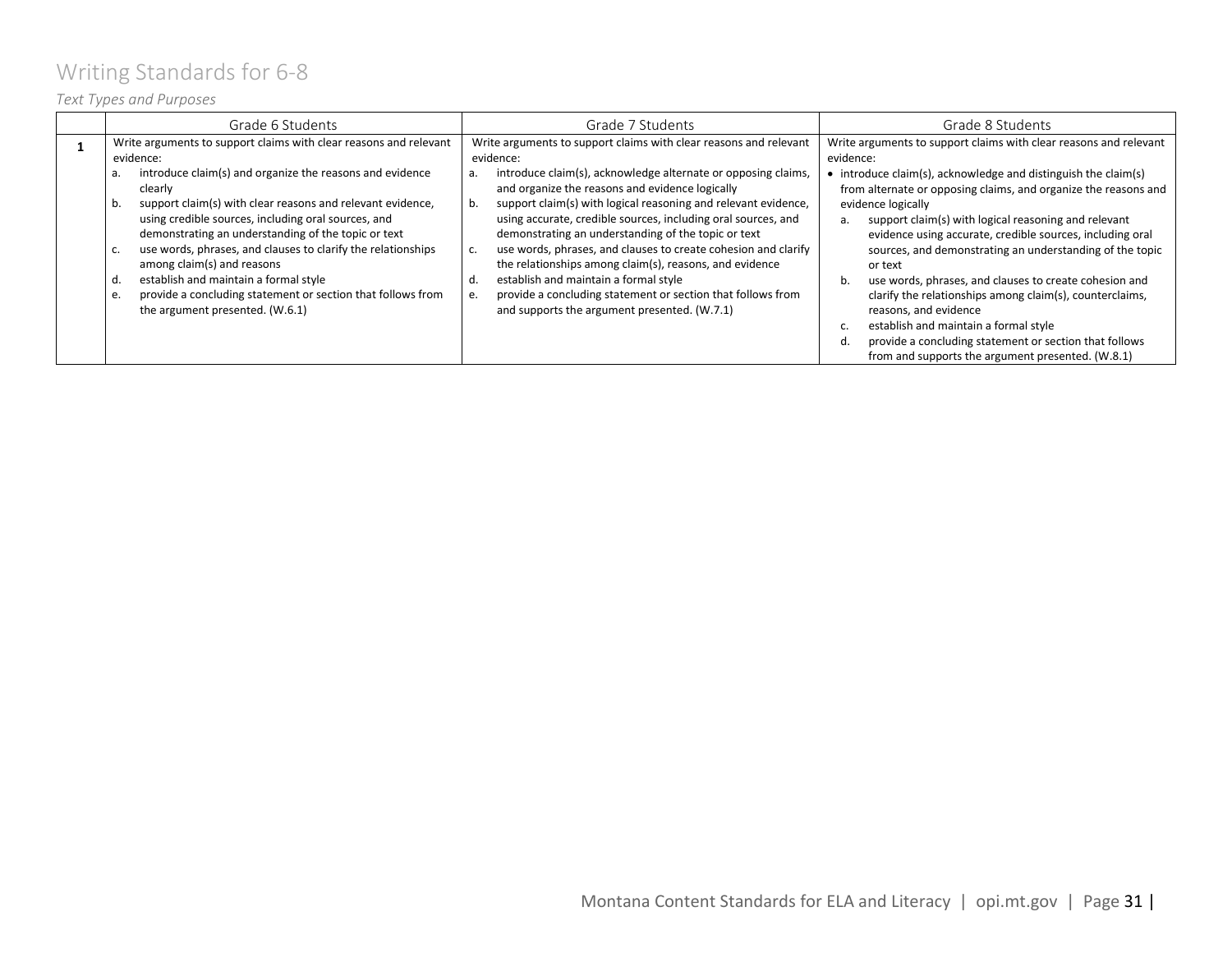# <span id="page-30-0"></span>Writing Standards for 6-8

### *Text Types and Purposes*

| Grade 6 Students                                                                                                                                                                                                                                                                                                                                                                                                                                                                                                       | Grade 7 Students                                                                                                                                                                                                                                                                                                                                                                                                                                                                                                                                                                                                              | Grade 8 Students                                                                                                                                                                                                                                                                                                                                                                                                                                                                                                                                                                                                                                               |
|------------------------------------------------------------------------------------------------------------------------------------------------------------------------------------------------------------------------------------------------------------------------------------------------------------------------------------------------------------------------------------------------------------------------------------------------------------------------------------------------------------------------|-------------------------------------------------------------------------------------------------------------------------------------------------------------------------------------------------------------------------------------------------------------------------------------------------------------------------------------------------------------------------------------------------------------------------------------------------------------------------------------------------------------------------------------------------------------------------------------------------------------------------------|----------------------------------------------------------------------------------------------------------------------------------------------------------------------------------------------------------------------------------------------------------------------------------------------------------------------------------------------------------------------------------------------------------------------------------------------------------------------------------------------------------------------------------------------------------------------------------------------------------------------------------------------------------------|
| Write arguments to support claims with clear reasons and relevant<br>evidence:                                                                                                                                                                                                                                                                                                                                                                                                                                         | Write arguments to support claims with clear reasons and relevant<br>evidence:                                                                                                                                                                                                                                                                                                                                                                                                                                                                                                                                                | Write arguments to support claims with clear reasons and relevant<br>evidence:                                                                                                                                                                                                                                                                                                                                                                                                                                                                                                                                                                                 |
| introduce claim(s) and organize the reasons and evidence<br>а.<br>clearly<br>support claim(s) with clear reasons and relevant evidence,<br>b.<br>using credible sources, including oral sources, and<br>demonstrating an understanding of the topic or text<br>use words, phrases, and clauses to clarify the relationships<br>C.<br>among claim(s) and reasons<br>establish and maintain a formal style<br>a.<br>provide a concluding statement or section that follows from<br>e.<br>the argument presented. (W.6.1) | introduce claim(s), acknowledge alternate or opposing claims,<br>а.<br>and organize the reasons and evidence logically<br>support claim(s) with logical reasoning and relevant evidence,<br>b.<br>using accurate, credible sources, including oral sources, and<br>demonstrating an understanding of the topic or text<br>use words, phrases, and clauses to create cohesion and clarify<br>c.<br>the relationships among claim(s), reasons, and evidence<br>establish and maintain a formal style<br>d.<br>provide a concluding statement or section that follows from<br>е.<br>and supports the argument presented. (W.7.1) | introduce claim(s), acknowledge and distinguish the claim(s)<br>from alternate or opposing claims, and organize the reasons and<br>evidence logically<br>support claim(s) with logical reasoning and relevant<br>evidence using accurate, credible sources, including oral<br>sources, and demonstrating an understanding of the topic<br>or text<br>use words, phrases, and clauses to create cohesion and<br>b.<br>clarify the relationships among claim(s), counterclaims,<br>reasons, and evidence<br>establish and maintain a formal style<br>provide a concluding statement or section that follows<br>from and supports the argument presented. (W.8.1) |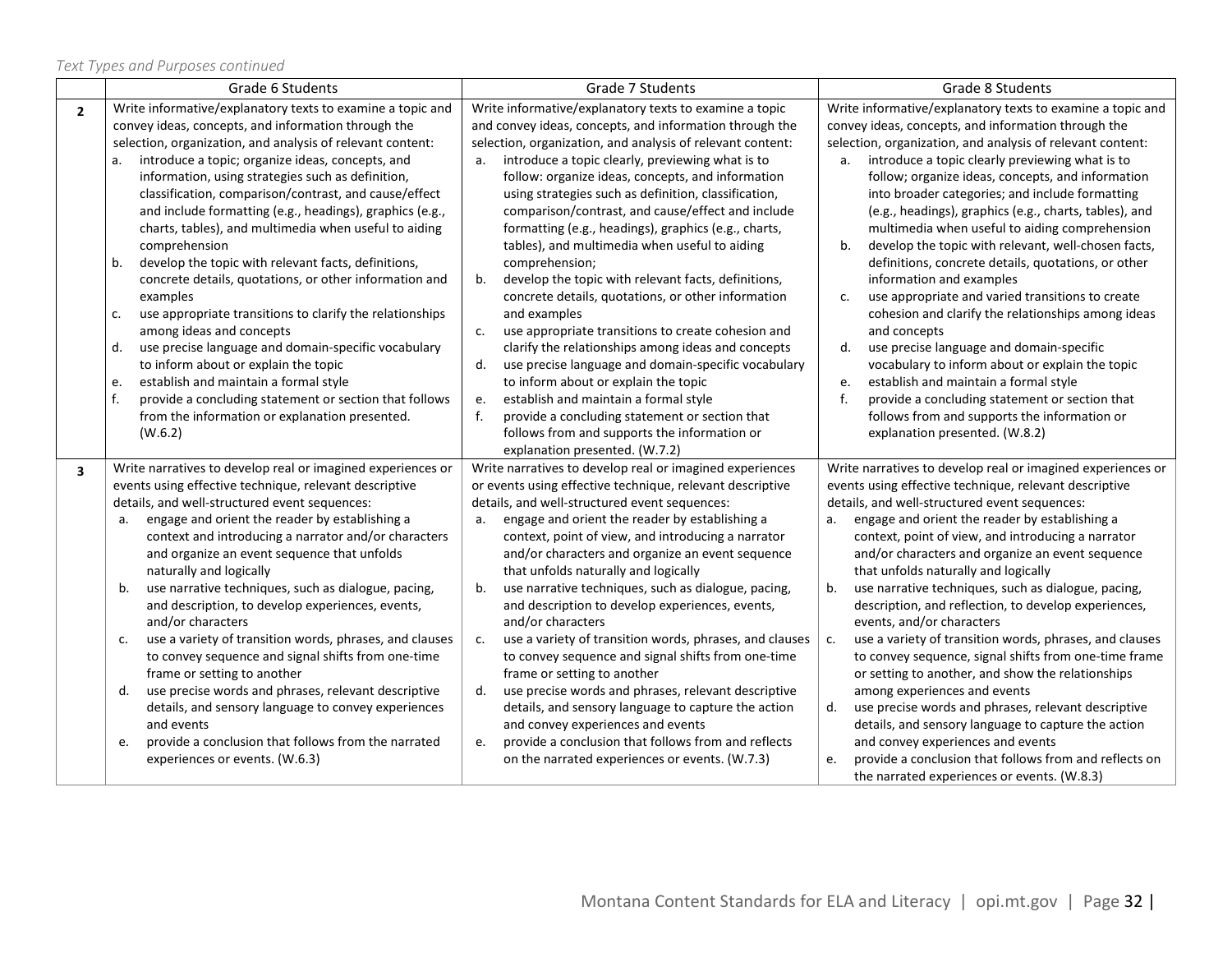*Text Types and Purposes continued*

|                         | Grade 6 Students                                                                                                                                                                                                                                                                                                                                                                                                                                                                                                                                                                                                                                                                                                                                                                                                                                                                                                                                                                                          | Grade 7 Students                                                                                                                                                                                                                                                                                                                                                                                                                                                                                                                                                                                                                                                                                                                                                                                                                                                                                                                                                                                                                                                                          | Grade 8 Students                                                                                                                                                                                                                                                                                                                                                                                                                                                                                                                                                                                                                                                                                                                                                                                                                                                                                                                                                                                                                        |  |
|-------------------------|-----------------------------------------------------------------------------------------------------------------------------------------------------------------------------------------------------------------------------------------------------------------------------------------------------------------------------------------------------------------------------------------------------------------------------------------------------------------------------------------------------------------------------------------------------------------------------------------------------------------------------------------------------------------------------------------------------------------------------------------------------------------------------------------------------------------------------------------------------------------------------------------------------------------------------------------------------------------------------------------------------------|-------------------------------------------------------------------------------------------------------------------------------------------------------------------------------------------------------------------------------------------------------------------------------------------------------------------------------------------------------------------------------------------------------------------------------------------------------------------------------------------------------------------------------------------------------------------------------------------------------------------------------------------------------------------------------------------------------------------------------------------------------------------------------------------------------------------------------------------------------------------------------------------------------------------------------------------------------------------------------------------------------------------------------------------------------------------------------------------|-----------------------------------------------------------------------------------------------------------------------------------------------------------------------------------------------------------------------------------------------------------------------------------------------------------------------------------------------------------------------------------------------------------------------------------------------------------------------------------------------------------------------------------------------------------------------------------------------------------------------------------------------------------------------------------------------------------------------------------------------------------------------------------------------------------------------------------------------------------------------------------------------------------------------------------------------------------------------------------------------------------------------------------------|--|
| $\overline{2}$          | Write informative/explanatory texts to examine a topic and<br>convey ideas, concepts, and information through the<br>selection, organization, and analysis of relevant content:<br>introduce a topic; organize ideas, concepts, and<br>information, using strategies such as definition,<br>classification, comparison/contrast, and cause/effect<br>and include formatting (e.g., headings), graphics (e.g.,<br>charts, tables), and multimedia when useful to aiding<br>comprehension<br>develop the topic with relevant facts, definitions,<br>b.<br>concrete details, quotations, or other information and<br>examples<br>use appropriate transitions to clarify the relationships<br>c.<br>among ideas and concepts<br>use precise language and domain-specific vocabulary<br>d.<br>to inform about or explain the topic<br>establish and maintain a formal style<br>e.<br>f.<br>provide a concluding statement or section that follows<br>from the information or explanation presented.<br>(W.6.2) | Write informative/explanatory texts to examine a topic<br>and convey ideas, concepts, and information through the<br>selection, organization, and analysis of relevant content:<br>introduce a topic clearly, previewing what is to<br>a.<br>follow: organize ideas, concepts, and information<br>using strategies such as definition, classification,<br>comparison/contrast, and cause/effect and include<br>formatting (e.g., headings), graphics (e.g., charts,<br>tables), and multimedia when useful to aiding<br>comprehension;<br>develop the topic with relevant facts, definitions,<br>b.<br>concrete details, quotations, or other information<br>and examples<br>use appropriate transitions to create cohesion and<br>c.<br>clarify the relationships among ideas and concepts<br>use precise language and domain-specific vocabulary<br>d.<br>to inform about or explain the topic<br>establish and maintain a formal style<br>e.<br>f.<br>provide a concluding statement or section that<br>follows from and supports the information or<br>explanation presented. (W.7.2) | Write informative/explanatory texts to examine a topic and<br>convey ideas, concepts, and information through the<br>selection, organization, and analysis of relevant content:<br>a. introduce a topic clearly previewing what is to<br>follow; organize ideas, concepts, and information<br>into broader categories; and include formatting<br>(e.g., headings), graphics (e.g., charts, tables), and<br>multimedia when useful to aiding comprehension<br>develop the topic with relevant, well-chosen facts,<br>b.<br>definitions, concrete details, quotations, or other<br>information and examples<br>use appropriate and varied transitions to create<br>c.<br>cohesion and clarify the relationships among ideas<br>and concepts<br>use precise language and domain-specific<br>d.<br>vocabulary to inform about or explain the topic<br>establish and maintain a formal style<br>e.<br>f.<br>provide a concluding statement or section that<br>follows from and supports the information or<br>explanation presented. (W.8.2) |  |
| $\overline{\mathbf{3}}$ | Write narratives to develop real or imagined experiences or<br>events using effective technique, relevant descriptive<br>details, and well-structured event sequences:<br>engage and orient the reader by establishing a<br>а.<br>context and introducing a narrator and/or characters<br>and organize an event sequence that unfolds<br>naturally and logically<br>use narrative techniques, such as dialogue, pacing,<br>b.<br>and description, to develop experiences, events,<br>and/or characters<br>use a variety of transition words, phrases, and clauses<br>c.<br>to convey sequence and signal shifts from one-time<br>frame or setting to another<br>use precise words and phrases, relevant descriptive<br>d.<br>details, and sensory language to convey experiences<br>and events<br>provide a conclusion that follows from the narrated<br>e.<br>experiences or events. (W.6.3)                                                                                                             | Write narratives to develop real or imagined experiences<br>or events using effective technique, relevant descriptive<br>details, and well-structured event sequences:<br>engage and orient the reader by establishing a<br>a.<br>context, point of view, and introducing a narrator<br>and/or characters and organize an event sequence<br>that unfolds naturally and logically<br>b.<br>use narrative techniques, such as dialogue, pacing,<br>and description to develop experiences, events,<br>and/or characters<br>use a variety of transition words, phrases, and clauses<br>c.<br>to convey sequence and signal shifts from one-time<br>frame or setting to another<br>d.<br>use precise words and phrases, relevant descriptive<br>details, and sensory language to capture the action<br>and convey experiences and events<br>provide a conclusion that follows from and reflects<br>e.<br>on the narrated experiences or events. (W.7.3)                                                                                                                                       | Write narratives to develop real or imagined experiences or<br>events using effective technique, relevant descriptive<br>details, and well-structured event sequences:<br>engage and orient the reader by establishing a<br>a.<br>context, point of view, and introducing a narrator<br>and/or characters and organize an event sequence<br>that unfolds naturally and logically<br>b <sub>1</sub><br>use narrative techniques, such as dialogue, pacing,<br>description, and reflection, to develop experiences,<br>events, and/or characters<br>use a variety of transition words, phrases, and clauses<br>c.<br>to convey sequence, signal shifts from one-time frame<br>or setting to another, and show the relationships<br>among experiences and events<br>d.<br>use precise words and phrases, relevant descriptive<br>details, and sensory language to capture the action<br>and convey experiences and events<br>provide a conclusion that follows from and reflects on<br>e.<br>the narrated experiences or events. (W.8.3)   |  |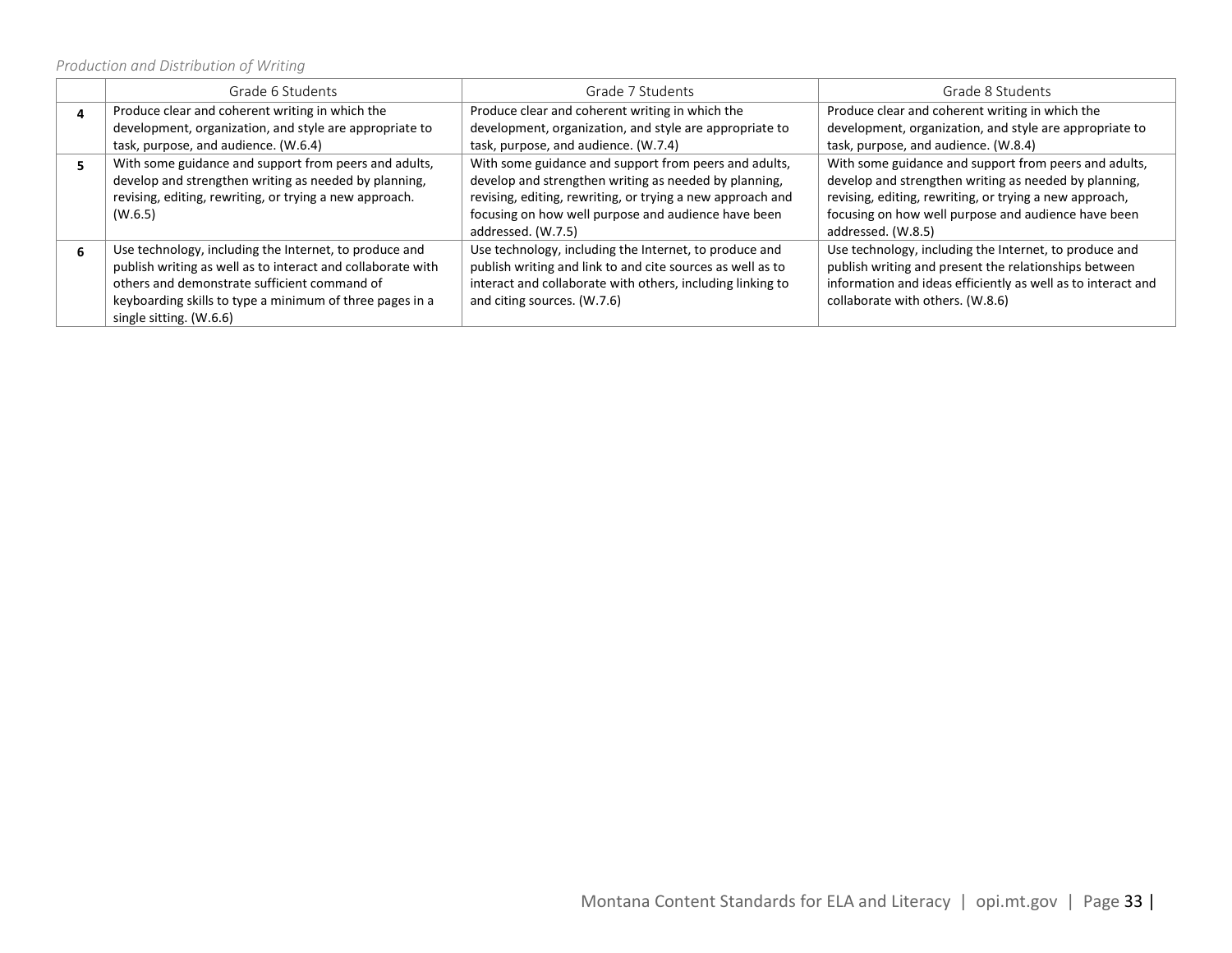*Production and Distribution of Writing*

| Grade 6 Students                                            | Grade 7 Students                                           | Grade 8 Students                                             |
|-------------------------------------------------------------|------------------------------------------------------------|--------------------------------------------------------------|
| Produce clear and coherent writing in which the             | Produce clear and coherent writing in which the            | Produce clear and coherent writing in which the              |
| development, organization, and style are appropriate to     | development, organization, and style are appropriate to    | development, organization, and style are appropriate to      |
| task, purpose, and audience. (W.6.4)                        | task, purpose, and audience. (W.7.4)                       | task, purpose, and audience. (W.8.4)                         |
| With some guidance and support from peers and adults,       | With some guidance and support from peers and adults,      | With some guidance and support from peers and adults,        |
| develop and strengthen writing as needed by planning,       | develop and strengthen writing as needed by planning,      | develop and strengthen writing as needed by planning,        |
| revising, editing, rewriting, or trying a new approach.     | revising, editing, rewriting, or trying a new approach and | revising, editing, rewriting, or trying a new approach,      |
| (W.6.5)                                                     | focusing on how well purpose and audience have been        | focusing on how well purpose and audience have been          |
|                                                             | addressed. (W.7.5)                                         | addressed. (W.8.5)                                           |
| Use technology, including the Internet, to produce and      | Use technology, including the Internet, to produce and     | Use technology, including the Internet, to produce and       |
| publish writing as well as to interact and collaborate with | publish writing and link to and cite sources as well as to | publish writing and present the relationships between        |
| others and demonstrate sufficient command of                | interact and collaborate with others, including linking to | information and ideas efficiently as well as to interact and |
| keyboarding skills to type a minimum of three pages in a    | and citing sources. (W.7.6)                                | collaborate with others. (W.8.6)                             |
| single sitting. (W.6.6)                                     |                                                            |                                                              |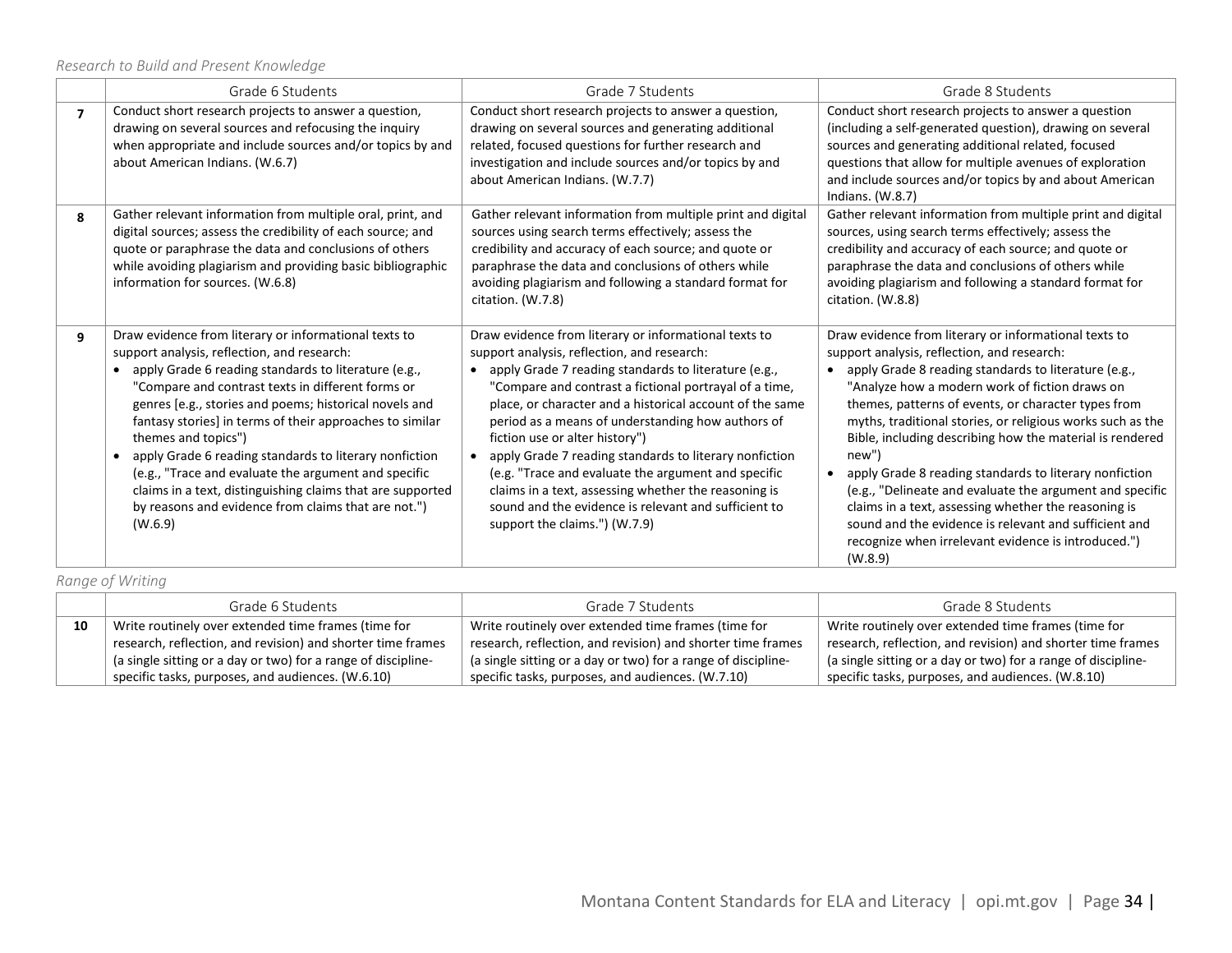*Research to Build and Present Knowledge*

|   | Grade 6 Students                                                                                                                                                                                                                                                                                                                                                                                                                                                                                                                                                                                                   | Grade 7 Students                                                                                                                                                                                                                                                                                                                                                                                                                                                                                                                                                                                                                              | Grade 8 Students                                                                                                                                                                                                                                                                                                                                                                                                                                                                                                                                                                                                                                                                                                  |  |
|---|--------------------------------------------------------------------------------------------------------------------------------------------------------------------------------------------------------------------------------------------------------------------------------------------------------------------------------------------------------------------------------------------------------------------------------------------------------------------------------------------------------------------------------------------------------------------------------------------------------------------|-----------------------------------------------------------------------------------------------------------------------------------------------------------------------------------------------------------------------------------------------------------------------------------------------------------------------------------------------------------------------------------------------------------------------------------------------------------------------------------------------------------------------------------------------------------------------------------------------------------------------------------------------|-------------------------------------------------------------------------------------------------------------------------------------------------------------------------------------------------------------------------------------------------------------------------------------------------------------------------------------------------------------------------------------------------------------------------------------------------------------------------------------------------------------------------------------------------------------------------------------------------------------------------------------------------------------------------------------------------------------------|--|
| 7 | Conduct short research projects to answer a question,<br>drawing on several sources and refocusing the inquiry<br>when appropriate and include sources and/or topics by and<br>about American Indians. (W.6.7)                                                                                                                                                                                                                                                                                                                                                                                                     | Conduct short research projects to answer a question,<br>drawing on several sources and generating additional<br>related, focused questions for further research and<br>investigation and include sources and/or topics by and<br>about American Indians. (W.7.7)                                                                                                                                                                                                                                                                                                                                                                             | Conduct short research projects to answer a question<br>(including a self-generated question), drawing on several<br>sources and generating additional related, focused<br>questions that allow for multiple avenues of exploration<br>and include sources and/or topics by and about American<br>Indians. $(W.8.7)$                                                                                                                                                                                                                                                                                                                                                                                              |  |
| 8 | Gather relevant information from multiple oral, print, and<br>digital sources; assess the credibility of each source; and<br>quote or paraphrase the data and conclusions of others<br>while avoiding plagiarism and providing basic bibliographic<br>information for sources. (W.6.8)                                                                                                                                                                                                                                                                                                                             | Gather relevant information from multiple print and digital<br>sources using search terms effectively; assess the<br>credibility and accuracy of each source; and quote or<br>paraphrase the data and conclusions of others while<br>avoiding plagiarism and following a standard format for<br>citation. (W.7.8)                                                                                                                                                                                                                                                                                                                             | Gather relevant information from multiple print and digital<br>sources, using search terms effectively; assess the<br>credibility and accuracy of each source; and quote or<br>paraphrase the data and conclusions of others while<br>avoiding plagiarism and following a standard format for<br>citation. (W.8.8)                                                                                                                                                                                                                                                                                                                                                                                                |  |
| 9 | Draw evidence from literary or informational texts to<br>support analysis, reflection, and research:<br>• apply Grade 6 reading standards to literature (e.g.,<br>"Compare and contrast texts in different forms or<br>genres [e.g., stories and poems; historical novels and<br>fantasy stories] in terms of their approaches to similar<br>themes and topics")<br>apply Grade 6 reading standards to literary nonfiction<br>(e.g., "Trace and evaluate the argument and specific<br>claims in a text, distinguishing claims that are supported<br>by reasons and evidence from claims that are not.")<br>(W.6.9) | Draw evidence from literary or informational texts to<br>support analysis, reflection, and research:<br>• apply Grade 7 reading standards to literature (e.g.,<br>"Compare and contrast a fictional portrayal of a time,<br>place, or character and a historical account of the same<br>period as a means of understanding how authors of<br>fiction use or alter history")<br>apply Grade 7 reading standards to literary nonfiction<br>(e.g. "Trace and evaluate the argument and specific<br>claims in a text, assessing whether the reasoning is<br>sound and the evidence is relevant and sufficient to<br>support the claims.") (W.7.9) | Draw evidence from literary or informational texts to<br>support analysis, reflection, and research:<br>apply Grade 8 reading standards to literature (e.g.,<br>"Analyze how a modern work of fiction draws on<br>themes, patterns of events, or character types from<br>myths, traditional stories, or religious works such as the<br>Bible, including describing how the material is rendered<br>new")<br>apply Grade 8 reading standards to literary nonfiction<br>(e.g., "Delineate and evaluate the argument and specific<br>claims in a text, assessing whether the reasoning is<br>sound and the evidence is relevant and sufficient and<br>recognize when irrelevant evidence is introduced.")<br>(W.8.9) |  |

*Range of Writing*

|    | Grade 6 Students                                                            | Grade 7 Students                                              | Grade 8 Students                                              |
|----|-----------------------------------------------------------------------------|---------------------------------------------------------------|---------------------------------------------------------------|
| 10 | Write routinely over extended time frames (time for                         | Write routinely over extended time frames (time for           | Write routinely over extended time frames (time for           |
|    | research, reflection, and revision) and shorter time frames                 | research, reflection, and revision) and shorter time frames   | research, reflection, and revision) and shorter time frames   |
|    | $^{\text{+}}$ (a single sitting or a day or two) for a range of discipline- | (a single sitting or a day or two) for a range of discipline- | (a single sitting or a day or two) for a range of discipline- |
|    | specific tasks, purposes, and audiences. (W.6.10)                           | specific tasks, purposes, and audiences. (W.7.10)             | specific tasks, purposes, and audiences. (W.8.10)             |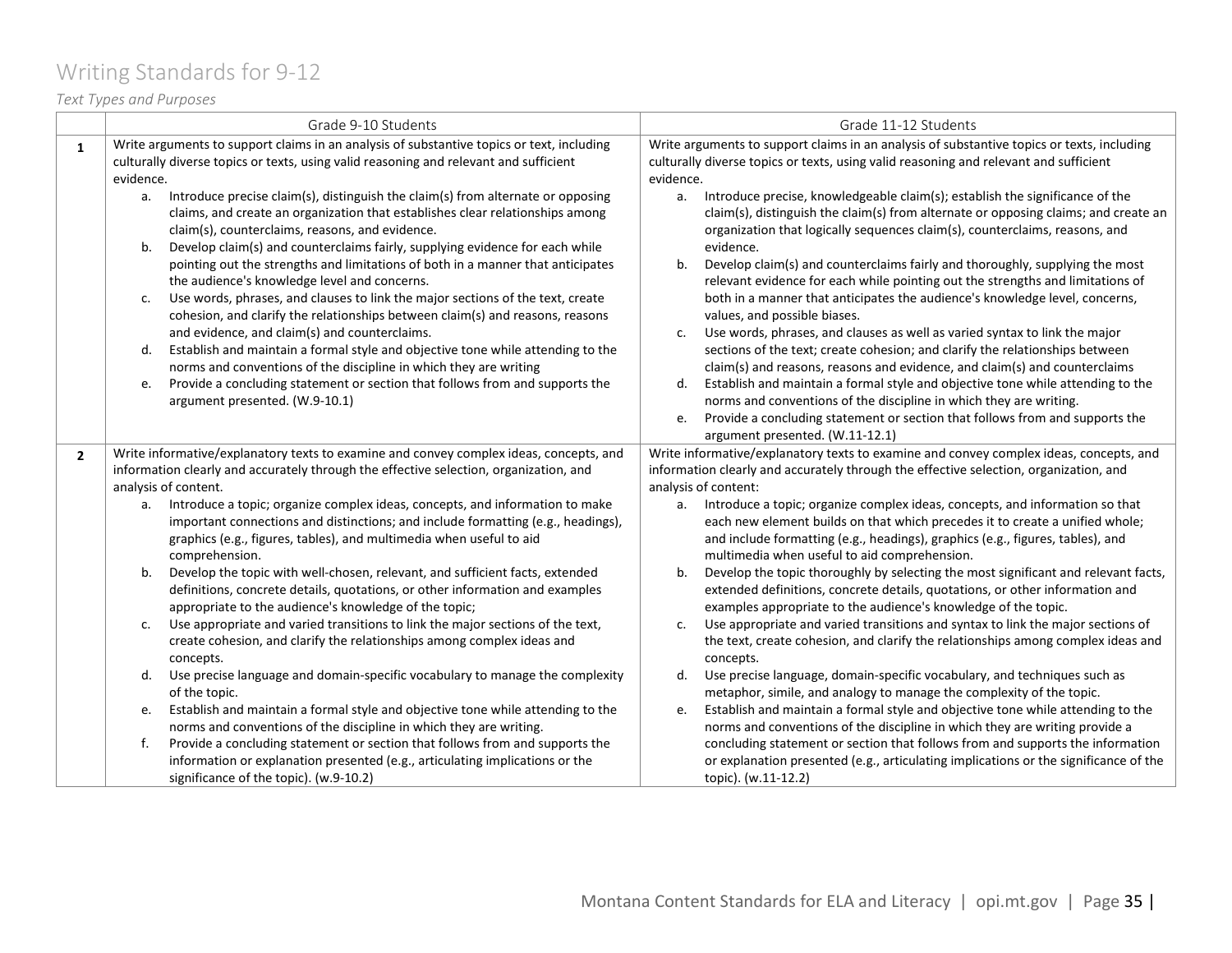# <span id="page-34-0"></span>Writing Standards for 9-12

*Text Types and Purposes*

|                | Grade 9-10 Students                                                                                                                                                                                                                                                                                                                                                                                                                                                                                                                                                                                                                                                                                                                                                                                                                                                                                                                                                                                                                                                                                                                                                                                                                                  | Grade 11-12 Students                                                                                                                                                                                                                                                                                                                                                                                                                                                                                                                                                                                                                                                                                                                                                                                                                                                                                                                                                                                                                                                                                                                                                                                                                                                                                                                                                     |
|----------------|------------------------------------------------------------------------------------------------------------------------------------------------------------------------------------------------------------------------------------------------------------------------------------------------------------------------------------------------------------------------------------------------------------------------------------------------------------------------------------------------------------------------------------------------------------------------------------------------------------------------------------------------------------------------------------------------------------------------------------------------------------------------------------------------------------------------------------------------------------------------------------------------------------------------------------------------------------------------------------------------------------------------------------------------------------------------------------------------------------------------------------------------------------------------------------------------------------------------------------------------------|--------------------------------------------------------------------------------------------------------------------------------------------------------------------------------------------------------------------------------------------------------------------------------------------------------------------------------------------------------------------------------------------------------------------------------------------------------------------------------------------------------------------------------------------------------------------------------------------------------------------------------------------------------------------------------------------------------------------------------------------------------------------------------------------------------------------------------------------------------------------------------------------------------------------------------------------------------------------------------------------------------------------------------------------------------------------------------------------------------------------------------------------------------------------------------------------------------------------------------------------------------------------------------------------------------------------------------------------------------------------------|
| $\mathbf{1}$   | Write arguments to support claims in an analysis of substantive topics or text, including<br>culturally diverse topics or texts, using valid reasoning and relevant and sufficient<br>evidence.                                                                                                                                                                                                                                                                                                                                                                                                                                                                                                                                                                                                                                                                                                                                                                                                                                                                                                                                                                                                                                                      | Write arguments to support claims in an analysis of substantive topics or texts, including<br>culturally diverse topics or texts, using valid reasoning and relevant and sufficient<br>evidence.                                                                                                                                                                                                                                                                                                                                                                                                                                                                                                                                                                                                                                                                                                                                                                                                                                                                                                                                                                                                                                                                                                                                                                         |
|                | Introduce precise claim(s), distinguish the claim(s) from alternate or opposing<br>а.<br>claims, and create an organization that establishes clear relationships among<br>claim(s), counterclaims, reasons, and evidence.<br>Develop claim(s) and counterclaims fairly, supplying evidence for each while<br>b.<br>pointing out the strengths and limitations of both in a manner that anticipates<br>the audience's knowledge level and concerns.<br>Use words, phrases, and clauses to link the major sections of the text, create<br>c.<br>cohesion, and clarify the relationships between claim(s) and reasons, reasons<br>and evidence, and claim(s) and counterclaims.<br>Establish and maintain a formal style and objective tone while attending to the<br>d.<br>norms and conventions of the discipline in which they are writing<br>Provide a concluding statement or section that follows from and supports the<br>e.<br>argument presented. (W.9-10.1)                                                                                                                                                                                                                                                                                   | a. Introduce precise, knowledgeable claim(s); establish the significance of the<br>claim(s), distinguish the claim(s) from alternate or opposing claims; and create an<br>organization that logically sequences claim(s), counterclaims, reasons, and<br>evidence.<br>Develop claim(s) and counterclaims fairly and thoroughly, supplying the most<br>b.<br>relevant evidence for each while pointing out the strengths and limitations of<br>both in a manner that anticipates the audience's knowledge level, concerns,<br>values, and possible biases.<br>Use words, phrases, and clauses as well as varied syntax to link the major<br>c.<br>sections of the text; create cohesion; and clarify the relationships between<br>claim(s) and reasons, reasons and evidence, and claim(s) and counterclaims<br>d.<br>Establish and maintain a formal style and objective tone while attending to the<br>norms and conventions of the discipline in which they are writing.<br>Provide a concluding statement or section that follows from and supports the<br>e.<br>argument presented. (W.11-12.1)                                                                                                                                                                                                                                                                      |
| $\overline{2}$ | Write informative/explanatory texts to examine and convey complex ideas, concepts, and<br>information clearly and accurately through the effective selection, organization, and<br>analysis of content.<br>Introduce a topic; organize complex ideas, concepts, and information to make<br>a.<br>important connections and distinctions; and include formatting (e.g., headings),<br>graphics (e.g., figures, tables), and multimedia when useful to aid<br>comprehension.<br>Develop the topic with well-chosen, relevant, and sufficient facts, extended<br>b.<br>definitions, concrete details, quotations, or other information and examples<br>appropriate to the audience's knowledge of the topic;<br>Use appropriate and varied transitions to link the major sections of the text,<br>c.<br>create cohesion, and clarify the relationships among complex ideas and<br>concepts.<br>Use precise language and domain-specific vocabulary to manage the complexity<br>d.<br>of the topic.<br>Establish and maintain a formal style and objective tone while attending to the<br>e.<br>norms and conventions of the discipline in which they are writing.<br>Provide a concluding statement or section that follows from and supports the<br>f. | Write informative/explanatory texts to examine and convey complex ideas, concepts, and<br>information clearly and accurately through the effective selection, organization, and<br>analysis of content:<br>a. Introduce a topic; organize complex ideas, concepts, and information so that<br>each new element builds on that which precedes it to create a unified whole;<br>and include formatting (e.g., headings), graphics (e.g., figures, tables), and<br>multimedia when useful to aid comprehension.<br>Develop the topic thoroughly by selecting the most significant and relevant facts,<br>b.<br>extended definitions, concrete details, quotations, or other information and<br>examples appropriate to the audience's knowledge of the topic.<br>Use appropriate and varied transitions and syntax to link the major sections of<br>c.<br>the text, create cohesion, and clarify the relationships among complex ideas and<br>concepts.<br>Use precise language, domain-specific vocabulary, and techniques such as<br>d.<br>metaphor, simile, and analogy to manage the complexity of the topic.<br>Establish and maintain a formal style and objective tone while attending to the<br>e.<br>norms and conventions of the discipline in which they are writing provide a<br>concluding statement or section that follows from and supports the information |
|                | information or explanation presented (e.g., articulating implications or the<br>significance of the topic). (w.9-10.2)                                                                                                                                                                                                                                                                                                                                                                                                                                                                                                                                                                                                                                                                                                                                                                                                                                                                                                                                                                                                                                                                                                                               | or explanation presented (e.g., articulating implications or the significance of the<br>topic). (w.11-12.2)                                                                                                                                                                                                                                                                                                                                                                                                                                                                                                                                                                                                                                                                                                                                                                                                                                                                                                                                                                                                                                                                                                                                                                                                                                                              |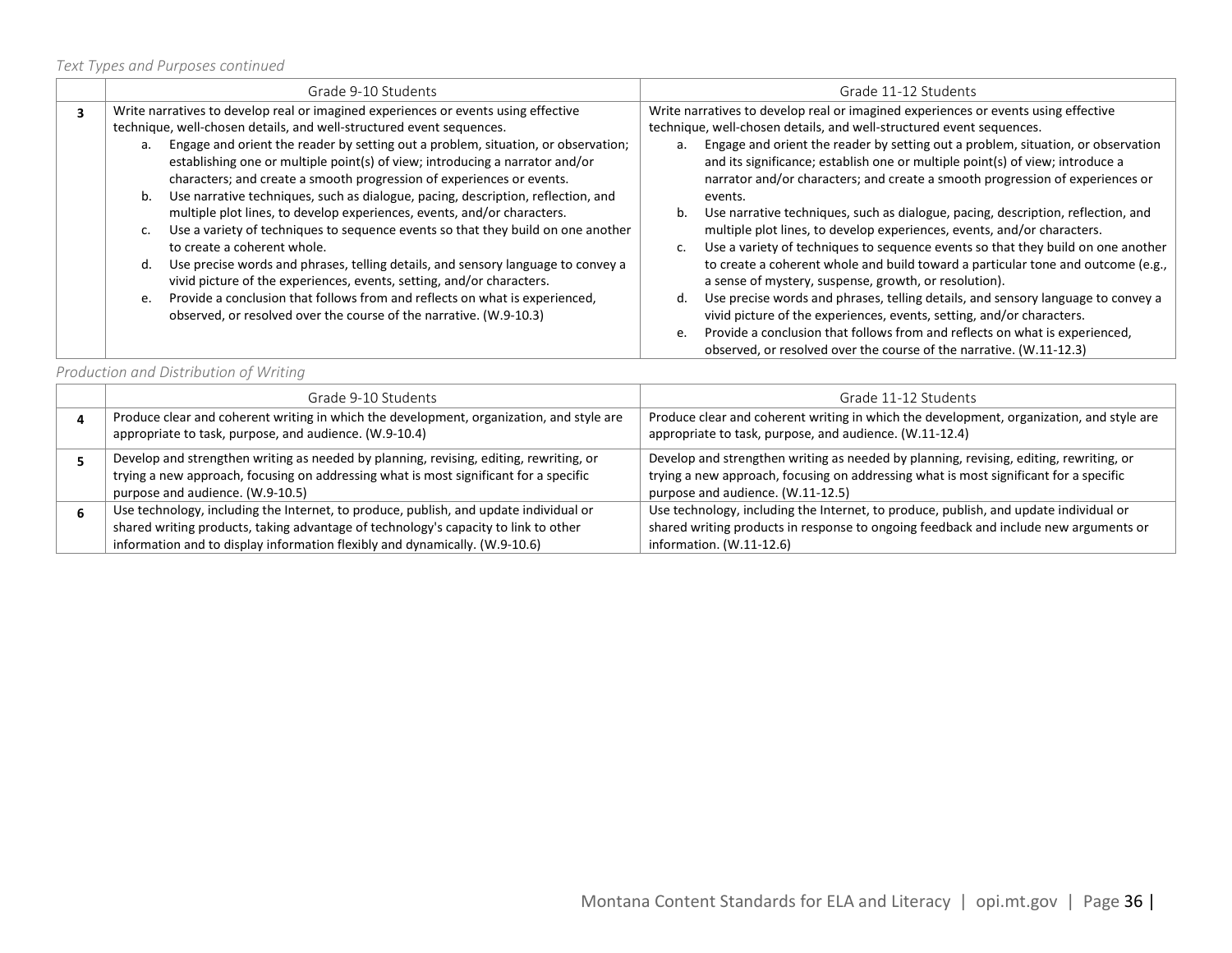| Grade 9-10 Students                                                                                                                                                                                                                                                                                                                                                                                                                                                                                                                                                                                                                                                                                                                                                                                                                                                                                                                                                                                                                     | Grade 11-12 Students                                                                                                                                                                                                                                                                                                                                                                                                                                                                                                                                                                                                                                                                                                                                                                                                                                                                                                                                                                                                                                                                                                                                                   |
|-----------------------------------------------------------------------------------------------------------------------------------------------------------------------------------------------------------------------------------------------------------------------------------------------------------------------------------------------------------------------------------------------------------------------------------------------------------------------------------------------------------------------------------------------------------------------------------------------------------------------------------------------------------------------------------------------------------------------------------------------------------------------------------------------------------------------------------------------------------------------------------------------------------------------------------------------------------------------------------------------------------------------------------------|------------------------------------------------------------------------------------------------------------------------------------------------------------------------------------------------------------------------------------------------------------------------------------------------------------------------------------------------------------------------------------------------------------------------------------------------------------------------------------------------------------------------------------------------------------------------------------------------------------------------------------------------------------------------------------------------------------------------------------------------------------------------------------------------------------------------------------------------------------------------------------------------------------------------------------------------------------------------------------------------------------------------------------------------------------------------------------------------------------------------------------------------------------------------|
| Write narratives to develop real or imagined experiences or events using effective<br>technique, well-chosen details, and well-structured event sequences.<br>a. Engage and orient the reader by setting out a problem, situation, or observation;<br>establishing one or multiple point(s) of view; introducing a narrator and/or<br>characters; and create a smooth progression of experiences or events.<br>Use narrative techniques, such as dialogue, pacing, description, reflection, and<br>b.<br>multiple plot lines, to develop experiences, events, and/or characters.<br>Use a variety of techniques to sequence events so that they build on one another<br>C.<br>to create a coherent whole.<br>Use precise words and phrases, telling details, and sensory language to convey a<br>d.<br>vivid picture of the experiences, events, setting, and/or characters.<br>Provide a conclusion that follows from and reflects on what is experienced,<br>e.<br>observed, or resolved over the course of the narrative. (W.9-10.3) | Write narratives to develop real or imagined experiences or events using effective<br>technique, well-chosen details, and well-structured event sequences.<br>Engage and orient the reader by setting out a problem, situation, or observation<br>a.<br>and its significance; establish one or multiple point(s) of view; introduce a<br>narrator and/or characters; and create a smooth progression of experiences or<br>events.<br>Use narrative techniques, such as dialogue, pacing, description, reflection, and<br>b.<br>multiple plot lines, to develop experiences, events, and/or characters.<br>Use a variety of techniques to sequence events so that they build on one another<br>to create a coherent whole and build toward a particular tone and outcome (e.g.,<br>a sense of mystery, suspense, growth, or resolution).<br>Use precise words and phrases, telling details, and sensory language to convey a<br>d.<br>vivid picture of the experiences, events, setting, and/or characters.<br>Provide a conclusion that follows from and reflects on what is experienced,<br>e.<br>observed, or resolved over the course of the narrative. (W.11-12.3) |

*Production and Distribution of Writing*

| Grade 9-10 Students                                                                                                                                                                                                                                         | Grade 11-12 Students                                                                                                                                                                                                 |
|-------------------------------------------------------------------------------------------------------------------------------------------------------------------------------------------------------------------------------------------------------------|----------------------------------------------------------------------------------------------------------------------------------------------------------------------------------------------------------------------|
| Produce clear and coherent writing in which the development, organization, and style are<br>appropriate to task, purpose, and audience. (W.9-10.4)                                                                                                          | Produce clear and coherent writing in which the development, organization, and style are<br>appropriate to task, purpose, and audience. (W.11-12.4)                                                                  |
| Develop and strengthen writing as needed by planning, revising, editing, rewriting, or<br>trying a new approach, focusing on addressing what is most significant for a specific<br>purpose and audience. (W.9-10.5)                                         | Develop and strengthen writing as needed by planning, revising, editing, rewriting, or<br>trying a new approach, focusing on addressing what is most significant for a specific<br>purpose and audience. (W.11-12.5) |
| Use technology, including the Internet, to produce, publish, and update individual or<br>shared writing products, taking advantage of technology's capacity to link to other<br>information and to display information flexibly and dynamically. (W.9-10.6) | Use technology, including the Internet, to produce, publish, and update individual or<br>shared writing products in response to ongoing feedback and include new arguments or<br>information. $(W.11-12.6)$          |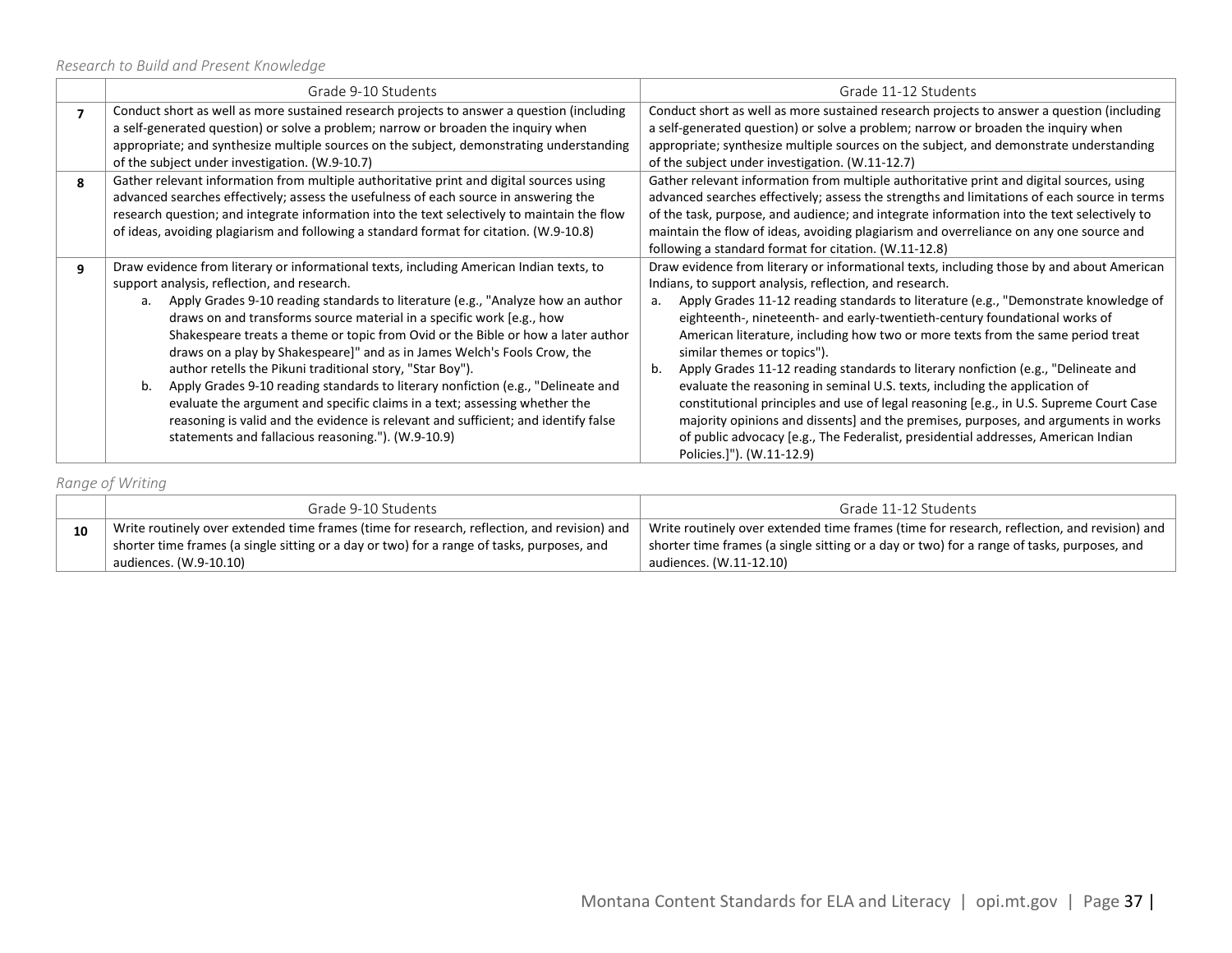|   | Grade 9-10 Students                                                                                                                                                                                                                                                                                                                                                                                                                                                                                                                                                                                                                                                                                                                                                                                                                                            | Grade 11-12 Students                                                                                                                                                                                                                                                                                                                                                                                                                                                                                                                                                                                                                                                                                                                                                                                                                                                                                                         |  |
|---|----------------------------------------------------------------------------------------------------------------------------------------------------------------------------------------------------------------------------------------------------------------------------------------------------------------------------------------------------------------------------------------------------------------------------------------------------------------------------------------------------------------------------------------------------------------------------------------------------------------------------------------------------------------------------------------------------------------------------------------------------------------------------------------------------------------------------------------------------------------|------------------------------------------------------------------------------------------------------------------------------------------------------------------------------------------------------------------------------------------------------------------------------------------------------------------------------------------------------------------------------------------------------------------------------------------------------------------------------------------------------------------------------------------------------------------------------------------------------------------------------------------------------------------------------------------------------------------------------------------------------------------------------------------------------------------------------------------------------------------------------------------------------------------------------|--|
| 7 | Conduct short as well as more sustained research projects to answer a question (including<br>a self-generated question) or solve a problem; narrow or broaden the inquiry when<br>appropriate; and synthesize multiple sources on the subject, demonstrating understanding<br>of the subject under investigation. (W.9-10.7)                                                                                                                                                                                                                                                                                                                                                                                                                                                                                                                                   | Conduct short as well as more sustained research projects to answer a question (including<br>a self-generated question) or solve a problem; narrow or broaden the inquiry when<br>appropriate; synthesize multiple sources on the subject, and demonstrate understanding<br>of the subject under investigation. (W.11-12.7)                                                                                                                                                                                                                                                                                                                                                                                                                                                                                                                                                                                                  |  |
| 8 | Gather relevant information from multiple authoritative print and digital sources using<br>advanced searches effectively; assess the usefulness of each source in answering the<br>research question; and integrate information into the text selectively to maintain the flow<br>of ideas, avoiding plagiarism and following a standard format for citation. (W.9-10.8)                                                                                                                                                                                                                                                                                                                                                                                                                                                                                       | Gather relevant information from multiple authoritative print and digital sources, using<br>advanced searches effectively; assess the strengths and limitations of each source in terms<br>of the task, purpose, and audience; and integrate information into the text selectively to<br>maintain the flow of ideas, avoiding plagiarism and overreliance on any one source and<br>following a standard format for citation. (W.11-12.8)                                                                                                                                                                                                                                                                                                                                                                                                                                                                                     |  |
| 9 | Draw evidence from literary or informational texts, including American Indian texts, to<br>support analysis, reflection, and research.<br>Apply Grades 9-10 reading standards to literature (e.g., "Analyze how an author<br>$a_{1}$<br>draws on and transforms source material in a specific work [e.g., how<br>Shakespeare treats a theme or topic from Ovid or the Bible or how a later author<br>draws on a play by Shakespeare]" and as in James Welch's Fools Crow, the<br>author retells the Pikuni traditional story, "Star Boy").<br>Apply Grades 9-10 reading standards to literary nonfiction (e.g., "Delineate and<br>b.<br>evaluate the argument and specific claims in a text; assessing whether the<br>reasoning is valid and the evidence is relevant and sufficient; and identify false<br>statements and fallacious reasoning."). (W.9-10.9) | Draw evidence from literary or informational texts, including those by and about American<br>Indians, to support analysis, reflection, and research.<br>Apply Grades 11-12 reading standards to literature (e.g., "Demonstrate knowledge of<br>a.<br>eighteenth-, nineteenth- and early-twentieth-century foundational works of<br>American literature, including how two or more texts from the same period treat<br>similar themes or topics").<br>Apply Grades 11-12 reading standards to literary nonfiction (e.g., "Delineate and<br>b.<br>evaluate the reasoning in seminal U.S. texts, including the application of<br>constitutional principles and use of legal reasoning [e.g., in U.S. Supreme Court Case<br>majority opinions and dissents] and the premises, purposes, and arguments in works<br>of public advocacy [e.g., The Federalist, presidential addresses, American Indian<br>Policies.]"). (W.11-12.9) |  |

*Range of Writing*

|    | Grade 9-10 Students                                                                                                                                                                                                 | Grade 11-12 Students                                                                                                                                                                                                 |
|----|---------------------------------------------------------------------------------------------------------------------------------------------------------------------------------------------------------------------|----------------------------------------------------------------------------------------------------------------------------------------------------------------------------------------------------------------------|
| 10 | Write routinely over extended time frames (time for research, reflection, and revision) and<br>shorter time frames (a single sitting or a day or two) for a range of tasks, purposes, and<br>audiences. (W.9-10.10) | Write routinely over extended time frames (time for research, reflection, and revision) and<br>shorter time frames (a single sitting or a day or two) for a range of tasks, purposes, and<br>audiences. (W.11-12.10) |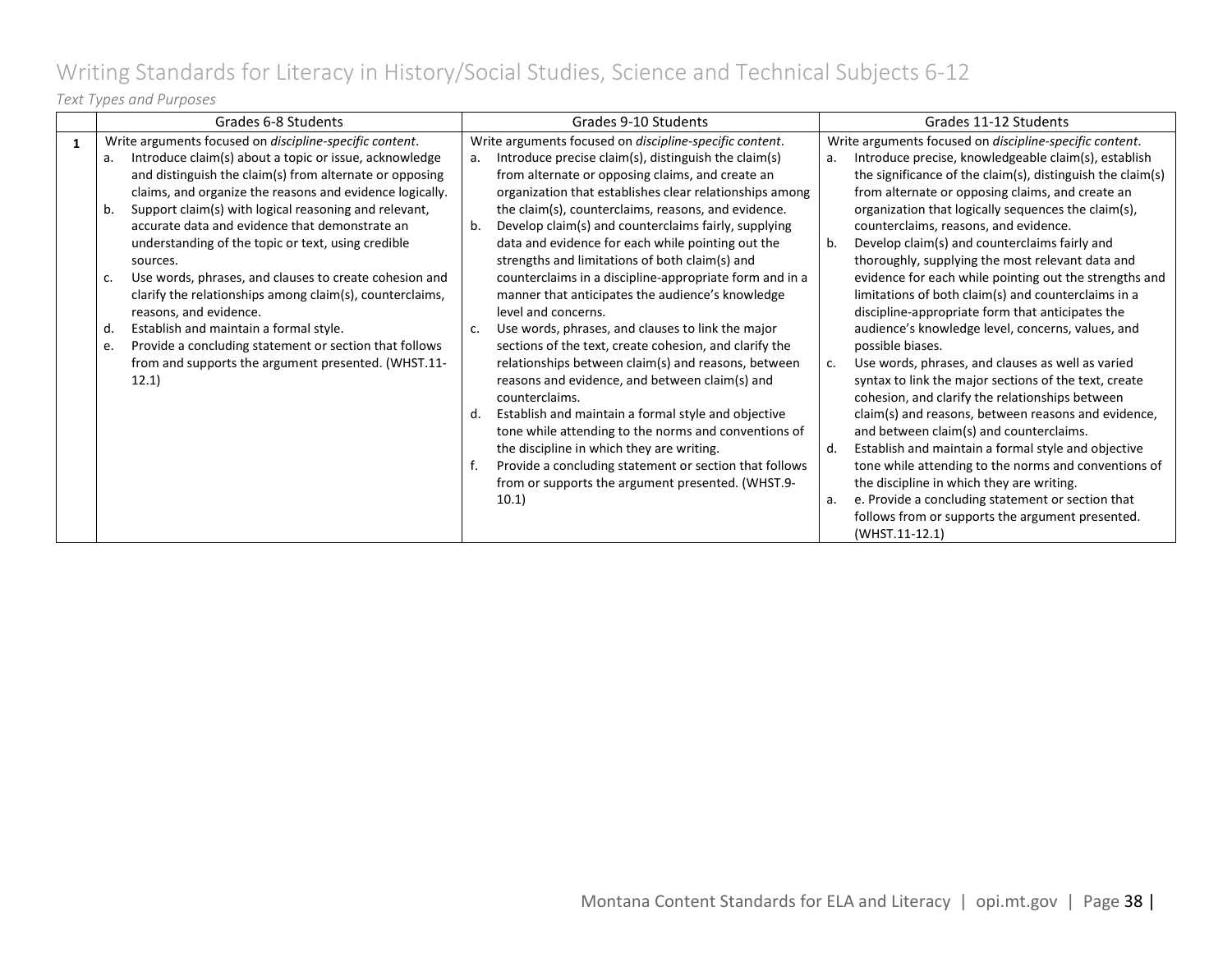# <span id="page-37-0"></span>Writing Standards for Literacy in History/Social Studies, Science and Technical Subjects 6-12

### *Text Types and Purposes*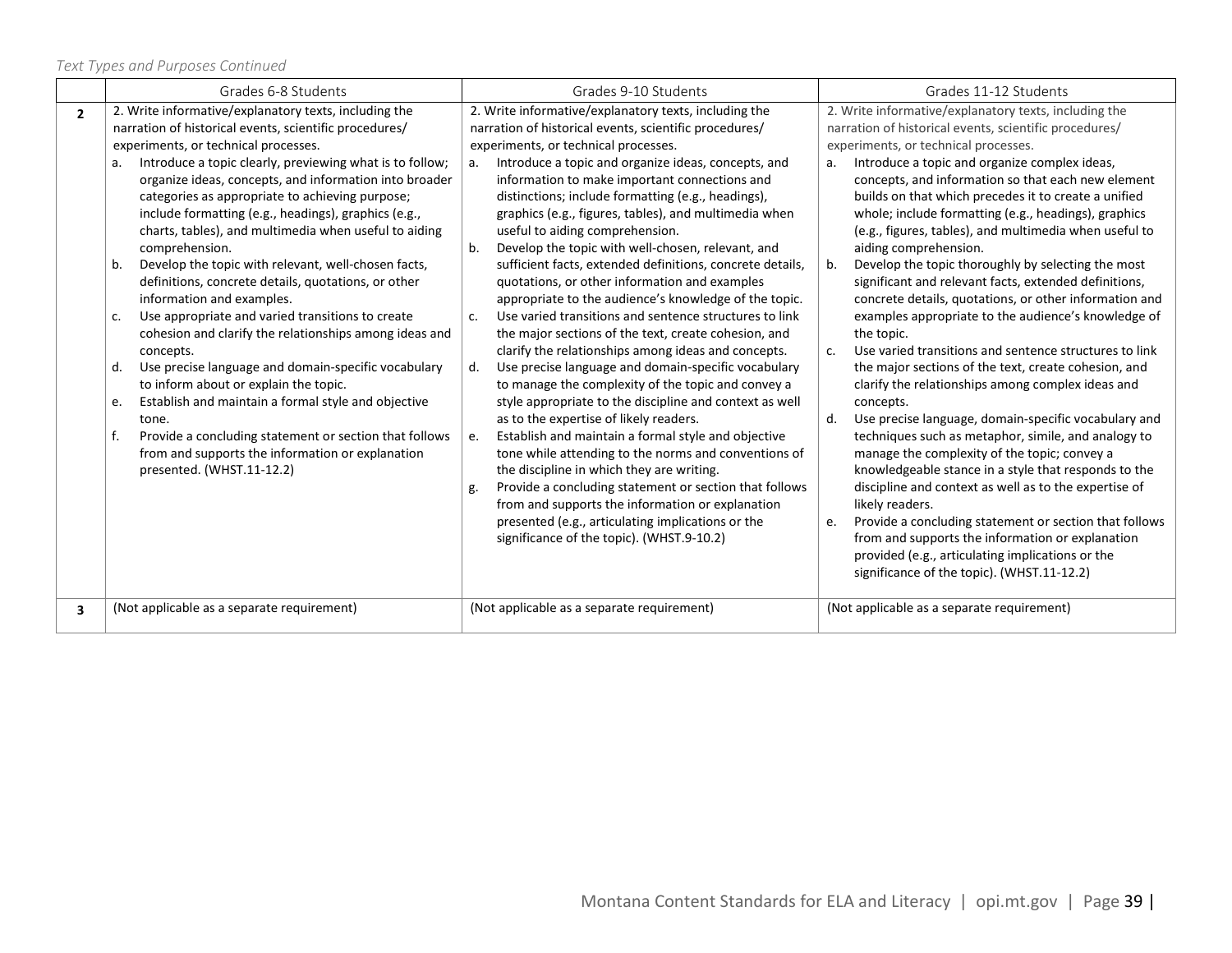|                         | Grades 6-8 Students                                                                                                                                                                                                                                                                                                                                                                                                                                                                                                                                                                                                                                                                                                                                                                                                                                                                                                     | Grades 9-10 Students                                                                                                                                                                                                                                                                                                                                                                                                                                                                                                                                                                                                                                                                                                                                                                                                                                                                                                                                                                                                                                                                                                                                                                                                                                                                                   | Grades 11-12 Students                                                                                                                                                                                                                                                                                                                                                                                                                                                                                                                                                                                                                                                                                                                                                                                                                                                                                                                                                                                                                                                                                                                                                                                                                                   |
|-------------------------|-------------------------------------------------------------------------------------------------------------------------------------------------------------------------------------------------------------------------------------------------------------------------------------------------------------------------------------------------------------------------------------------------------------------------------------------------------------------------------------------------------------------------------------------------------------------------------------------------------------------------------------------------------------------------------------------------------------------------------------------------------------------------------------------------------------------------------------------------------------------------------------------------------------------------|--------------------------------------------------------------------------------------------------------------------------------------------------------------------------------------------------------------------------------------------------------------------------------------------------------------------------------------------------------------------------------------------------------------------------------------------------------------------------------------------------------------------------------------------------------------------------------------------------------------------------------------------------------------------------------------------------------------------------------------------------------------------------------------------------------------------------------------------------------------------------------------------------------------------------------------------------------------------------------------------------------------------------------------------------------------------------------------------------------------------------------------------------------------------------------------------------------------------------------------------------------------------------------------------------------|---------------------------------------------------------------------------------------------------------------------------------------------------------------------------------------------------------------------------------------------------------------------------------------------------------------------------------------------------------------------------------------------------------------------------------------------------------------------------------------------------------------------------------------------------------------------------------------------------------------------------------------------------------------------------------------------------------------------------------------------------------------------------------------------------------------------------------------------------------------------------------------------------------------------------------------------------------------------------------------------------------------------------------------------------------------------------------------------------------------------------------------------------------------------------------------------------------------------------------------------------------|
|                         |                                                                                                                                                                                                                                                                                                                                                                                                                                                                                                                                                                                                                                                                                                                                                                                                                                                                                                                         |                                                                                                                                                                                                                                                                                                                                                                                                                                                                                                                                                                                                                                                                                                                                                                                                                                                                                                                                                                                                                                                                                                                                                                                                                                                                                                        |                                                                                                                                                                                                                                                                                                                                                                                                                                                                                                                                                                                                                                                                                                                                                                                                                                                                                                                                                                                                                                                                                                                                                                                                                                                         |
| $\overline{2}$          | 2. Write informative/explanatory texts, including the                                                                                                                                                                                                                                                                                                                                                                                                                                                                                                                                                                                                                                                                                                                                                                                                                                                                   | 2. Write informative/explanatory texts, including the                                                                                                                                                                                                                                                                                                                                                                                                                                                                                                                                                                                                                                                                                                                                                                                                                                                                                                                                                                                                                                                                                                                                                                                                                                                  | 2. Write informative/explanatory texts, including the                                                                                                                                                                                                                                                                                                                                                                                                                                                                                                                                                                                                                                                                                                                                                                                                                                                                                                                                                                                                                                                                                                                                                                                                   |
|                         | narration of historical events, scientific procedures/                                                                                                                                                                                                                                                                                                                                                                                                                                                                                                                                                                                                                                                                                                                                                                                                                                                                  | narration of historical events, scientific procedures/                                                                                                                                                                                                                                                                                                                                                                                                                                                                                                                                                                                                                                                                                                                                                                                                                                                                                                                                                                                                                                                                                                                                                                                                                                                 | narration of historical events, scientific procedures/                                                                                                                                                                                                                                                                                                                                                                                                                                                                                                                                                                                                                                                                                                                                                                                                                                                                                                                                                                                                                                                                                                                                                                                                  |
|                         | experiments, or technical processes.                                                                                                                                                                                                                                                                                                                                                                                                                                                                                                                                                                                                                                                                                                                                                                                                                                                                                    | experiments, or technical processes.                                                                                                                                                                                                                                                                                                                                                                                                                                                                                                                                                                                                                                                                                                                                                                                                                                                                                                                                                                                                                                                                                                                                                                                                                                                                   | experiments, or technical processes.                                                                                                                                                                                                                                                                                                                                                                                                                                                                                                                                                                                                                                                                                                                                                                                                                                                                                                                                                                                                                                                                                                                                                                                                                    |
|                         | Introduce a topic clearly, previewing what is to follow;<br>organize ideas, concepts, and information into broader<br>categories as appropriate to achieving purpose;<br>include formatting (e.g., headings), graphics (e.g.,<br>charts, tables), and multimedia when useful to aiding<br>comprehension.<br>Develop the topic with relevant, well-chosen facts,<br>b.<br>definitions, concrete details, quotations, or other<br>information and examples.<br>Use appropriate and varied transitions to create<br>c.<br>cohesion and clarify the relationships among ideas and<br>concepts.<br>Use precise language and domain-specific vocabulary<br>d.<br>to inform about or explain the topic.<br>Establish and maintain a formal style and objective<br>e.<br>tone.<br>f.<br>Provide a concluding statement or section that follows<br>from and supports the information or explanation<br>presented. (WHST.11-12.2) | Introduce a topic and organize ideas, concepts, and<br>a.<br>information to make important connections and<br>distinctions; include formatting (e.g., headings),<br>graphics (e.g., figures, tables), and multimedia when<br>useful to aiding comprehension.<br>Develop the topic with well-chosen, relevant, and<br>b.<br>sufficient facts, extended definitions, concrete details,<br>quotations, or other information and examples<br>appropriate to the audience's knowledge of the topic.<br>Use varied transitions and sentence structures to link<br>$C_{\cdot}$<br>the major sections of the text, create cohesion, and<br>clarify the relationships among ideas and concepts.<br>Use precise language and domain-specific vocabulary<br>d.<br>to manage the complexity of the topic and convey a<br>style appropriate to the discipline and context as well<br>as to the expertise of likely readers.<br>Establish and maintain a formal style and objective<br>e.<br>tone while attending to the norms and conventions of<br>the discipline in which they are writing.<br>Provide a concluding statement or section that follows<br>g.<br>from and supports the information or explanation<br>presented (e.g., articulating implications or the<br>significance of the topic). (WHST.9-10.2) | Introduce a topic and organize complex ideas,<br>а.<br>concepts, and information so that each new element<br>builds on that which precedes it to create a unified<br>whole; include formatting (e.g., headings), graphics<br>(e.g., figures, tables), and multimedia when useful to<br>aiding comprehension.<br>Develop the topic thoroughly by selecting the most<br>b.<br>significant and relevant facts, extended definitions,<br>concrete details, quotations, or other information and<br>examples appropriate to the audience's knowledge of<br>the topic.<br>Use varied transitions and sentence structures to link<br>C <sub>1</sub><br>the major sections of the text, create cohesion, and<br>clarify the relationships among complex ideas and<br>concepts.<br>Use precise language, domain-specific vocabulary and<br>d.<br>techniques such as metaphor, simile, and analogy to<br>manage the complexity of the topic; convey a<br>knowledgeable stance in a style that responds to the<br>discipline and context as well as to the expertise of<br>likely readers.<br>Provide a concluding statement or section that follows<br>e.<br>from and supports the information or explanation<br>provided (e.g., articulating implications or the |
| $\overline{\mathbf{3}}$ | (Not applicable as a separate requirement)                                                                                                                                                                                                                                                                                                                                                                                                                                                                                                                                                                                                                                                                                                                                                                                                                                                                              | (Not applicable as a separate requirement)                                                                                                                                                                                                                                                                                                                                                                                                                                                                                                                                                                                                                                                                                                                                                                                                                                                                                                                                                                                                                                                                                                                                                                                                                                                             | significance of the topic). (WHST.11-12.2)<br>(Not applicable as a separate requirement)                                                                                                                                                                                                                                                                                                                                                                                                                                                                                                                                                                                                                                                                                                                                                                                                                                                                                                                                                                                                                                                                                                                                                                |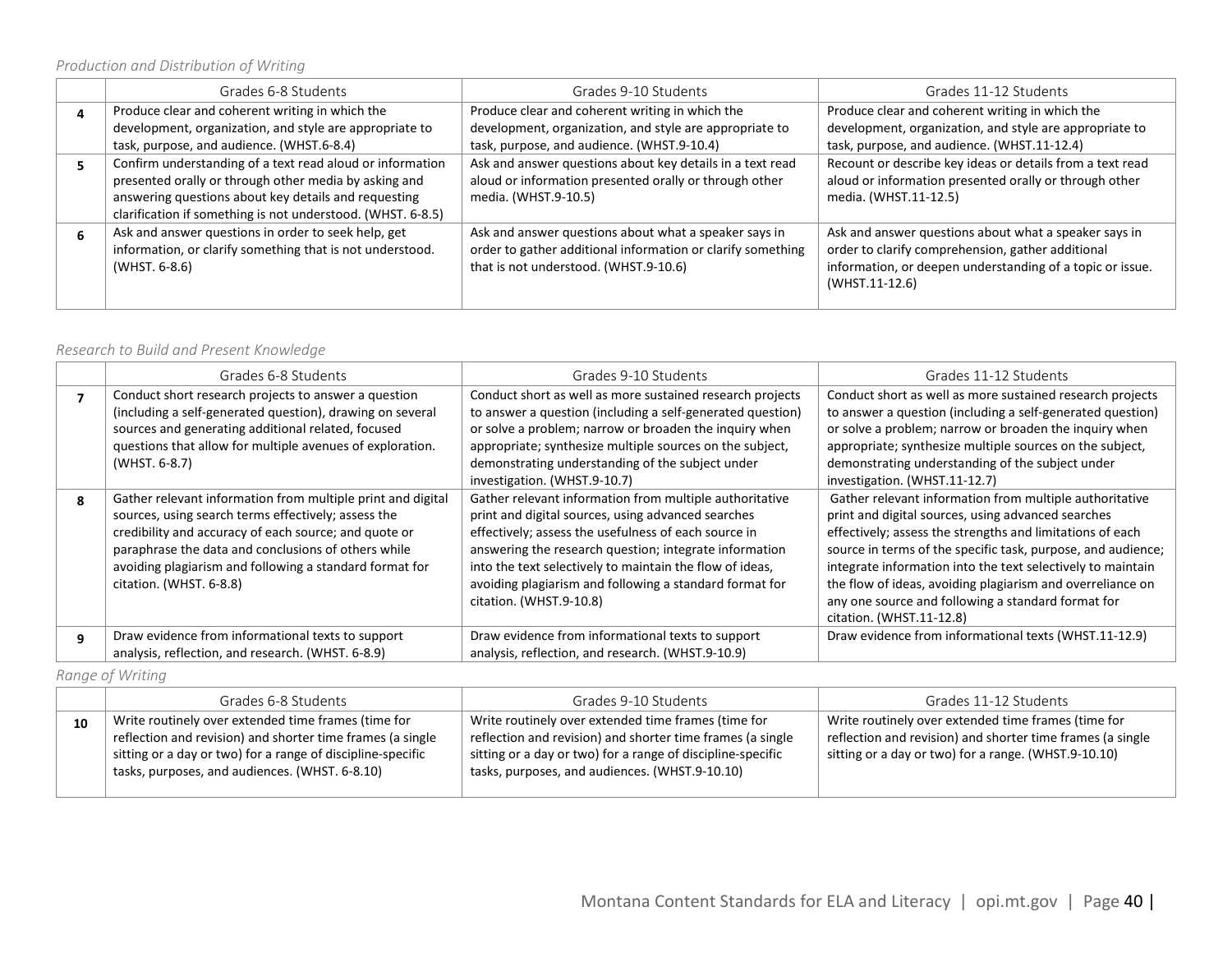| Grades 6-8 Students                                         | Grades 9-10 Students                                        | Grades 11-12 Students                                     |
|-------------------------------------------------------------|-------------------------------------------------------------|-----------------------------------------------------------|
| Produce clear and coherent writing in which the             | Produce clear and coherent writing in which the             | Produce clear and coherent writing in which the           |
| development, organization, and style are appropriate to     | development, organization, and style are appropriate to     | development, organization, and style are appropriate to   |
| task, purpose, and audience. (WHST.6-8.4)                   | task, purpose, and audience. (WHST.9-10.4)                  | task, purpose, and audience. (WHST.11-12.4)               |
| Confirm understanding of a text read aloud or information   | Ask and answer questions about key details in a text read   | Recount or describe key ideas or details from a text read |
| presented orally or through other media by asking and       | aloud or information presented orally or through other      | aloud or information presented orally or through other    |
| answering questions about key details and requesting        | media. (WHST.9-10.5)                                        | media. (WHST.11-12.5)                                     |
| clarification if something is not understood. (WHST. 6-8.5) |                                                             |                                                           |
| Ask and answer questions in order to seek help, get         | Ask and answer questions about what a speaker says in       | Ask and answer questions about what a speaker says in     |
| information, or clarify something that is not understood.   | order to gather additional information or clarify something | order to clarify comprehension, gather additional         |
| (WHST. 6-8.6)                                               | that is not understood. (WHST.9-10.6)                       | information, or deepen understanding of a topic or issue. |
|                                                             |                                                             | (WHST.11-12.6)                                            |
|                                                             |                                                             |                                                           |

### *Research to Build and Present Knowledge*

|   | Grades 6-8 Students                                                                                                                                                                                                                                                                                                      | Grades 9-10 Students                                                                                                                                                                                                                                                                                                                                                              | Grades 11-12 Students                                                                                                                                                                                                                                                                                                                                                                                                                                     |
|---|--------------------------------------------------------------------------------------------------------------------------------------------------------------------------------------------------------------------------------------------------------------------------------------------------------------------------|-----------------------------------------------------------------------------------------------------------------------------------------------------------------------------------------------------------------------------------------------------------------------------------------------------------------------------------------------------------------------------------|-----------------------------------------------------------------------------------------------------------------------------------------------------------------------------------------------------------------------------------------------------------------------------------------------------------------------------------------------------------------------------------------------------------------------------------------------------------|
|   | Conduct short research projects to answer a question<br>(including a self-generated question), drawing on several<br>sources and generating additional related, focused<br>questions that allow for multiple avenues of exploration.<br>(WHST. 6-8.7)                                                                    | Conduct short as well as more sustained research projects<br>to answer a question (including a self-generated question)<br>or solve a problem; narrow or broaden the inquiry when<br>appropriate; synthesize multiple sources on the subject,<br>demonstrating understanding of the subject under<br>investigation. (WHST.9-10.7)                                                 | Conduct short as well as more sustained research projects<br>to answer a question (including a self-generated question)<br>or solve a problem; narrow or broaden the inquiry when<br>appropriate; synthesize multiple sources on the subject,<br>demonstrating understanding of the subject under<br>investigation. (WHST.11-12.7)                                                                                                                        |
| Я | Gather relevant information from multiple print and digital<br>sources, using search terms effectively; assess the<br>credibility and accuracy of each source; and quote or<br>paraphrase the data and conclusions of others while<br>avoiding plagiarism and following a standard format for<br>citation. (WHST. 6-8.8) | Gather relevant information from multiple authoritative<br>print and digital sources, using advanced searches<br>effectively; assess the usefulness of each source in<br>answering the research question; integrate information<br>into the text selectively to maintain the flow of ideas,<br>avoiding plagiarism and following a standard format for<br>citation. (WHST.9-10.8) | Gather relevant information from multiple authoritative<br>print and digital sources, using advanced searches<br>effectively; assess the strengths and limitations of each<br>source in terms of the specific task, purpose, and audience;<br>integrate information into the text selectively to maintain<br>the flow of ideas, avoiding plagiarism and overreliance on<br>any one source and following a standard format for<br>citation. (WHST.11-12.8) |
| 9 | Draw evidence from informational texts to support                                                                                                                                                                                                                                                                        | Draw evidence from informational texts to support                                                                                                                                                                                                                                                                                                                                 | Draw evidence from informational texts (WHST.11-12.9)                                                                                                                                                                                                                                                                                                                                                                                                     |
|   | analysis, reflection, and research. (WHST. 6-8.9)                                                                                                                                                                                                                                                                        | analysis, reflection, and research. (WHST.9-10.9)                                                                                                                                                                                                                                                                                                                                 |                                                                                                                                                                                                                                                                                                                                                                                                                                                           |

*Range of Writing*

|    | Grades 6-8 Students                                         | Grades 9-10 Students                                        | Grades 11-12 Students                                      |
|----|-------------------------------------------------------------|-------------------------------------------------------------|------------------------------------------------------------|
| 10 | Write routinely over extended time frames (time for         | Write routinely over extended time frames (time for         | Write routinely over extended time frames (time for        |
|    | reflection and revision) and shorter time frames (a single  | reflection and revision) and shorter time frames (a single  | reflection and revision) and shorter time frames (a single |
|    | sitting or a day or two) for a range of discipline-specific | sitting or a day or two) for a range of discipline-specific | sitting or a day or two) for a range. (WHST.9-10.10)       |
|    | tasks, purposes, and audiences. (WHST. 6-8.10)              | tasks, purposes, and audiences. (WHST.9-10.10)              |                                                            |
|    |                                                             |                                                             |                                                            |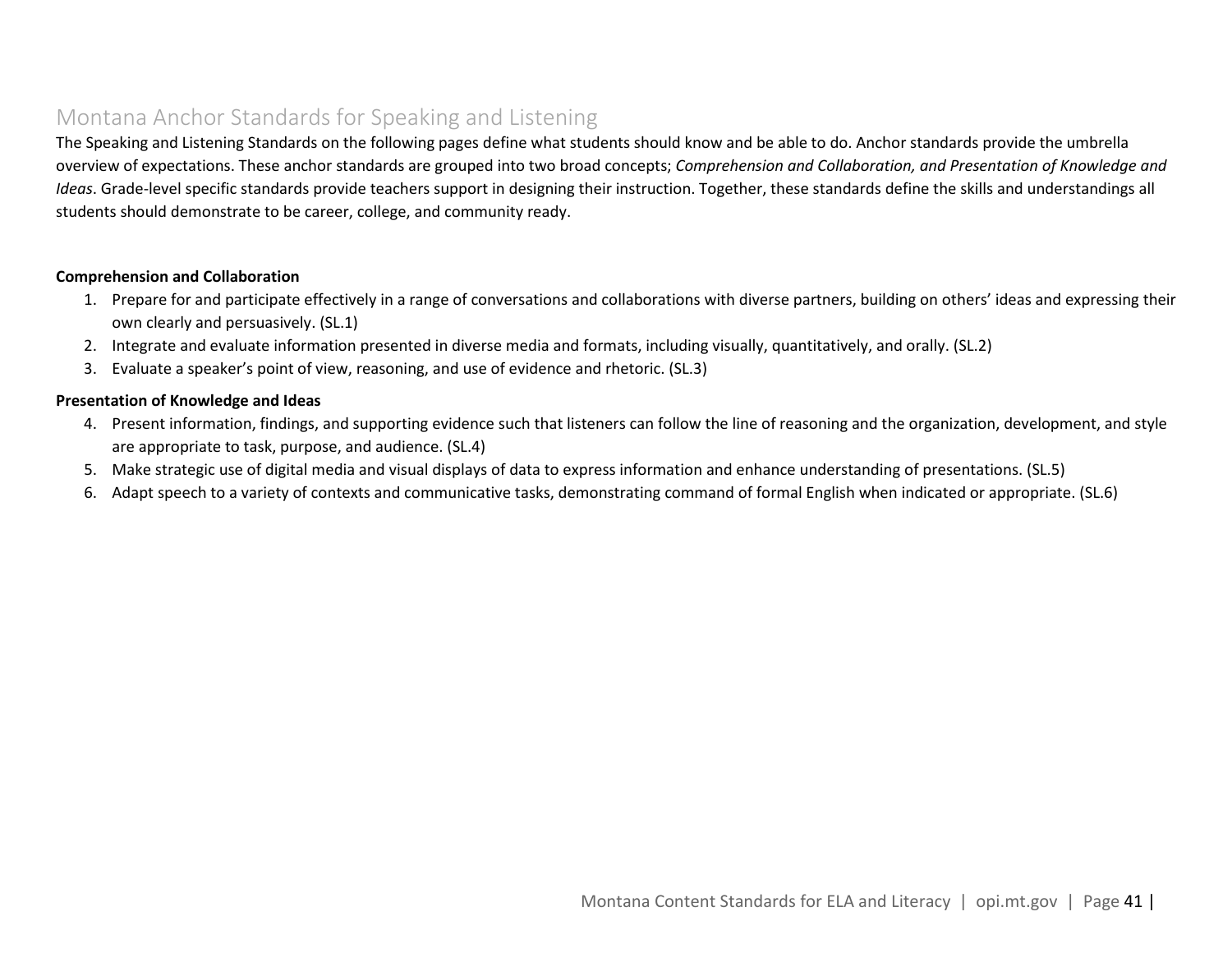### <span id="page-40-0"></span>Montana Anchor Standards for Speaking and Listening

The Speaking and Listening Standards on the following pages define what students should know and be able to do. Anchor standards provide the umbrella overview of expectations. These anchor standards are grouped into two broad concepts; *Comprehension and Collaboration, and Presentation of Knowledge and Ideas*. Grade-level specific standards provide teachers support in designing their instruction. Together, these standards define the skills and understandings all students should demonstrate to be career, college, and community ready.

#### **Comprehension and Collaboration**

- 1. Prepare for and participate effectively in a range of conversations and collaborations with diverse partners, building on others' ideas and expressing their own clearly and persuasively. (SL.1)
- 2. Integrate and evaluate information presented in diverse media and formats, including visually, quantitatively, and orally. (SL.2)
- 3. Evaluate a speaker's point of view, reasoning, and use of evidence and rhetoric. (SL.3)

#### **Presentation of Knowledge and Ideas**

- 4. Present information, findings, and supporting evidence such that listeners can follow the line of reasoning and the organization, development, and style are appropriate to task, purpose, and audience. (SL.4)
- 5. Make strategic use of digital media and visual displays of data to express information and enhance understanding of presentations. (SL.5)
- 6. Adapt speech to a variety of contexts and communicative tasks, demonstrating command of formal English when indicated or appropriate. (SL.6)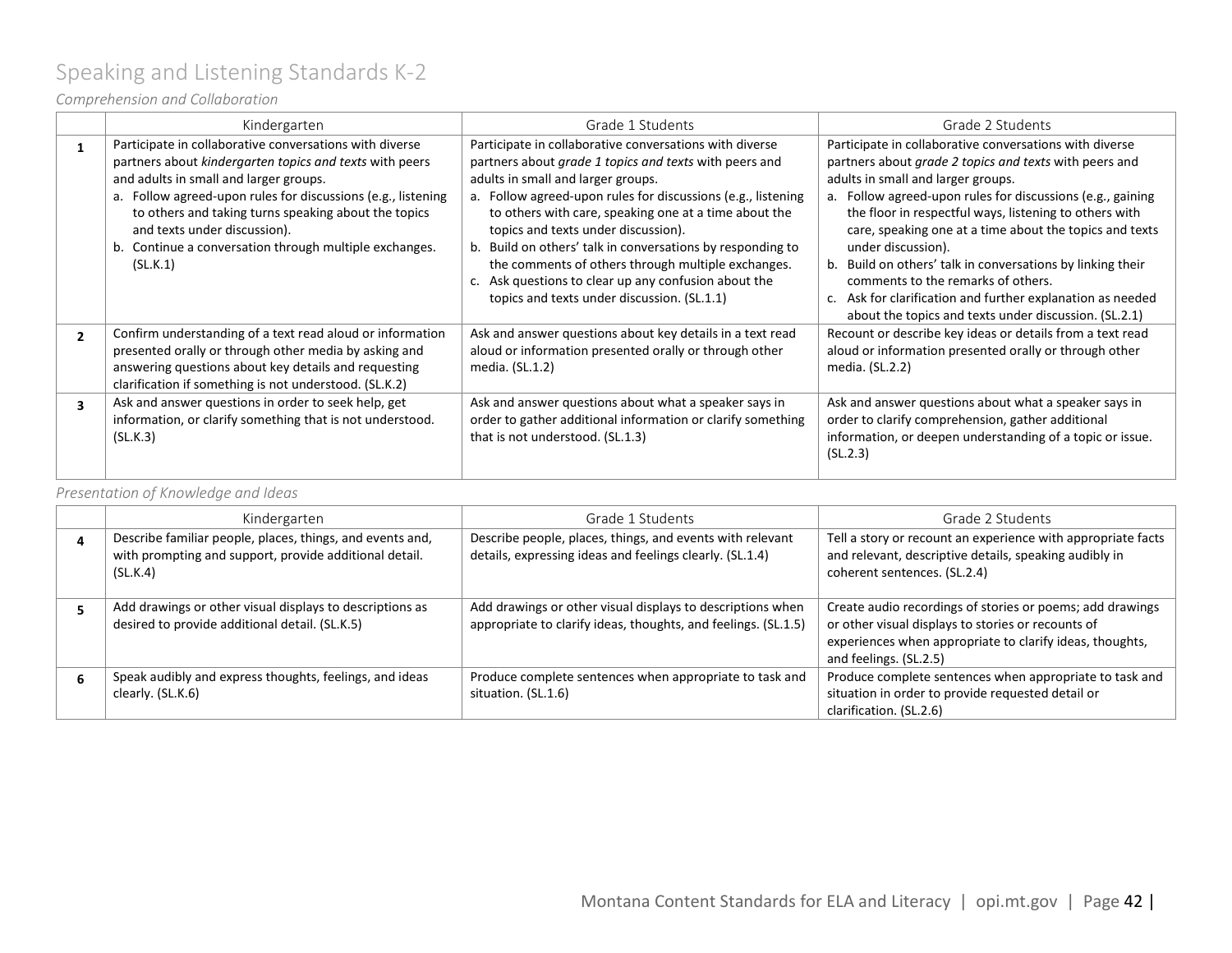# <span id="page-41-0"></span>Speaking and Listening Standards K-2

### *Comprehension and Collaboration*

|                | Kindergarten                                                                                                                                                                                                                                                                                                                                                                               | Grade 1 Students                                                                                                                                                                                                                                                                                                                                                                                                                                                                                                                                   | Grade 2 Students                                                                                                                                                                                                                                                                                                                                                                                                                                                                                                                                                                            |
|----------------|--------------------------------------------------------------------------------------------------------------------------------------------------------------------------------------------------------------------------------------------------------------------------------------------------------------------------------------------------------------------------------------------|----------------------------------------------------------------------------------------------------------------------------------------------------------------------------------------------------------------------------------------------------------------------------------------------------------------------------------------------------------------------------------------------------------------------------------------------------------------------------------------------------------------------------------------------------|---------------------------------------------------------------------------------------------------------------------------------------------------------------------------------------------------------------------------------------------------------------------------------------------------------------------------------------------------------------------------------------------------------------------------------------------------------------------------------------------------------------------------------------------------------------------------------------------|
|                | Participate in collaborative conversations with diverse<br>partners about kindergarten topics and texts with peers<br>and adults in small and larger groups.<br>a. Follow agreed-upon rules for discussions (e.g., listening<br>to others and taking turns speaking about the topics<br>and texts under discussion).<br>b. Continue a conversation through multiple exchanges.<br>(SL.K.1) | Participate in collaborative conversations with diverse<br>partners about grade 1 topics and texts with peers and<br>adults in small and larger groups.<br>a. Follow agreed-upon rules for discussions (e.g., listening<br>to others with care, speaking one at a time about the<br>topics and texts under discussion).<br>b. Build on others' talk in conversations by responding to<br>the comments of others through multiple exchanges.<br>c. Ask questions to clear up any confusion about the<br>topics and texts under discussion. (SL.1.1) | Participate in collaborative conversations with diverse<br>partners about grade 2 topics and texts with peers and<br>adults in small and larger groups.<br>a. Follow agreed-upon rules for discussions (e.g., gaining<br>the floor in respectful ways, listening to others with<br>care, speaking one at a time about the topics and texts<br>under discussion).<br>b. Build on others' talk in conversations by linking their<br>comments to the remarks of others.<br>c. Ask for clarification and further explanation as needed<br>about the topics and texts under discussion. (SL.2.1) |
| $\overline{2}$ | Confirm understanding of a text read aloud or information<br>presented orally or through other media by asking and<br>answering questions about key details and requesting<br>clarification if something is not understood. (SL.K.2)                                                                                                                                                       | Ask and answer questions about key details in a text read<br>aloud or information presented orally or through other<br>media. (SL.1.2)                                                                                                                                                                                                                                                                                                                                                                                                             | Recount or describe key ideas or details from a text read<br>aloud or information presented orally or through other<br>media. (SL.2.2)                                                                                                                                                                                                                                                                                                                                                                                                                                                      |
| 3              | Ask and answer questions in order to seek help, get<br>information, or clarify something that is not understood.<br>(SL.K.3)                                                                                                                                                                                                                                                               | Ask and answer questions about what a speaker says in<br>order to gather additional information or clarify something<br>that is not understood. (SL.1.3)                                                                                                                                                                                                                                                                                                                                                                                           | Ask and answer questions about what a speaker says in<br>order to clarify comprehension, gather additional<br>information, or deepen understanding of a topic or issue.<br>(SL.2.3)                                                                                                                                                                                                                                                                                                                                                                                                         |

*Presentation of Knowledge and Ideas*

| Kindergarten                                                                                                                    | Grade 1 Students                                                                                                             | Grade 2 Students                                                                                                                                                                                      |
|---------------------------------------------------------------------------------------------------------------------------------|------------------------------------------------------------------------------------------------------------------------------|-------------------------------------------------------------------------------------------------------------------------------------------------------------------------------------------------------|
| Describe familiar people, places, things, and events and,<br>with prompting and support, provide additional detail.<br>(SL.K.4) | Describe people, places, things, and events with relevant<br>details, expressing ideas and feelings clearly. (SL.1.4)        | Tell a story or recount an experience with appropriate facts<br>and relevant, descriptive details, speaking audibly in<br>coherent sentences. (SL.2.4)                                                |
| Add drawings or other visual displays to descriptions as<br>desired to provide additional detail. (SL.K.5)                      | Add drawings or other visual displays to descriptions when<br>appropriate to clarify ideas, thoughts, and feelings. (SL.1.5) | Create audio recordings of stories or poems; add drawings<br>or other visual displays to stories or recounts of<br>experiences when appropriate to clarify ideas, thoughts,<br>and feelings. (SL.2.5) |
| Speak audibly and express thoughts, feelings, and ideas<br>clearly. (SL.K.6)                                                    | Produce complete sentences when appropriate to task and<br>situation. (SL.1.6)                                               | Produce complete sentences when appropriate to task and<br>situation in order to provide requested detail or<br>clarification. (SL.2.6)                                                               |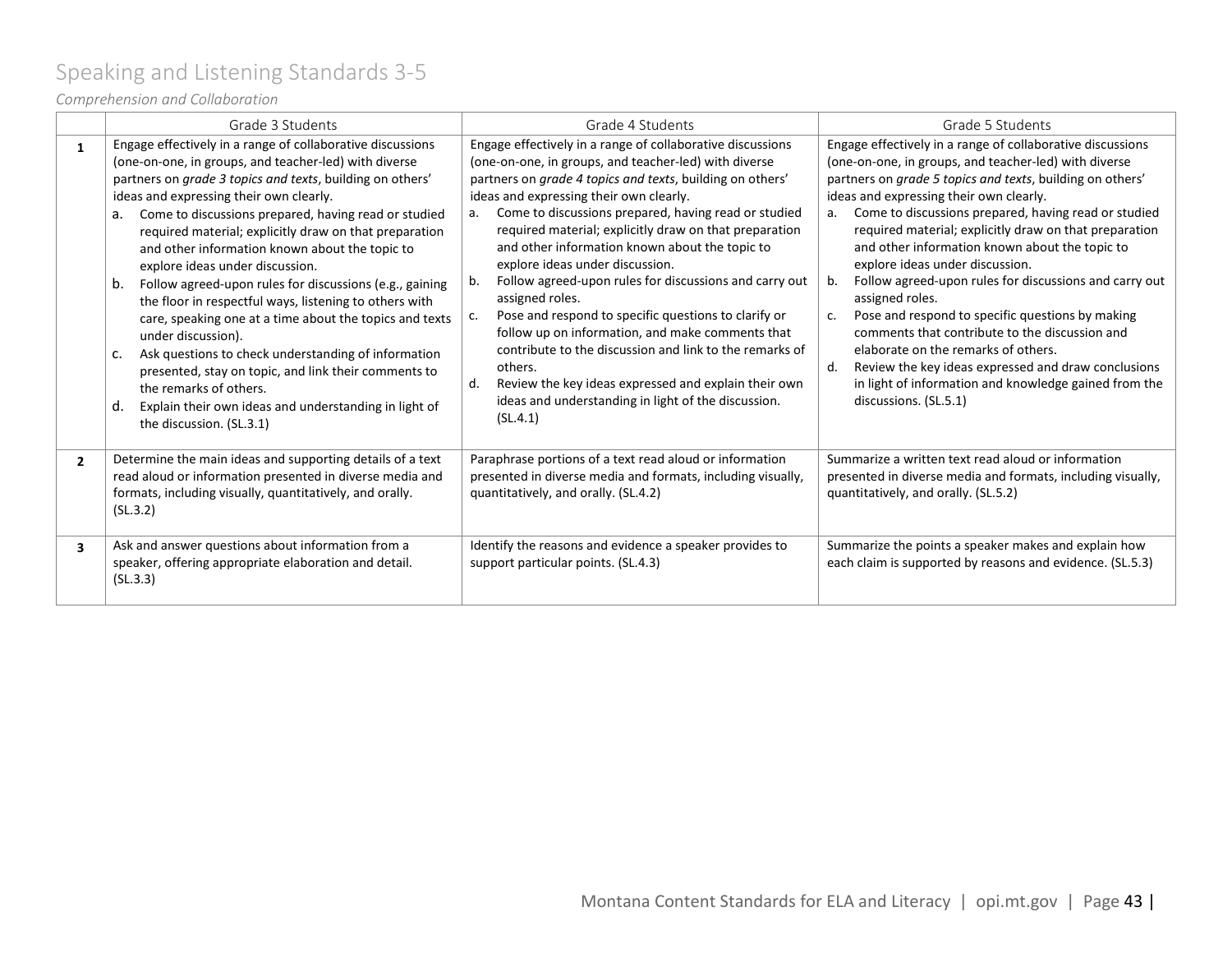# <span id="page-42-0"></span>Speaking and Listening Standards 3-5

### *Comprehension and Collaboration*

|                | Grade 3 Students                                                                                                                                                                                                                                                                                                                                                                                                                                                                                                                                                                                                                                                                                                                                                                                                                                                                               | Grade 4 Students                                                                                                                                                                                                                                                                                                                                                                                                                                                                                                                                                                                                                                                                                                                                                                                                                                     | Grade 5 Students                                                                                                                                                                                                                                                                                                                                                                                                                                                                                                                                                                                                                                                                                                                                                                                                                   |
|----------------|------------------------------------------------------------------------------------------------------------------------------------------------------------------------------------------------------------------------------------------------------------------------------------------------------------------------------------------------------------------------------------------------------------------------------------------------------------------------------------------------------------------------------------------------------------------------------------------------------------------------------------------------------------------------------------------------------------------------------------------------------------------------------------------------------------------------------------------------------------------------------------------------|------------------------------------------------------------------------------------------------------------------------------------------------------------------------------------------------------------------------------------------------------------------------------------------------------------------------------------------------------------------------------------------------------------------------------------------------------------------------------------------------------------------------------------------------------------------------------------------------------------------------------------------------------------------------------------------------------------------------------------------------------------------------------------------------------------------------------------------------------|------------------------------------------------------------------------------------------------------------------------------------------------------------------------------------------------------------------------------------------------------------------------------------------------------------------------------------------------------------------------------------------------------------------------------------------------------------------------------------------------------------------------------------------------------------------------------------------------------------------------------------------------------------------------------------------------------------------------------------------------------------------------------------------------------------------------------------|
| 1              | Engage effectively in a range of collaborative discussions<br>(one-on-one, in groups, and teacher-led) with diverse<br>partners on grade 3 topics and texts, building on others'<br>ideas and expressing their own clearly.<br>Come to discussions prepared, having read or studied<br>a.<br>required material; explicitly draw on that preparation<br>and other information known about the topic to<br>explore ideas under discussion.<br>Follow agreed-upon rules for discussions (e.g., gaining<br>b.<br>the floor in respectful ways, listening to others with<br>care, speaking one at a time about the topics and texts<br>under discussion).<br>Ask questions to check understanding of information<br>C.<br>presented, stay on topic, and link their comments to<br>the remarks of others.<br>Explain their own ideas and understanding in light of<br>d.<br>the discussion. (SL.3.1) | Engage effectively in a range of collaborative discussions<br>(one-on-one, in groups, and teacher-led) with diverse<br>partners on grade 4 topics and texts, building on others'<br>ideas and expressing their own clearly.<br>Come to discussions prepared, having read or studied<br>а.<br>required material; explicitly draw on that preparation<br>and other information known about the topic to<br>explore ideas under discussion.<br>Follow agreed-upon rules for discussions and carry out<br>b.<br>assigned roles.<br>Pose and respond to specific questions to clarify or<br>c.<br>follow up on information, and make comments that<br>contribute to the discussion and link to the remarks of<br>others.<br>Review the key ideas expressed and explain their own<br>d.<br>ideas and understanding in light of the discussion.<br>(SL.4.1) | Engage effectively in a range of collaborative discussions<br>(one-on-one, in groups, and teacher-led) with diverse<br>partners on grade 5 topics and texts, building on others'<br>ideas and expressing their own clearly.<br>Come to discussions prepared, having read or studied<br>a.<br>required material; explicitly draw on that preparation<br>and other information known about the topic to<br>explore ideas under discussion.<br>Follow agreed-upon rules for discussions and carry out<br>$b_{1}$<br>assigned roles.<br>Pose and respond to specific questions by making<br>c.<br>comments that contribute to the discussion and<br>elaborate on the remarks of others.<br>Review the key ideas expressed and draw conclusions<br>d.<br>in light of information and knowledge gained from the<br>discussions. (SL.5.1) |
| $\overline{2}$ | Determine the main ideas and supporting details of a text<br>read aloud or information presented in diverse media and<br>formats, including visually, quantitatively, and orally.<br>(SL.3.2)                                                                                                                                                                                                                                                                                                                                                                                                                                                                                                                                                                                                                                                                                                  | Paraphrase portions of a text read aloud or information<br>presented in diverse media and formats, including visually,<br>quantitatively, and orally. (SL.4.2)                                                                                                                                                                                                                                                                                                                                                                                                                                                                                                                                                                                                                                                                                       | Summarize a written text read aloud or information<br>presented in diverse media and formats, including visually,<br>quantitatively, and orally. (SL.5.2)                                                                                                                                                                                                                                                                                                                                                                                                                                                                                                                                                                                                                                                                          |
| 3              | Ask and answer questions about information from a<br>speaker, offering appropriate elaboration and detail.<br>(SL.3.3)                                                                                                                                                                                                                                                                                                                                                                                                                                                                                                                                                                                                                                                                                                                                                                         | Identify the reasons and evidence a speaker provides to<br>support particular points. (SL.4.3)                                                                                                                                                                                                                                                                                                                                                                                                                                                                                                                                                                                                                                                                                                                                                       | Summarize the points a speaker makes and explain how<br>each claim is supported by reasons and evidence. (SL.5.3)                                                                                                                                                                                                                                                                                                                                                                                                                                                                                                                                                                                                                                                                                                                  |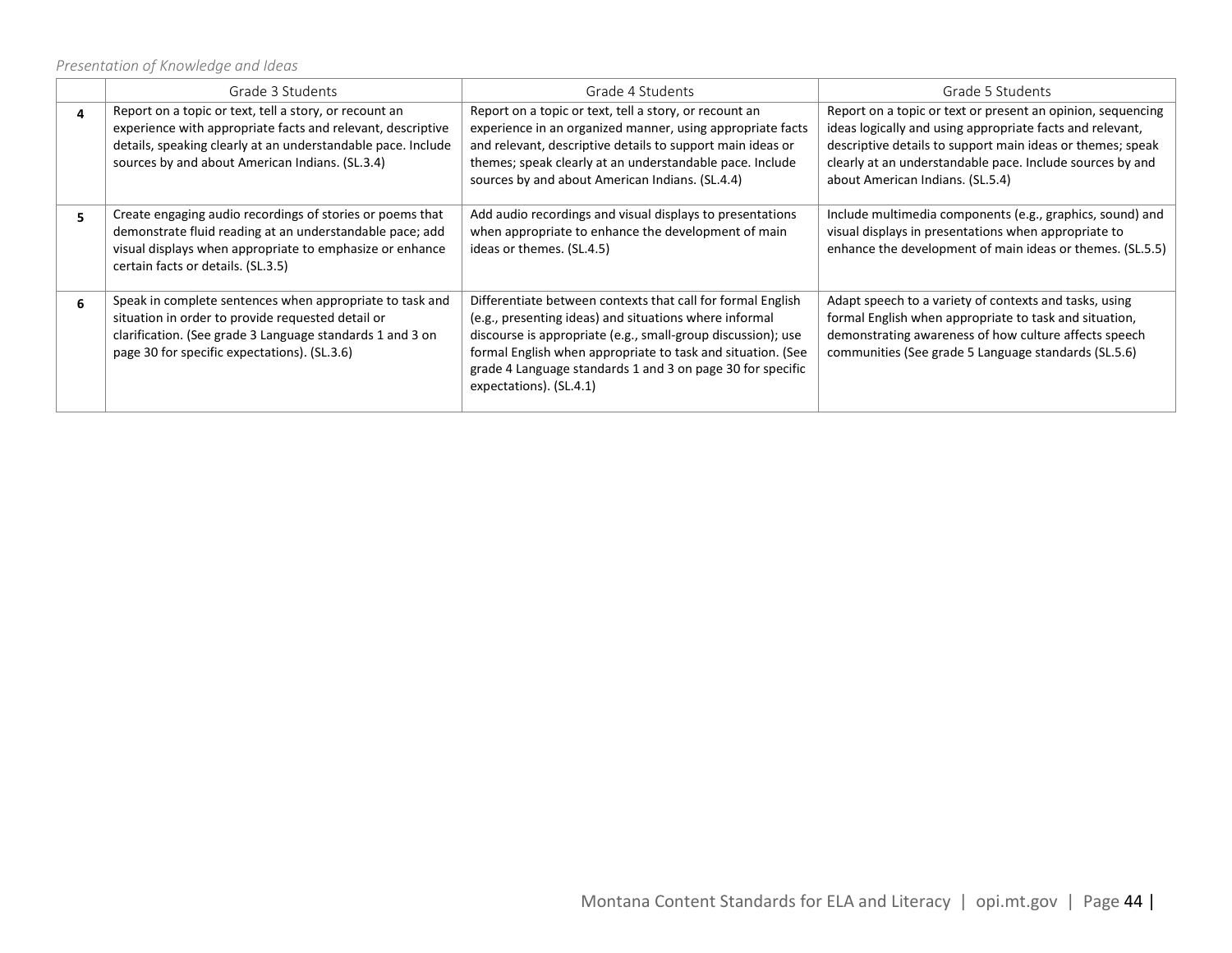*Presentation of Knowledge and Ideas*

|    | Grade 3 Students                                                                                                                                                                                                                         | Grade 4 Students                                                                                                                                                                                                                                                                                                                              | Grade 5 Students                                                                                                                                                                                                                                                                        |
|----|------------------------------------------------------------------------------------------------------------------------------------------------------------------------------------------------------------------------------------------|-----------------------------------------------------------------------------------------------------------------------------------------------------------------------------------------------------------------------------------------------------------------------------------------------------------------------------------------------|-----------------------------------------------------------------------------------------------------------------------------------------------------------------------------------------------------------------------------------------------------------------------------------------|
| 4  | Report on a topic or text, tell a story, or recount an<br>experience with appropriate facts and relevant, descriptive<br>details, speaking clearly at an understandable pace. Include<br>sources by and about American Indians. (SL.3.4) | Report on a topic or text, tell a story, or recount an<br>experience in an organized manner, using appropriate facts<br>and relevant, descriptive details to support main ideas or<br>themes; speak clearly at an understandable pace. Include<br>sources by and about American Indians. (SL.4.4)                                             | Report on a topic or text or present an opinion, sequencing<br>ideas logically and using appropriate facts and relevant,<br>descriptive details to support main ideas or themes; speak<br>clearly at an understandable pace. Include sources by and<br>about American Indians. (SL.5.4) |
| 5. | Create engaging audio recordings of stories or poems that<br>demonstrate fluid reading at an understandable pace; add<br>visual displays when appropriate to emphasize or enhance<br>certain facts or details. (SL.3.5)                  | Add audio recordings and visual displays to presentations<br>when appropriate to enhance the development of main<br>ideas or themes. (SL.4.5)                                                                                                                                                                                                 | Include multimedia components (e.g., graphics, sound) and<br>visual displays in presentations when appropriate to<br>enhance the development of main ideas or themes. (SL.5.5)                                                                                                          |
| 6. | Speak in complete sentences when appropriate to task and<br>situation in order to provide requested detail or<br>clarification. (See grade 3 Language standards 1 and 3 on<br>page 30 for specific expectations). (SL.3.6)               | Differentiate between contexts that call for formal English<br>(e.g., presenting ideas) and situations where informal<br>discourse is appropriate (e.g., small-group discussion); use<br>formal English when appropriate to task and situation. (See<br>grade 4 Language standards 1 and 3 on page 30 for specific<br>expectations). (SL.4.1) | Adapt speech to a variety of contexts and tasks, using<br>formal English when appropriate to task and situation,<br>demonstrating awareness of how culture affects speech<br>communities (See grade 5 Language standards (SL.5.6)                                                       |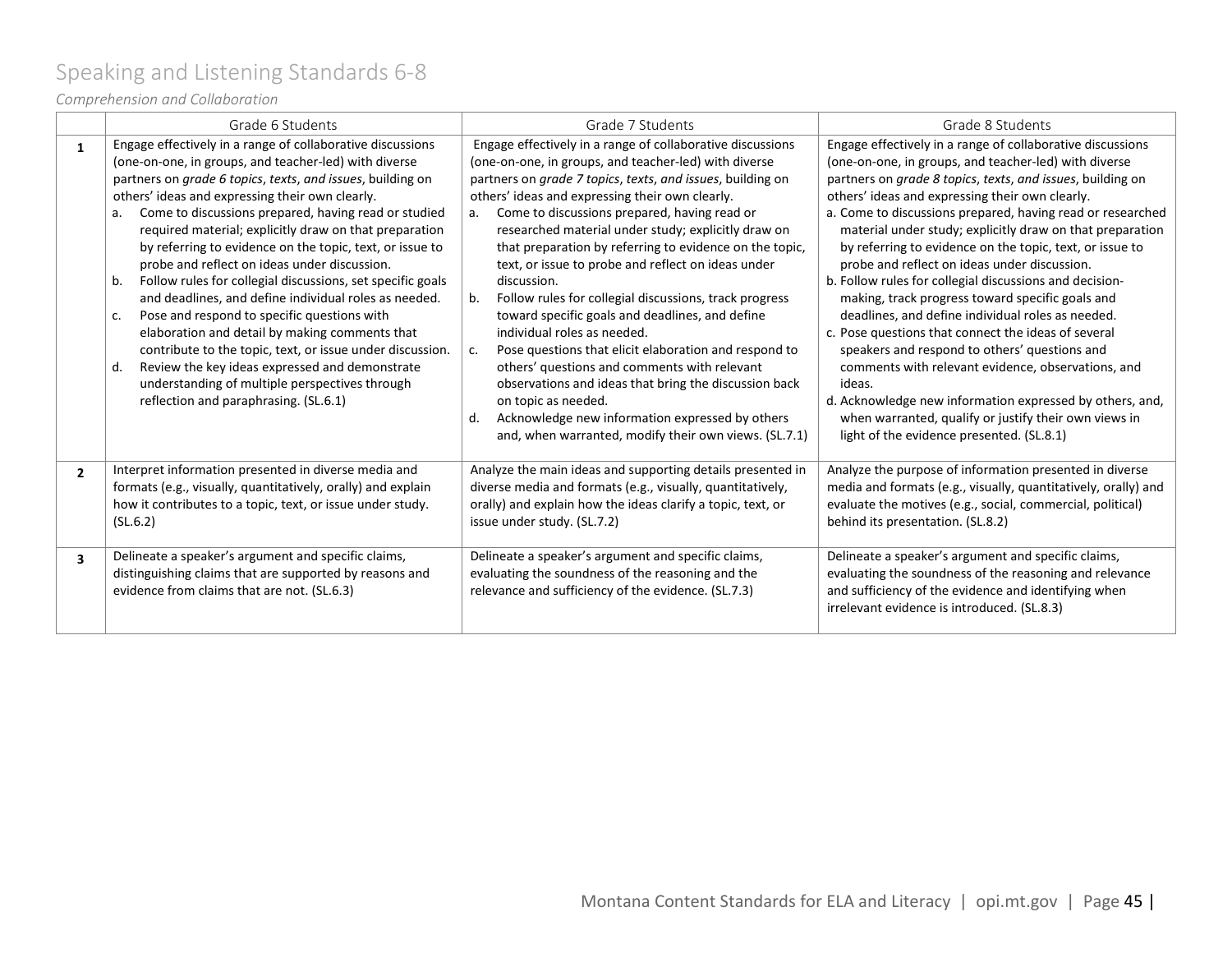# <span id="page-44-0"></span>Speaking and Listening Standards 6-8

### *Comprehension and Collaboration*

|                | Grade 6 Students                                                                                                                                                                                                                                                                                                                                                                                                                                                                                                                                                                                                                                                                                                                                                                                                                                                                                                             | Grade 7 Students                                                                                                                                                                                                                                                                                                                                                                                                                                                                                                                                                                                                                                                                                                                                                                                                                                                                                                                                     | Grade 8 Students                                                                                                                                                                                                                                                                                                                                                                                                                                                                                                                                                                                                                                                                                                                                                                                                                                                                                                                                                                          |
|----------------|------------------------------------------------------------------------------------------------------------------------------------------------------------------------------------------------------------------------------------------------------------------------------------------------------------------------------------------------------------------------------------------------------------------------------------------------------------------------------------------------------------------------------------------------------------------------------------------------------------------------------------------------------------------------------------------------------------------------------------------------------------------------------------------------------------------------------------------------------------------------------------------------------------------------------|------------------------------------------------------------------------------------------------------------------------------------------------------------------------------------------------------------------------------------------------------------------------------------------------------------------------------------------------------------------------------------------------------------------------------------------------------------------------------------------------------------------------------------------------------------------------------------------------------------------------------------------------------------------------------------------------------------------------------------------------------------------------------------------------------------------------------------------------------------------------------------------------------------------------------------------------------|-------------------------------------------------------------------------------------------------------------------------------------------------------------------------------------------------------------------------------------------------------------------------------------------------------------------------------------------------------------------------------------------------------------------------------------------------------------------------------------------------------------------------------------------------------------------------------------------------------------------------------------------------------------------------------------------------------------------------------------------------------------------------------------------------------------------------------------------------------------------------------------------------------------------------------------------------------------------------------------------|
| $\mathbf{1}$   | Engage effectively in a range of collaborative discussions<br>(one-on-one, in groups, and teacher-led) with diverse<br>partners on grade 6 topics, texts, and issues, building on<br>others' ideas and expressing their own clearly.<br>Come to discussions prepared, having read or studied<br>a.<br>required material; explicitly draw on that preparation<br>by referring to evidence on the topic, text, or issue to<br>probe and reflect on ideas under discussion.<br>Follow rules for collegial discussions, set specific goals<br>b.<br>and deadlines, and define individual roles as needed.<br>Pose and respond to specific questions with<br>c.<br>elaboration and detail by making comments that<br>contribute to the topic, text, or issue under discussion.<br>Review the key ideas expressed and demonstrate<br>d.<br>understanding of multiple perspectives through<br>reflection and paraphrasing. (SL.6.1) | Engage effectively in a range of collaborative discussions<br>(one-on-one, in groups, and teacher-led) with diverse<br>partners on grade 7 topics, texts, and issues, building on<br>others' ideas and expressing their own clearly.<br>Come to discussions prepared, having read or<br>a.<br>researched material under study; explicitly draw on<br>that preparation by referring to evidence on the topic,<br>text, or issue to probe and reflect on ideas under<br>discussion.<br>Follow rules for collegial discussions, track progress<br>b.<br>toward specific goals and deadlines, and define<br>individual roles as needed.<br>Pose questions that elicit elaboration and respond to<br>c.<br>others' questions and comments with relevant<br>observations and ideas that bring the discussion back<br>on topic as needed.<br>Acknowledge new information expressed by others<br>d.<br>and, when warranted, modify their own views. (SL.7.1) | Engage effectively in a range of collaborative discussions<br>(one-on-one, in groups, and teacher-led) with diverse<br>partners on grade 8 topics, texts, and issues, building on<br>others' ideas and expressing their own clearly.<br>a. Come to discussions prepared, having read or researched<br>material under study; explicitly draw on that preparation<br>by referring to evidence on the topic, text, or issue to<br>probe and reflect on ideas under discussion.<br>b. Follow rules for collegial discussions and decision-<br>making, track progress toward specific goals and<br>deadlines, and define individual roles as needed.<br>c. Pose questions that connect the ideas of several<br>speakers and respond to others' questions and<br>comments with relevant evidence, observations, and<br>ideas.<br>d. Acknowledge new information expressed by others, and,<br>when warranted, qualify or justify their own views in<br>light of the evidence presented. (SL.8.1) |
| $\overline{2}$ | Interpret information presented in diverse media and<br>formats (e.g., visually, quantitatively, orally) and explain<br>how it contributes to a topic, text, or issue under study.<br>(SL.6.2)                                                                                                                                                                                                                                                                                                                                                                                                                                                                                                                                                                                                                                                                                                                               | Analyze the main ideas and supporting details presented in<br>diverse media and formats (e.g., visually, quantitatively,<br>orally) and explain how the ideas clarify a topic, text, or<br>issue under study. (SL.7.2)                                                                                                                                                                                                                                                                                                                                                                                                                                                                                                                                                                                                                                                                                                                               | Analyze the purpose of information presented in diverse<br>media and formats (e.g., visually, quantitatively, orally) and<br>evaluate the motives (e.g., social, commercial, political)<br>behind its presentation. (SL.8.2)                                                                                                                                                                                                                                                                                                                                                                                                                                                                                                                                                                                                                                                                                                                                                              |
| 3              | Delineate a speaker's argument and specific claims,<br>distinguishing claims that are supported by reasons and<br>evidence from claims that are not. (SL.6.3)                                                                                                                                                                                                                                                                                                                                                                                                                                                                                                                                                                                                                                                                                                                                                                | Delineate a speaker's argument and specific claims,<br>evaluating the soundness of the reasoning and the<br>relevance and sufficiency of the evidence. (SL.7.3)                                                                                                                                                                                                                                                                                                                                                                                                                                                                                                                                                                                                                                                                                                                                                                                      | Delineate a speaker's argument and specific claims,<br>evaluating the soundness of the reasoning and relevance<br>and sufficiency of the evidence and identifying when<br>irrelevant evidence is introduced. (SL.8.3)                                                                                                                                                                                                                                                                                                                                                                                                                                                                                                                                                                                                                                                                                                                                                                     |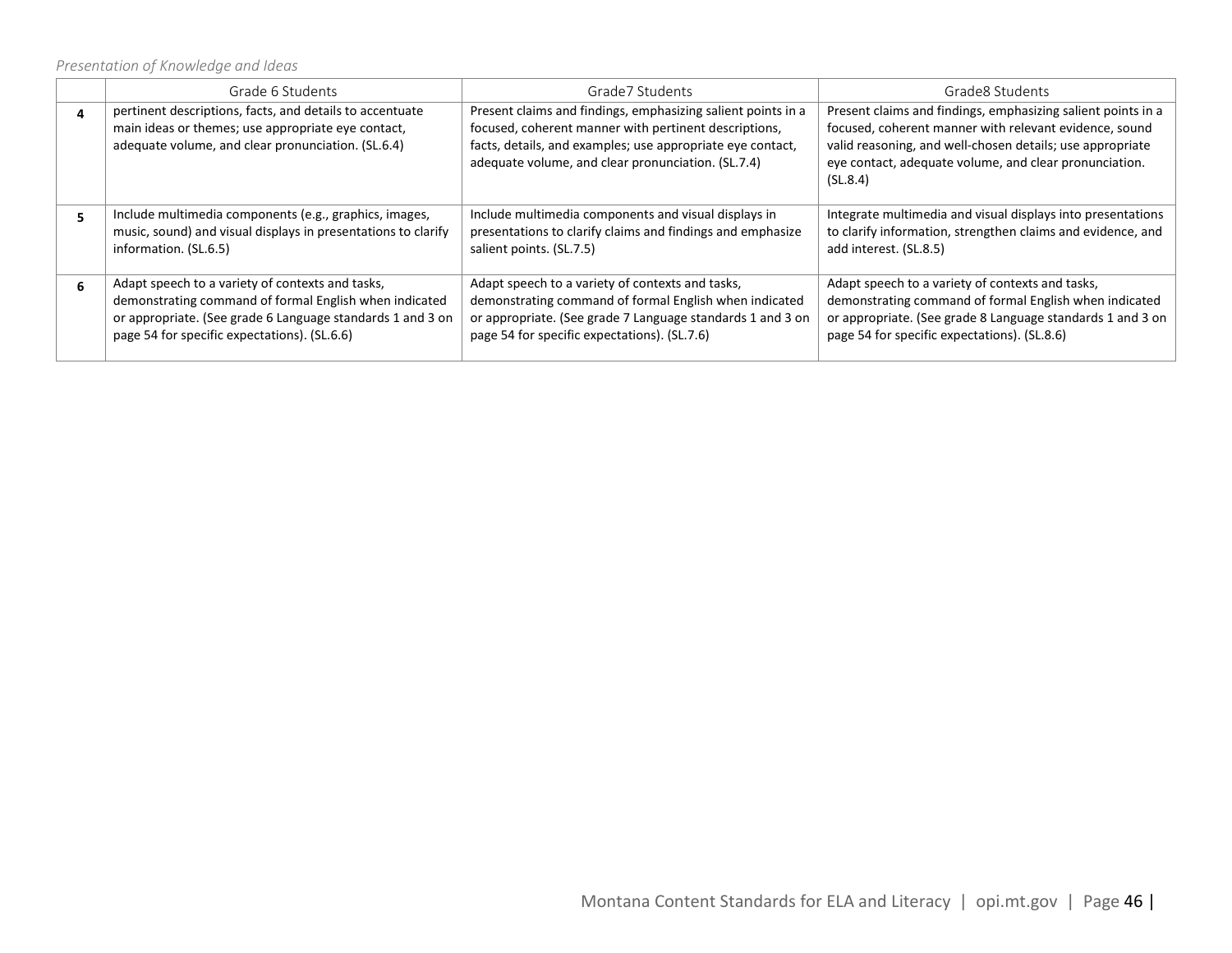*Presentation of Knowledge and Ideas*

|  | Grade 6 Students                                                                                                                                                                                                         | Grade7 Students                                                                                                                                                                                                                           | Grade8 Students                                                                                                                                                                                                                                           |
|--|--------------------------------------------------------------------------------------------------------------------------------------------------------------------------------------------------------------------------|-------------------------------------------------------------------------------------------------------------------------------------------------------------------------------------------------------------------------------------------|-----------------------------------------------------------------------------------------------------------------------------------------------------------------------------------------------------------------------------------------------------------|
|  | pertinent descriptions, facts, and details to accentuate<br>main ideas or themes; use appropriate eye contact,<br>adequate volume, and clear pronunciation. (SL.6.4)                                                     | Present claims and findings, emphasizing salient points in a<br>focused, coherent manner with pertinent descriptions,<br>facts, details, and examples; use appropriate eye contact,<br>adequate volume, and clear pronunciation. (SL.7.4) | Present claims and findings, emphasizing salient points in a<br>focused, coherent manner with relevant evidence, sound<br>valid reasoning, and well-chosen details; use appropriate<br>eye contact, adequate volume, and clear pronunciation.<br>(SL.8.4) |
|  | Include multimedia components (e.g., graphics, images,<br>music, sound) and visual displays in presentations to clarify<br>information. (SL.6.5)                                                                         | Include multimedia components and visual displays in<br>presentations to clarify claims and findings and emphasize<br>salient points. (SL.7.5)                                                                                            | Integrate multimedia and visual displays into presentations<br>to clarify information, strengthen claims and evidence, and<br>add interest. (SL.8.5)                                                                                                      |
|  | Adapt speech to a variety of contexts and tasks,<br>demonstrating command of formal English when indicated<br>or appropriate. (See grade 6 Language standards 1 and 3 on<br>page 54 for specific expectations). (SL.6.6) | Adapt speech to a variety of contexts and tasks,<br>demonstrating command of formal English when indicated<br>or appropriate. (See grade 7 Language standards 1 and 3 on<br>page 54 for specific expectations). (SL.7.6)                  | Adapt speech to a variety of contexts and tasks,<br>demonstrating command of formal English when indicated<br>or appropriate. (See grade 8 Language standards 1 and 3 on<br>page 54 for specific expectations). (SL.8.6)                                  |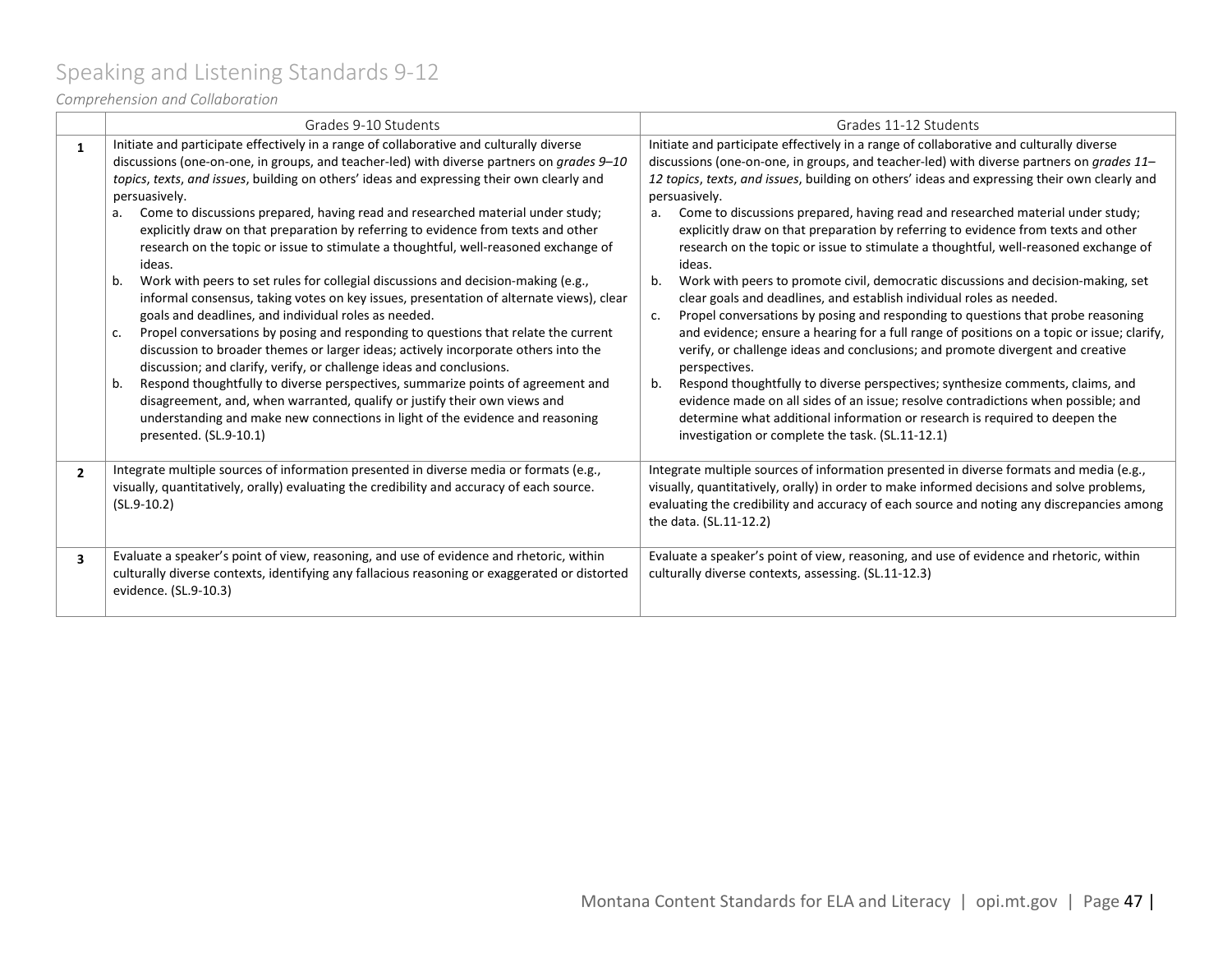# <span id="page-46-0"></span>Speaking and Listening Standards 9-12

*Comprehension and Collaboration*

|                         | Grades 9-10 Students                                                                                                                                                                                                                                                                                                                                                                                                                                                                                                                                                                                                                                                                                                                                                                                                                                                                                                                                                                                                                                                                                                                                                                                                                                                                                                                                                                  | Grades 11-12 Students                                                                                                                                                                                                                                                                                                                                                                                                                                                                                                                                                                                                                                                                                                                                                                                                                                                                                                                                                                                                                                                                                                                                                                                                                                                                                                                                           |  |
|-------------------------|---------------------------------------------------------------------------------------------------------------------------------------------------------------------------------------------------------------------------------------------------------------------------------------------------------------------------------------------------------------------------------------------------------------------------------------------------------------------------------------------------------------------------------------------------------------------------------------------------------------------------------------------------------------------------------------------------------------------------------------------------------------------------------------------------------------------------------------------------------------------------------------------------------------------------------------------------------------------------------------------------------------------------------------------------------------------------------------------------------------------------------------------------------------------------------------------------------------------------------------------------------------------------------------------------------------------------------------------------------------------------------------|-----------------------------------------------------------------------------------------------------------------------------------------------------------------------------------------------------------------------------------------------------------------------------------------------------------------------------------------------------------------------------------------------------------------------------------------------------------------------------------------------------------------------------------------------------------------------------------------------------------------------------------------------------------------------------------------------------------------------------------------------------------------------------------------------------------------------------------------------------------------------------------------------------------------------------------------------------------------------------------------------------------------------------------------------------------------------------------------------------------------------------------------------------------------------------------------------------------------------------------------------------------------------------------------------------------------------------------------------------------------|--|
| 1                       | Initiate and participate effectively in a range of collaborative and culturally diverse<br>discussions (one-on-one, in groups, and teacher-led) with diverse partners on grades 9-10<br>topics, texts, and issues, building on others' ideas and expressing their own clearly and<br>persuasively.<br>Come to discussions prepared, having read and researched material under study;<br>a.<br>explicitly draw on that preparation by referring to evidence from texts and other<br>research on the topic or issue to stimulate a thoughtful, well-reasoned exchange of<br>ideas.<br>Work with peers to set rules for collegial discussions and decision-making (e.g.,<br>b.<br>informal consensus, taking votes on key issues, presentation of alternate views), clear<br>goals and deadlines, and individual roles as needed.<br>Propel conversations by posing and responding to questions that relate the current<br>C <sub>1</sub><br>discussion to broader themes or larger ideas; actively incorporate others into the<br>discussion; and clarify, verify, or challenge ideas and conclusions.<br>Respond thoughtfully to diverse perspectives, summarize points of agreement and<br>b.<br>disagreement, and, when warranted, qualify or justify their own views and<br>understanding and make new connections in light of the evidence and reasoning<br>presented. (SL.9-10.1) | Initiate and participate effectively in a range of collaborative and culturally diverse<br>discussions (one-on-one, in groups, and teacher-led) with diverse partners on grades 11-<br>12 topics, texts, and issues, building on others' ideas and expressing their own clearly and<br>persuasively.<br>Come to discussions prepared, having read and researched material under study;<br>а.<br>explicitly draw on that preparation by referring to evidence from texts and other<br>research on the topic or issue to stimulate a thoughtful, well-reasoned exchange of<br>ideas.<br>Work with peers to promote civil, democratic discussions and decision-making, set<br>b.<br>clear goals and deadlines, and establish individual roles as needed.<br>Propel conversations by posing and responding to questions that probe reasoning<br>c.<br>and evidence; ensure a hearing for a full range of positions on a topic or issue; clarify,<br>verify, or challenge ideas and conclusions; and promote divergent and creative<br>perspectives.<br>Respond thoughtfully to diverse perspectives; synthesize comments, claims, and<br>b.<br>evidence made on all sides of an issue; resolve contradictions when possible; and<br>determine what additional information or research is required to deepen the<br>investigation or complete the task. (SL.11-12.1) |  |
| $\overline{2}$          | Integrate multiple sources of information presented in diverse media or formats (e.g.,<br>visually, quantitatively, orally) evaluating the credibility and accuracy of each source.<br>$(SL.9-10.2)$                                                                                                                                                                                                                                                                                                                                                                                                                                                                                                                                                                                                                                                                                                                                                                                                                                                                                                                                                                                                                                                                                                                                                                                  | Integrate multiple sources of information presented in diverse formats and media (e.g.,<br>visually, quantitatively, orally) in order to make informed decisions and solve problems,<br>evaluating the credibility and accuracy of each source and noting any discrepancies among<br>the data. (SL.11-12.2)                                                                                                                                                                                                                                                                                                                                                                                                                                                                                                                                                                                                                                                                                                                                                                                                                                                                                                                                                                                                                                                     |  |
| $\overline{\mathbf{3}}$ | Evaluate a speaker's point of view, reasoning, and use of evidence and rhetoric, within<br>culturally diverse contexts, identifying any fallacious reasoning or exaggerated or distorted<br>evidence. (SL.9-10.3)                                                                                                                                                                                                                                                                                                                                                                                                                                                                                                                                                                                                                                                                                                                                                                                                                                                                                                                                                                                                                                                                                                                                                                     | Evaluate a speaker's point of view, reasoning, and use of evidence and rhetoric, within<br>culturally diverse contexts, assessing. (SL.11-12.3)                                                                                                                                                                                                                                                                                                                                                                                                                                                                                                                                                                                                                                                                                                                                                                                                                                                                                                                                                                                                                                                                                                                                                                                                                 |  |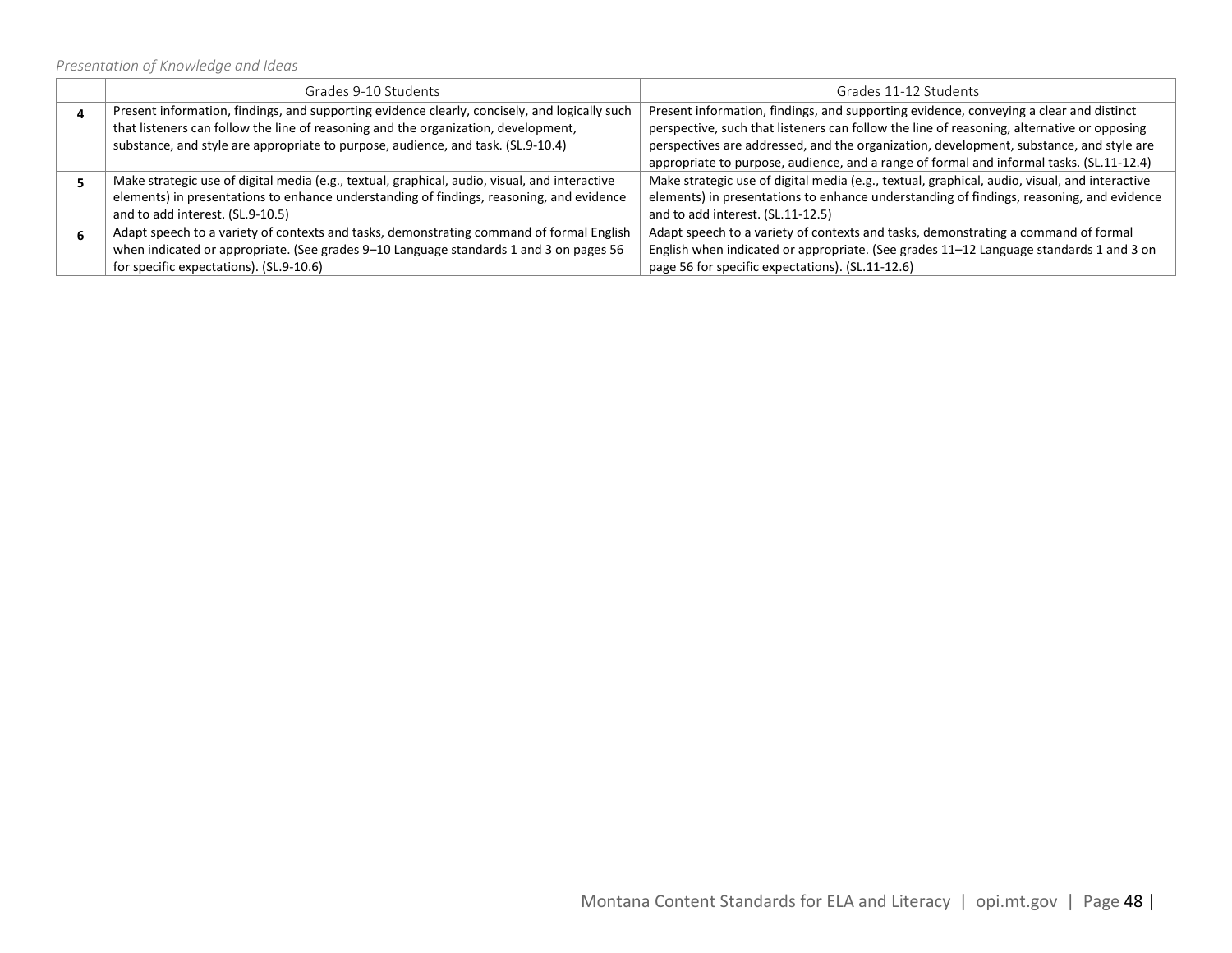### *Presentation of Knowledge and Ideas*

| Grades 9-10 Students                                                                          | Grades 11-12 Students                                                                         |
|-----------------------------------------------------------------------------------------------|-----------------------------------------------------------------------------------------------|
| Present information, findings, and supporting evidence clearly, concisely, and logically such | Present information, findings, and supporting evidence, conveying a clear and distinct        |
| that listeners can follow the line of reasoning and the organization, development,            | perspective, such that listeners can follow the line of reasoning, alternative or opposing    |
| substance, and style are appropriate to purpose, audience, and task. (SL.9-10.4)              | perspectives are addressed, and the organization, development, substance, and style are       |
|                                                                                               | appropriate to purpose, audience, and a range of formal and informal tasks. (SL.11-12.4)      |
| Make strategic use of digital media (e.g., textual, graphical, audio, visual, and interactive | Make strategic use of digital media (e.g., textual, graphical, audio, visual, and interactive |
| elements) in presentations to enhance understanding of findings, reasoning, and evidence      | elements) in presentations to enhance understanding of findings, reasoning, and evidence      |
| and to add interest. (SL.9-10.5)                                                              | and to add interest. (SL.11-12.5)                                                             |
| Adapt speech to a variety of contexts and tasks, demonstrating command of formal English      | Adapt speech to a variety of contexts and tasks, demonstrating a command of formal            |
| when indicated or appropriate. (See grades 9-10 Language standards 1 and 3 on pages 56        | English when indicated or appropriate. (See grades 11-12 Language standards 1 and 3 on        |
| for specific expectations). (SL.9-10.6)                                                       | page 56 for specific expectations). (SL.11-12.6)                                              |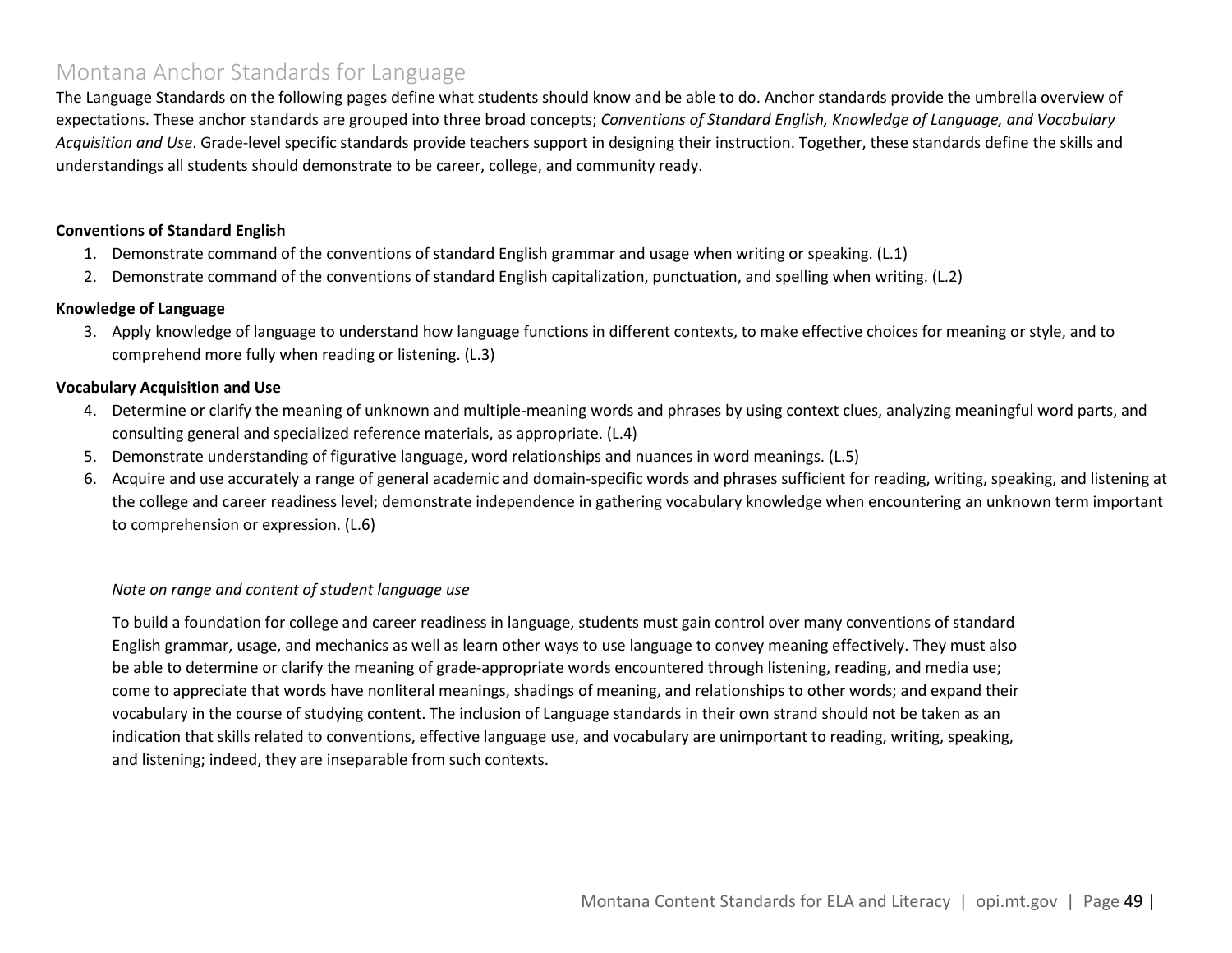### <span id="page-48-0"></span>Montana Anchor Standards for Language

The Language Standards on the following pages define what students should know and be able to do. Anchor standards provide the umbrella overview of expectations. These anchor standards are grouped into three broad concepts; *Conventions of Standard English, Knowledge of Language, and Vocabulary Acquisition and Use*. Grade-level specific standards provide teachers support in designing their instruction. Together, these standards define the skills and understandings all students should demonstrate to be career, college, and community ready.

#### **Conventions of Standard English**

- 1. Demonstrate command of the conventions of standard English grammar and usage when writing or speaking. (L.1)
- 2. Demonstrate command of the conventions of standard English capitalization, punctuation, and spelling when writing. (L.2)

#### **Knowledge of Language**

3. Apply knowledge of language to understand how language functions in different contexts, to make effective choices for meaning or style, and to comprehend more fully when reading or listening. (L.3)

#### **Vocabulary Acquisition and Use**

- 4. Determine or clarify the meaning of unknown and multiple-meaning words and phrases by using context clues, analyzing meaningful word parts, and consulting general and specialized reference materials, as appropriate. (L.4)
- 5. Demonstrate understanding of figurative language, word relationships and nuances in word meanings. (L.5)
- 6. Acquire and use accurately a range of general academic and domain-specific words and phrases sufficient for reading, writing, speaking, and listening at the college and career readiness level; demonstrate independence in gathering vocabulary knowledge when encountering an unknown term important to comprehension or expression. (L.6)

#### *Note on range and content of student language use*

To build a foundation for college and career readiness in language, students must gain control over many conventions of standard English grammar, usage, and mechanics as well as learn other ways to use language to convey meaning effectively. They must also be able to determine or clarify the meaning of grade-appropriate words encountered through listening, reading, and media use; come to appreciate that words have nonliteral meanings, shadings of meaning, and relationships to other words; and expand their vocabulary in the course of studying content. The inclusion of Language standards in their own strand should not be taken as an indication that skills related to conventions, effective language use, and vocabulary are unimportant to reading, writing, speaking, and listening; indeed, they are inseparable from such contexts.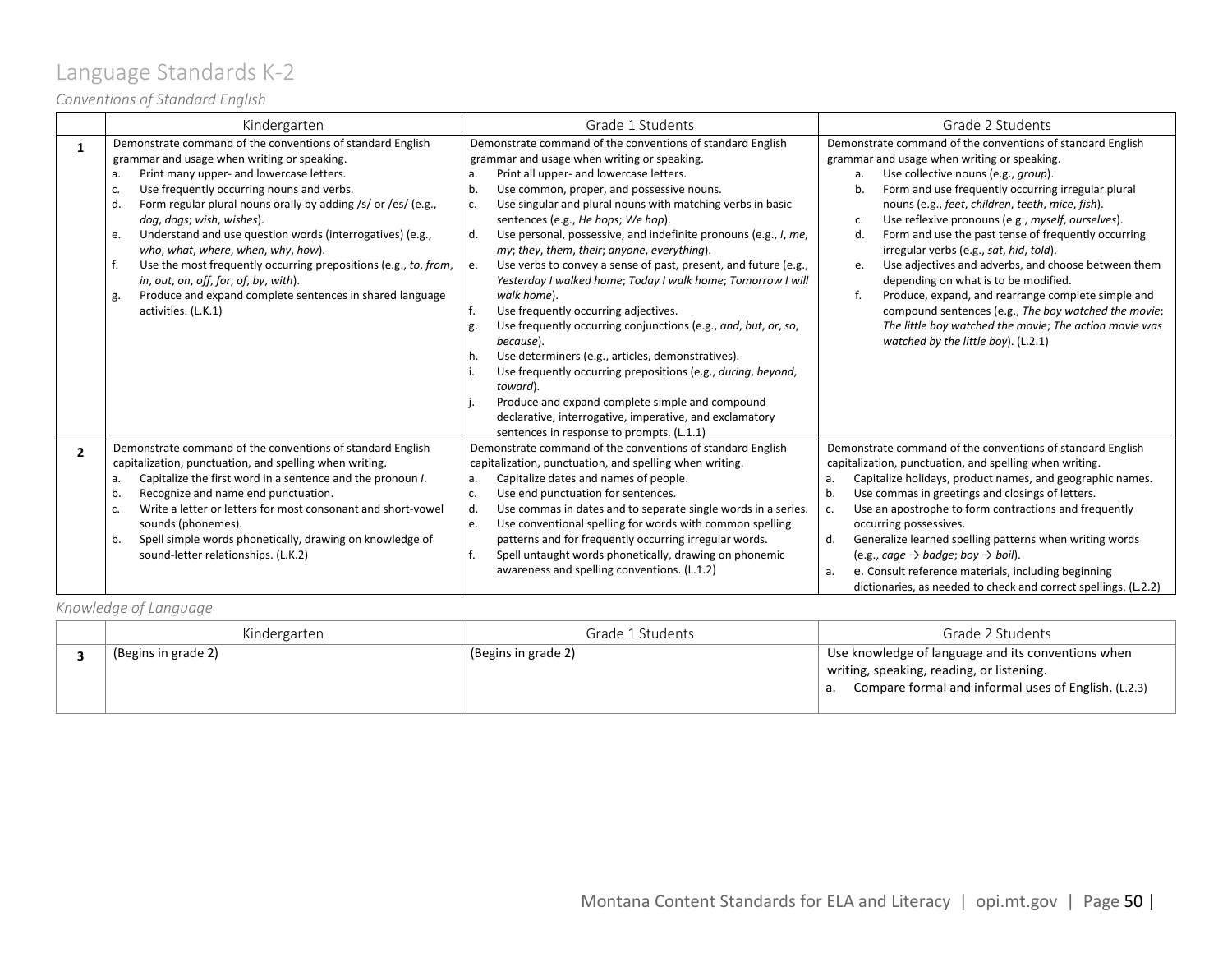# <span id="page-49-0"></span>Language Standards K-2

### *Conventions of Standard English*

|                | Kindergarten                                                                                                                                                                                                                                                                                                                                                                                                                                                                                                                                                                                                               | Grade 1 Students                                                                                                                                                                                                                                                                                                                                                                                                                                                                                                                                                                                                                                                                                                                                                                                                                                                                                                                                                                                                                            | Grade 2 Students                                                                                                                                                                                                                                                                                                                                                                                                                                                                                                                                                                                                                                                                                                                                                    |
|----------------|----------------------------------------------------------------------------------------------------------------------------------------------------------------------------------------------------------------------------------------------------------------------------------------------------------------------------------------------------------------------------------------------------------------------------------------------------------------------------------------------------------------------------------------------------------------------------------------------------------------------------|---------------------------------------------------------------------------------------------------------------------------------------------------------------------------------------------------------------------------------------------------------------------------------------------------------------------------------------------------------------------------------------------------------------------------------------------------------------------------------------------------------------------------------------------------------------------------------------------------------------------------------------------------------------------------------------------------------------------------------------------------------------------------------------------------------------------------------------------------------------------------------------------------------------------------------------------------------------------------------------------------------------------------------------------|---------------------------------------------------------------------------------------------------------------------------------------------------------------------------------------------------------------------------------------------------------------------------------------------------------------------------------------------------------------------------------------------------------------------------------------------------------------------------------------------------------------------------------------------------------------------------------------------------------------------------------------------------------------------------------------------------------------------------------------------------------------------|
| 1              | Demonstrate command of the conventions of standard English<br>grammar and usage when writing or speaking.<br>Print many upper- and lowercase letters.<br>a.<br>Use frequently occurring nouns and verbs.<br>Form regular plural nouns orally by adding /s/ or /es/ (e.g.,<br>d.<br>dog, dogs; wish, wishes).<br>Understand and use question words (interrogatives) (e.g.,<br>e.<br>who, what, where, when, why, how).<br>Use the most frequently occurring prepositions (e.g., to, from,<br>in, out, on, off, for, of, by, with).<br>Produce and expand complete sentences in shared language<br>g.<br>activities. (L.K.1) | Demonstrate command of the conventions of standard English<br>grammar and usage when writing or speaking.<br>Print all upper- and lowercase letters.<br>a.<br>Use common, proper, and possessive nouns.<br>b.<br>Use singular and plural nouns with matching verbs in basic<br>c.<br>sentences (e.g., He hops; We hop).<br>Use personal, possessive, and indefinite pronouns (e.g., I, me,<br>d.<br>my; they, them, their; anyone, everything).<br>Use verbs to convey a sense of past, present, and future (e.g.,<br>e.<br>Yesterday I walked home; Today I walk home; Tomorrow I will<br>walk home).<br>f.<br>Use frequently occurring adjectives.<br>Use frequently occurring conjunctions (e.g., and, but, or, so,<br>g.<br>because).<br>Use determiners (e.g., articles, demonstratives).<br>h.<br>Use frequently occurring prepositions (e.g., during, beyond,<br>toward).<br>Produce and expand complete simple and compound<br>declarative, interrogative, imperative, and exclamatory<br>sentences in response to prompts. (L.1.1) | Demonstrate command of the conventions of standard English<br>grammar and usage when writing or speaking.<br>Use collective nouns (e.g., group).<br>a.<br>Form and use frequently occurring irregular plural<br>b.<br>nouns (e.g., feet, children, teeth, mice, fish).<br>Use reflexive pronouns (e.g., myself, ourselves).<br>c.<br>Form and use the past tense of frequently occurring<br>d.<br>irregular verbs (e.g., sat, hid, told).<br>Use adjectives and adverbs, and choose between them<br>e.<br>depending on what is to be modified.<br>Produce, expand, and rearrange complete simple and<br>f.<br>compound sentences (e.g., The boy watched the movie;<br>The little boy watched the movie; The action movie was<br>watched by the little boy). (L.2.1) |
| $\overline{2}$ | Demonstrate command of the conventions of standard English<br>capitalization, punctuation, and spelling when writing.<br>Capitalize the first word in a sentence and the pronoun I.<br>a.<br>Recognize and name end punctuation.<br>b.<br>Write a letter or letters for most consonant and short-vowel<br>c.<br>sounds (phonemes).<br>Spell simple words phonetically, drawing on knowledge of<br>b.<br>sound-letter relationships. (L.K.2)                                                                                                                                                                                | Demonstrate command of the conventions of standard English<br>capitalization, punctuation, and spelling when writing.<br>Capitalize dates and names of people.<br>a.<br>Use end punctuation for sentences.<br>c.<br>Use commas in dates and to separate single words in a series.<br>d.<br>Use conventional spelling for words with common spelling<br>e.<br>patterns and for frequently occurring irregular words.<br>f.<br>Spell untaught words phonetically, drawing on phonemic<br>awareness and spelling conventions. (L.1.2)                                                                                                                                                                                                                                                                                                                                                                                                                                                                                                          | Demonstrate command of the conventions of standard English<br>capitalization, punctuation, and spelling when writing.<br>Capitalize holidays, product names, and geographic names.<br>a.<br>b.<br>Use commas in greetings and closings of letters.<br>Use an apostrophe to form contractions and frequently<br>c.<br>occurring possessives.<br>d.<br>Generalize learned spelling patterns when writing words<br>(e.g., cage $\rightarrow$ badge; boy $\rightarrow$ boil).<br>e. Consult reference materials, including beginning<br>a.<br>dictionaries, as needed to check and correct spellings. (L.2.2)                                                                                                                                                           |

### *Knowledge of Language*

| Kindergarten        | Grade 1 Students    | Grade 2 Students                                                                                                                                           |
|---------------------|---------------------|------------------------------------------------------------------------------------------------------------------------------------------------------------|
| (Begins in grade 2) | (Begins in grade 2) | Use knowledge of language and its conventions when<br>writing, speaking, reading, or listening.<br>a. Compare formal and informal uses of English. (L.2.3) |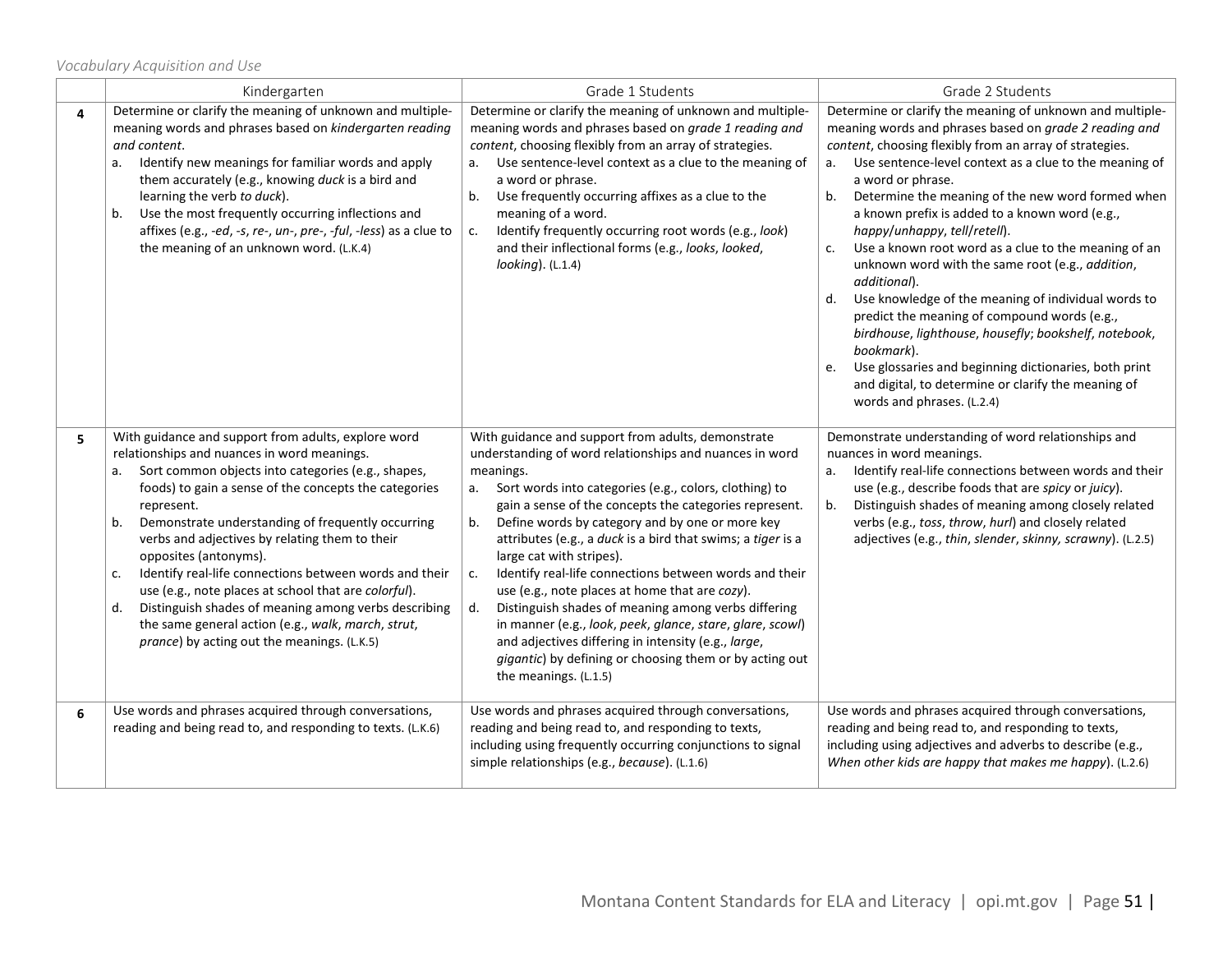|   | Kindergarten                                                                                                                                                                                                                                                                                                                                                                                                                                                                                                                                                                                                                                                        | Grade 1 Students                                                                                                                                                                                                                                                                                                                                                                                                                                                                                                                                                                                                                                                                                                                                                                             | Grade 2 Students                                                                                                                                                                                                                                                                                                                                                                                                                                                                                                                                                                                                                                                                                                                                                                                                                                                                     |
|---|---------------------------------------------------------------------------------------------------------------------------------------------------------------------------------------------------------------------------------------------------------------------------------------------------------------------------------------------------------------------------------------------------------------------------------------------------------------------------------------------------------------------------------------------------------------------------------------------------------------------------------------------------------------------|----------------------------------------------------------------------------------------------------------------------------------------------------------------------------------------------------------------------------------------------------------------------------------------------------------------------------------------------------------------------------------------------------------------------------------------------------------------------------------------------------------------------------------------------------------------------------------------------------------------------------------------------------------------------------------------------------------------------------------------------------------------------------------------------|--------------------------------------------------------------------------------------------------------------------------------------------------------------------------------------------------------------------------------------------------------------------------------------------------------------------------------------------------------------------------------------------------------------------------------------------------------------------------------------------------------------------------------------------------------------------------------------------------------------------------------------------------------------------------------------------------------------------------------------------------------------------------------------------------------------------------------------------------------------------------------------|
| 4 | Determine or clarify the meaning of unknown and multiple-<br>meaning words and phrases based on kindergarten reading<br>and content.<br>Identify new meanings for familiar words and apply<br>а.<br>them accurately (e.g., knowing duck is a bird and<br>learning the verb to duck).<br>b. Use the most frequently occurring inflections and<br>affixes (e.g., -ed, -s, re-, un-, pre-, -ful, -less) as a clue to<br>the meaning of an unknown word. (L.K.4)                                                                                                                                                                                                        | Determine or clarify the meaning of unknown and multiple-<br>meaning words and phrases based on grade 1 reading and<br>content, choosing flexibly from an array of strategies.<br>a. Use sentence-level context as a clue to the meaning of<br>a word or phrase.<br>Use frequently occurring affixes as a clue to the<br>b.<br>meaning of a word.<br>Identify frequently occurring root words (e.g., look)<br>c.<br>and their inflectional forms (e.g., looks, looked,<br>$looking)$ . (L.1.4)                                                                                                                                                                                                                                                                                               | Determine or clarify the meaning of unknown and multiple-<br>meaning words and phrases based on grade 2 reading and<br>content, choosing flexibly from an array of strategies.<br>a. Use sentence-level context as a clue to the meaning of<br>a word or phrase.<br>Determine the meaning of the new word formed when<br>b.<br>a known prefix is added to a known word (e.g.,<br>happy/unhappy, tell/retell).<br>Use a known root word as a clue to the meaning of an<br>c.<br>unknown word with the same root (e.g., addition,<br>additional).<br>d. Use knowledge of the meaning of individual words to<br>predict the meaning of compound words (e.g.,<br>birdhouse, lighthouse, housefly; bookshelf, notebook,<br>bookmark).<br>Use glossaries and beginning dictionaries, both print<br>e.<br>and digital, to determine or clarify the meaning of<br>words and phrases. (L.2.4) |
| 5 | With guidance and support from adults, explore word<br>relationships and nuances in word meanings.<br>a. Sort common objects into categories (e.g., shapes,<br>foods) to gain a sense of the concepts the categories<br>represent.<br>Demonstrate understanding of frequently occurring<br>b.<br>verbs and adjectives by relating them to their<br>opposites (antonyms).<br>Identify real-life connections between words and their<br>c.<br>use (e.g., note places at school that are colorful).<br>Distinguish shades of meaning among verbs describing<br>d.<br>the same general action (e.g., walk, march, strut,<br>prance) by acting out the meanings. (L.K.5) | With guidance and support from adults, demonstrate<br>understanding of word relationships and nuances in word<br>meanings.<br>a. Sort words into categories (e.g., colors, clothing) to<br>gain a sense of the concepts the categories represent.<br>b.<br>Define words by category and by one or more key<br>attributes (e.g., a duck is a bird that swims; a tiger is a<br>large cat with stripes).<br>Identify real-life connections between words and their<br>c.<br>use (e.g., note places at home that are cozy).<br>d.<br>Distinguish shades of meaning among verbs differing<br>in manner (e.g., look, peek, glance, stare, glare, scowl)<br>and adjectives differing in intensity (e.g., large,<br>gigantic) by defining or choosing them or by acting out<br>the meanings. (L.1.5) | Demonstrate understanding of word relationships and<br>nuances in word meanings.<br>a. Identify real-life connections between words and their<br>use (e.g., describe foods that are spicy or juicy).<br>b.<br>Distinguish shades of meaning among closely related<br>verbs (e.g., toss, throw, hurl) and closely related<br>adjectives (e.g., thin, slender, skinny, scrawny). (L.2.5)                                                                                                                                                                                                                                                                                                                                                                                                                                                                                               |
| 6 | Use words and phrases acquired through conversations,<br>reading and being read to, and responding to texts. (L.K.6)                                                                                                                                                                                                                                                                                                                                                                                                                                                                                                                                                | Use words and phrases acquired through conversations,<br>reading and being read to, and responding to texts,<br>including using frequently occurring conjunctions to signal<br>simple relationships (e.g., because). (L.1.6)                                                                                                                                                                                                                                                                                                                                                                                                                                                                                                                                                                 | Use words and phrases acquired through conversations,<br>reading and being read to, and responding to texts,<br>including using adjectives and adverbs to describe (e.g.,<br>When other kids are happy that makes me happy). (L.2.6)                                                                                                                                                                                                                                                                                                                                                                                                                                                                                                                                                                                                                                                 |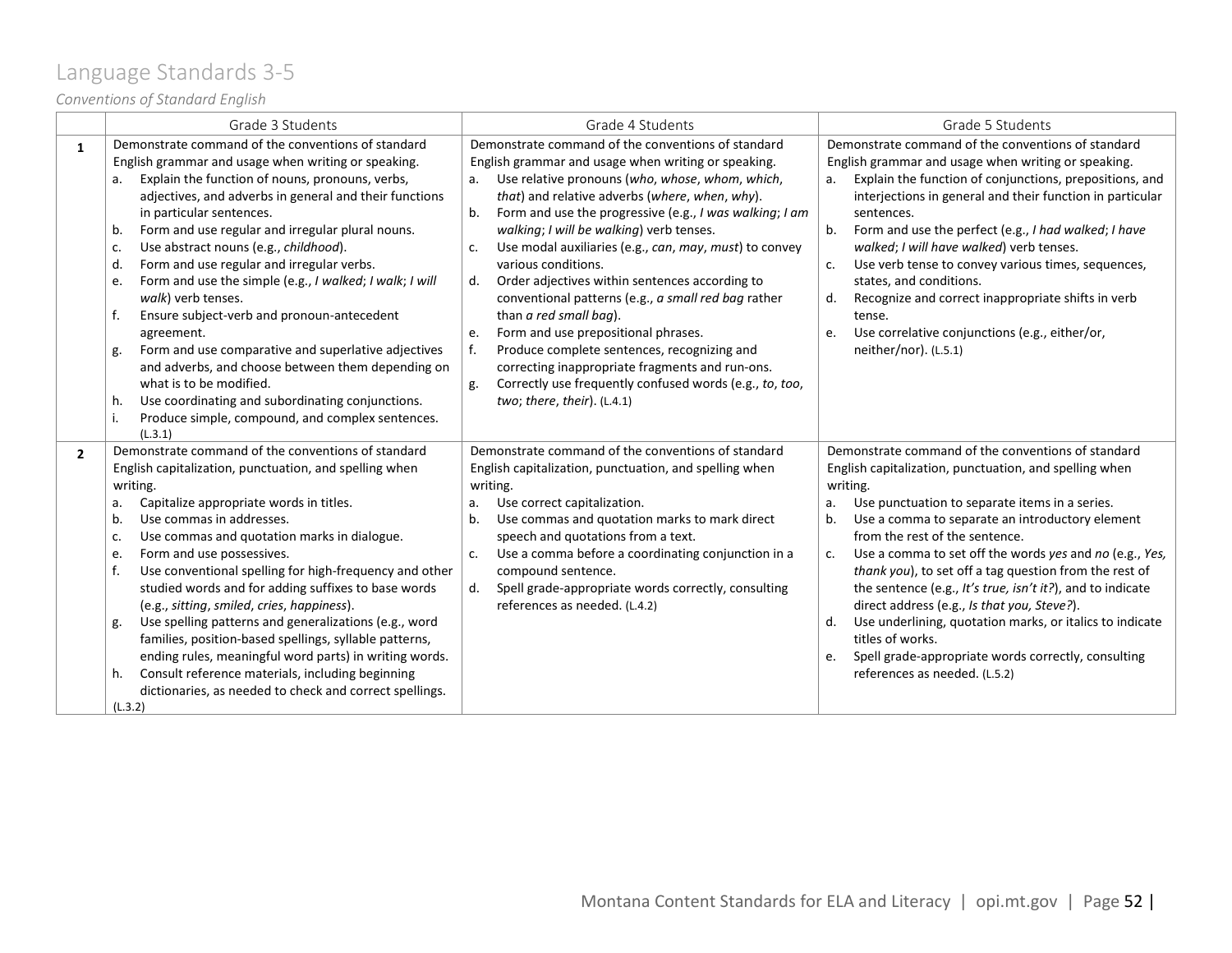# <span id="page-51-0"></span>Language Standards 3-5

### *Conventions of Standard English*

|                | Grade 3 Students                                                                                                                                                                                                                                                                                                                                                                                                                                                                                                                                                                                                                                                                                                                                                                                                                                          | Grade 4 Students                                                                                                                                                                                                                                                                                                                                                                                                                                                                                                                                                                                                                                                                                                                                                                                                         | Grade 5 Students                                                                                                                                                                                                                                                                                                                                                                                                                                                                                                                                                                                                                                                                                        |
|----------------|-----------------------------------------------------------------------------------------------------------------------------------------------------------------------------------------------------------------------------------------------------------------------------------------------------------------------------------------------------------------------------------------------------------------------------------------------------------------------------------------------------------------------------------------------------------------------------------------------------------------------------------------------------------------------------------------------------------------------------------------------------------------------------------------------------------------------------------------------------------|--------------------------------------------------------------------------------------------------------------------------------------------------------------------------------------------------------------------------------------------------------------------------------------------------------------------------------------------------------------------------------------------------------------------------------------------------------------------------------------------------------------------------------------------------------------------------------------------------------------------------------------------------------------------------------------------------------------------------------------------------------------------------------------------------------------------------|---------------------------------------------------------------------------------------------------------------------------------------------------------------------------------------------------------------------------------------------------------------------------------------------------------------------------------------------------------------------------------------------------------------------------------------------------------------------------------------------------------------------------------------------------------------------------------------------------------------------------------------------------------------------------------------------------------|
| $\mathbf{1}$   | Demonstrate command of the conventions of standard<br>English grammar and usage when writing or speaking.<br>Explain the function of nouns, pronouns, verbs,<br>а.<br>adjectives, and adverbs in general and their functions<br>in particular sentences.<br>Form and use regular and irregular plural nouns.<br>b.<br>Use abstract nouns (e.g., childhood).<br>c.<br>Form and use regular and irregular verbs.<br>d.<br>Form and use the simple (e.g., I walked; I walk; I will<br>e.<br>walk) verb tenses.<br>Ensure subject-verb and pronoun-antecedent<br>f.<br>agreement.<br>Form and use comparative and superlative adjectives<br>g.<br>and adverbs, and choose between them depending on<br>what is to be modified.<br>Use coordinating and subordinating conjunctions.<br>h.<br>Produce simple, compound, and complex sentences.<br>i.<br>(L.3.1) | Demonstrate command of the conventions of standard<br>English grammar and usage when writing or speaking.<br>Use relative pronouns (who, whose, whom, which,<br>a.<br>that) and relative adverbs (where, when, why).<br>Form and use the progressive (e.g., I was walking; I am<br>b.<br>walking; I will be walking) verb tenses.<br>Use modal auxiliaries (e.g., can, may, must) to convey<br>c.<br>various conditions.<br>Order adjectives within sentences according to<br>d.<br>conventional patterns (e.g., a small red bag rather<br>than a red small bag).<br>Form and use prepositional phrases.<br>e.<br>f.<br>Produce complete sentences, recognizing and<br>correcting inappropriate fragments and run-ons.<br>Correctly use frequently confused words (e.g., to, too,<br>g.<br>two; there, their). $(L.4.1)$ | Demonstrate command of the conventions of standard<br>English grammar and usage when writing or speaking.<br>Explain the function of conjunctions, prepositions, and<br>a.<br>interjections in general and their function in particular<br>sentences.<br>b.<br>Form and use the perfect (e.g., I had walked; I have<br>walked; I will have walked) verb tenses.<br>Use verb tense to convey various times, sequences,<br>c.<br>states, and conditions.<br>Recognize and correct inappropriate shifts in verb<br>d.<br>tense.<br>Use correlative conjunctions (e.g., either/or,<br>e.<br>neither/nor). (L.5.1)                                                                                           |
| $\overline{2}$ | Demonstrate command of the conventions of standard<br>English capitalization, punctuation, and spelling when<br>writing.<br>Capitalize appropriate words in titles.<br>а.<br>Use commas in addresses.<br>b.<br>Use commas and quotation marks in dialogue.<br>c.<br>Form and use possessives.<br>e.<br>Use conventional spelling for high-frequency and other<br>f.<br>studied words and for adding suffixes to base words<br>(e.g., sitting, smiled, cries, happiness).<br>Use spelling patterns and generalizations (e.g., word<br>g.<br>families, position-based spellings, syllable patterns,<br>ending rules, meaningful word parts) in writing words.<br>Consult reference materials, including beginning<br>h.<br>dictionaries, as needed to check and correct spellings.<br>(L.3.2)                                                               | Demonstrate command of the conventions of standard<br>English capitalization, punctuation, and spelling when<br>writing.<br>Use correct capitalization.<br>а.<br>Use commas and quotation marks to mark direct<br>b.<br>speech and quotations from a text.<br>Use a comma before a coordinating conjunction in a<br>c.<br>compound sentence.<br>Spell grade-appropriate words correctly, consulting<br>d.<br>references as needed. (L.4.2)                                                                                                                                                                                                                                                                                                                                                                               | Demonstrate command of the conventions of standard<br>English capitalization, punctuation, and spelling when<br>writing.<br>Use punctuation to separate items in a series.<br>a.<br>b.<br>Use a comma to separate an introductory element<br>from the rest of the sentence.<br>Use a comma to set off the words yes and no (e.g., Yes,<br>c.<br>thank you), to set off a tag question from the rest of<br>the sentence (e.g., It's true, isn't it?), and to indicate<br>direct address (e.g., Is that you, Steve?).<br>Use underlining, quotation marks, or italics to indicate<br>d.<br>titles of works.<br>Spell grade-appropriate words correctly, consulting<br>e.<br>references as needed. (L.5.2) |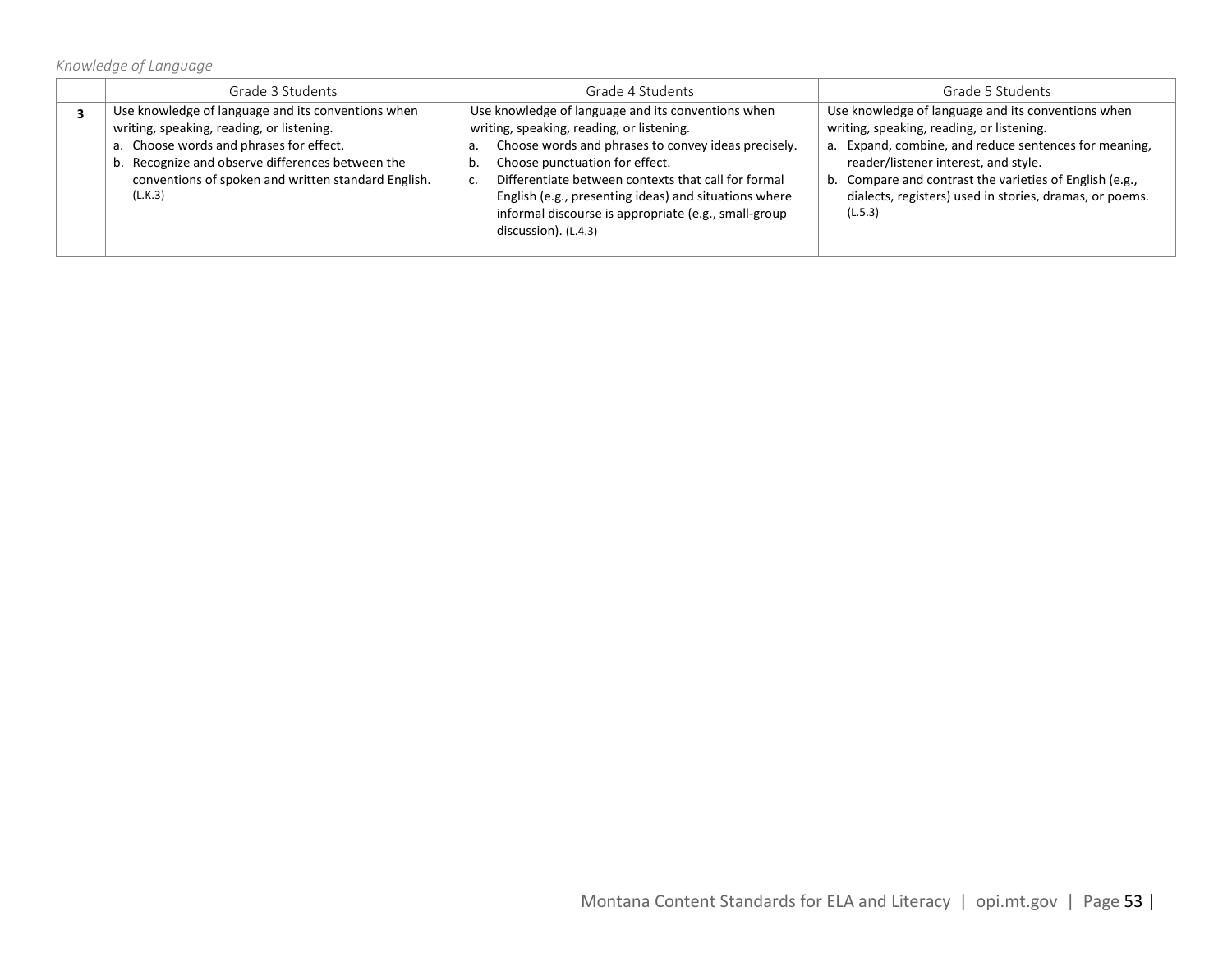### *Knowledge of Language*

| Grade 3 Students                                                                                                                                                                                                                                                 | Grade 4 Students                                                                                                                                                                                                                                                                                                                                                                         | Grade 5 Students                                                                                                                                                                                                                                                                                                                  |
|------------------------------------------------------------------------------------------------------------------------------------------------------------------------------------------------------------------------------------------------------------------|------------------------------------------------------------------------------------------------------------------------------------------------------------------------------------------------------------------------------------------------------------------------------------------------------------------------------------------------------------------------------------------|-----------------------------------------------------------------------------------------------------------------------------------------------------------------------------------------------------------------------------------------------------------------------------------------------------------------------------------|
| Use knowledge of language and its conventions when<br>writing, speaking, reading, or listening.<br>a. Choose words and phrases for effect.<br>b. Recognize and observe differences between the<br>conventions of spoken and written standard English.<br>(L.K.3) | Use knowledge of language and its conventions when<br>writing, speaking, reading, or listening.<br>Choose words and phrases to convey ideas precisely.<br>Choose punctuation for effect.<br>Differentiate between contexts that call for formal<br>English (e.g., presenting ideas) and situations where<br>informal discourse is appropriate (e.g., small-group<br>discussion). (L.4.3) | Use knowledge of language and its conventions when<br>writing, speaking, reading, or listening.<br>a. Expand, combine, and reduce sentences for meaning,<br>reader/listener interest, and style.<br>b. Compare and contrast the varieties of English (e.g.,<br>dialects, registers) used in stories, dramas, or poems.<br>(L.5.3) |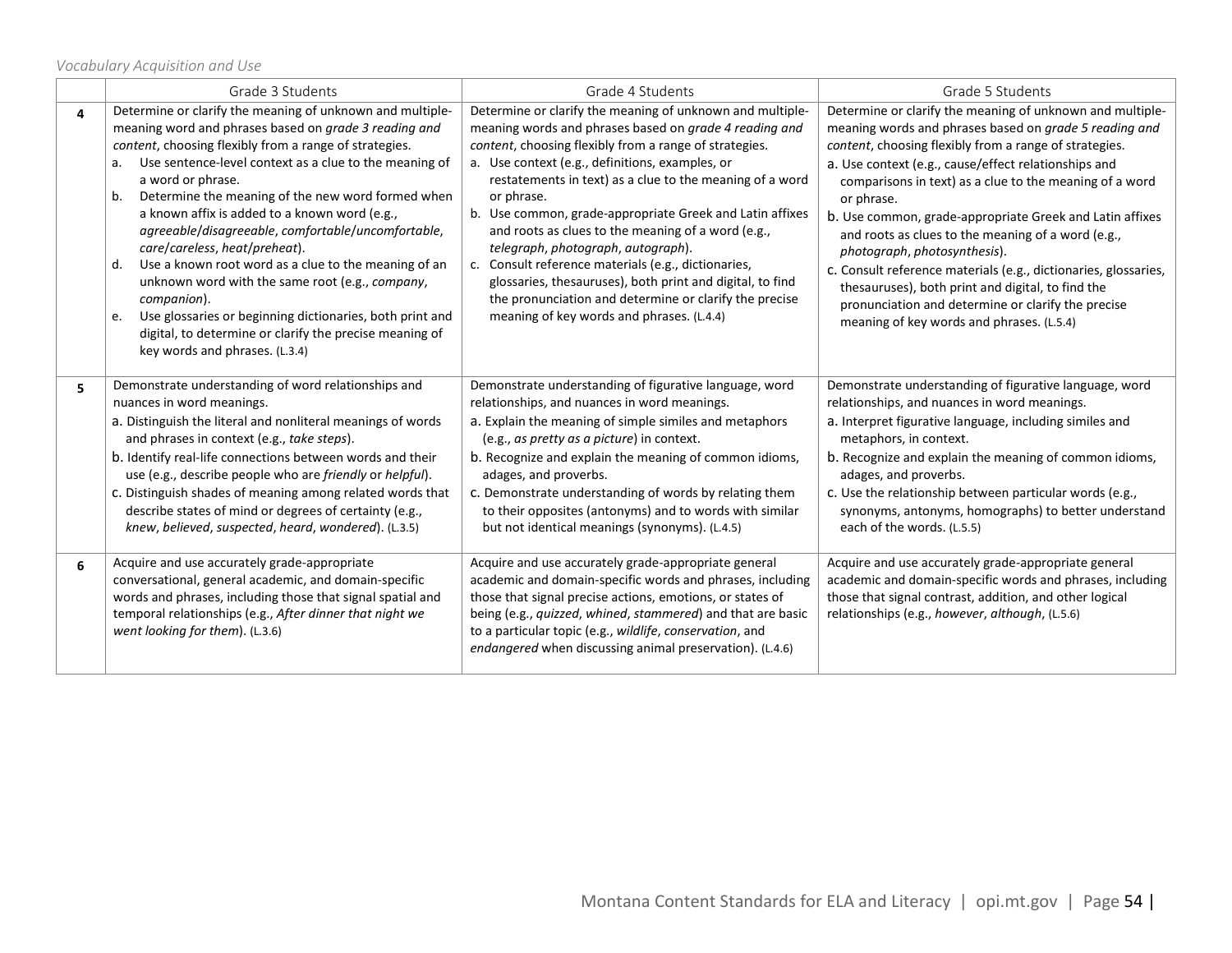*Vocabulary Acquisition and Use*

|   | Grade 3 Students                                                                                                                                                                                                                                                                                                                                                                                                                                                                                                                                                                                                                                                                                                                                                    | Grade 4 Students                                                                                                                                                                                                                                                                                                                                                                                                                                                                                                                                                                                                                                                                              | Grade 5 Students                                                                                                                                                                                                                                                                                                                                                                                                                                                                                                                                                                                                                                                                            |
|---|---------------------------------------------------------------------------------------------------------------------------------------------------------------------------------------------------------------------------------------------------------------------------------------------------------------------------------------------------------------------------------------------------------------------------------------------------------------------------------------------------------------------------------------------------------------------------------------------------------------------------------------------------------------------------------------------------------------------------------------------------------------------|-----------------------------------------------------------------------------------------------------------------------------------------------------------------------------------------------------------------------------------------------------------------------------------------------------------------------------------------------------------------------------------------------------------------------------------------------------------------------------------------------------------------------------------------------------------------------------------------------------------------------------------------------------------------------------------------------|---------------------------------------------------------------------------------------------------------------------------------------------------------------------------------------------------------------------------------------------------------------------------------------------------------------------------------------------------------------------------------------------------------------------------------------------------------------------------------------------------------------------------------------------------------------------------------------------------------------------------------------------------------------------------------------------|
| 4 | Determine or clarify the meaning of unknown and multiple-<br>meaning word and phrases based on grade 3 reading and<br>content, choosing flexibly from a range of strategies.<br>Use sentence-level context as a clue to the meaning of<br>а.<br>a word or phrase.<br>Determine the meaning of the new word formed when<br>b.<br>a known affix is added to a known word (e.g.,<br>agreeable/disagreeable, comfortable/uncomfortable,<br>care/careless, heat/preheat).<br>Use a known root word as a clue to the meaning of an<br>d.<br>unknown word with the same root (e.g., company,<br>companion).<br>Use glossaries or beginning dictionaries, both print and<br>e.<br>digital, to determine or clarify the precise meaning of<br>key words and phrases. (L.3.4) | Determine or clarify the meaning of unknown and multiple-<br>meaning words and phrases based on grade 4 reading and<br>content, choosing flexibly from a range of strategies.<br>a. Use context (e.g., definitions, examples, or<br>restatements in text) as a clue to the meaning of a word<br>or phrase.<br>b. Use common, grade-appropriate Greek and Latin affixes<br>and roots as clues to the meaning of a word (e.g.,<br>telegraph, photograph, autograph).<br>c. Consult reference materials (e.g., dictionaries,<br>glossaries, thesauruses), both print and digital, to find<br>the pronunciation and determine or clarify the precise<br>meaning of key words and phrases. (L.4.4) | Determine or clarify the meaning of unknown and multiple-<br>meaning words and phrases based on grade 5 reading and<br>content, choosing flexibly from a range of strategies.<br>a. Use context (e.g., cause/effect relationships and<br>comparisons in text) as a clue to the meaning of a word<br>or phrase.<br>b. Use common, grade-appropriate Greek and Latin affixes<br>and roots as clues to the meaning of a word (e.g.,<br>photograph, photosynthesis).<br>c. Consult reference materials (e.g., dictionaries, glossaries,<br>thesauruses), both print and digital, to find the<br>pronunciation and determine or clarify the precise<br>meaning of key words and phrases. (L.5.4) |
| 5 | Demonstrate understanding of word relationships and<br>nuances in word meanings.<br>a. Distinguish the literal and nonliteral meanings of words<br>and phrases in context (e.g., take steps).<br>b. Identify real-life connections between words and their<br>use (e.g., describe people who are friendly or helpful).<br>c. Distinguish shades of meaning among related words that<br>describe states of mind or degrees of certainty (e.g.,<br>knew, believed, suspected, heard, wondered). (L.3.5)                                                                                                                                                                                                                                                               | Demonstrate understanding of figurative language, word<br>relationships, and nuances in word meanings.<br>a. Explain the meaning of simple similes and metaphors<br>(e.g., as pretty as a picture) in context.<br>b. Recognize and explain the meaning of common idioms,<br>adages, and proverbs.<br>c. Demonstrate understanding of words by relating them<br>to their opposites (antonyms) and to words with similar<br>but not identical meanings (synonyms). (L.4.5)                                                                                                                                                                                                                      | Demonstrate understanding of figurative language, word<br>relationships, and nuances in word meanings.<br>a. Interpret figurative language, including similes and<br>metaphors, in context.<br>b. Recognize and explain the meaning of common idioms,<br>adages, and proverbs.<br>c. Use the relationship between particular words (e.g.,<br>synonyms, antonyms, homographs) to better understand<br>each of the words. (L.5.5)                                                                                                                                                                                                                                                             |
| 6 | Acquire and use accurately grade-appropriate<br>conversational, general academic, and domain-specific<br>words and phrases, including those that signal spatial and<br>temporal relationships (e.g., After dinner that night we<br>went looking for them). (L.3.6)                                                                                                                                                                                                                                                                                                                                                                                                                                                                                                  | Acquire and use accurately grade-appropriate general<br>academic and domain-specific words and phrases, including<br>those that signal precise actions, emotions, or states of<br>being (e.g., quizzed, whined, stammered) and that are basic<br>to a particular topic (e.g., wildlife, conservation, and<br>endangered when discussing animal preservation). (L.4.6)                                                                                                                                                                                                                                                                                                                         | Acquire and use accurately grade-appropriate general<br>academic and domain-specific words and phrases, including<br>those that signal contrast, addition, and other logical<br>relationships (e.g., however, although, (L.5.6)                                                                                                                                                                                                                                                                                                                                                                                                                                                             |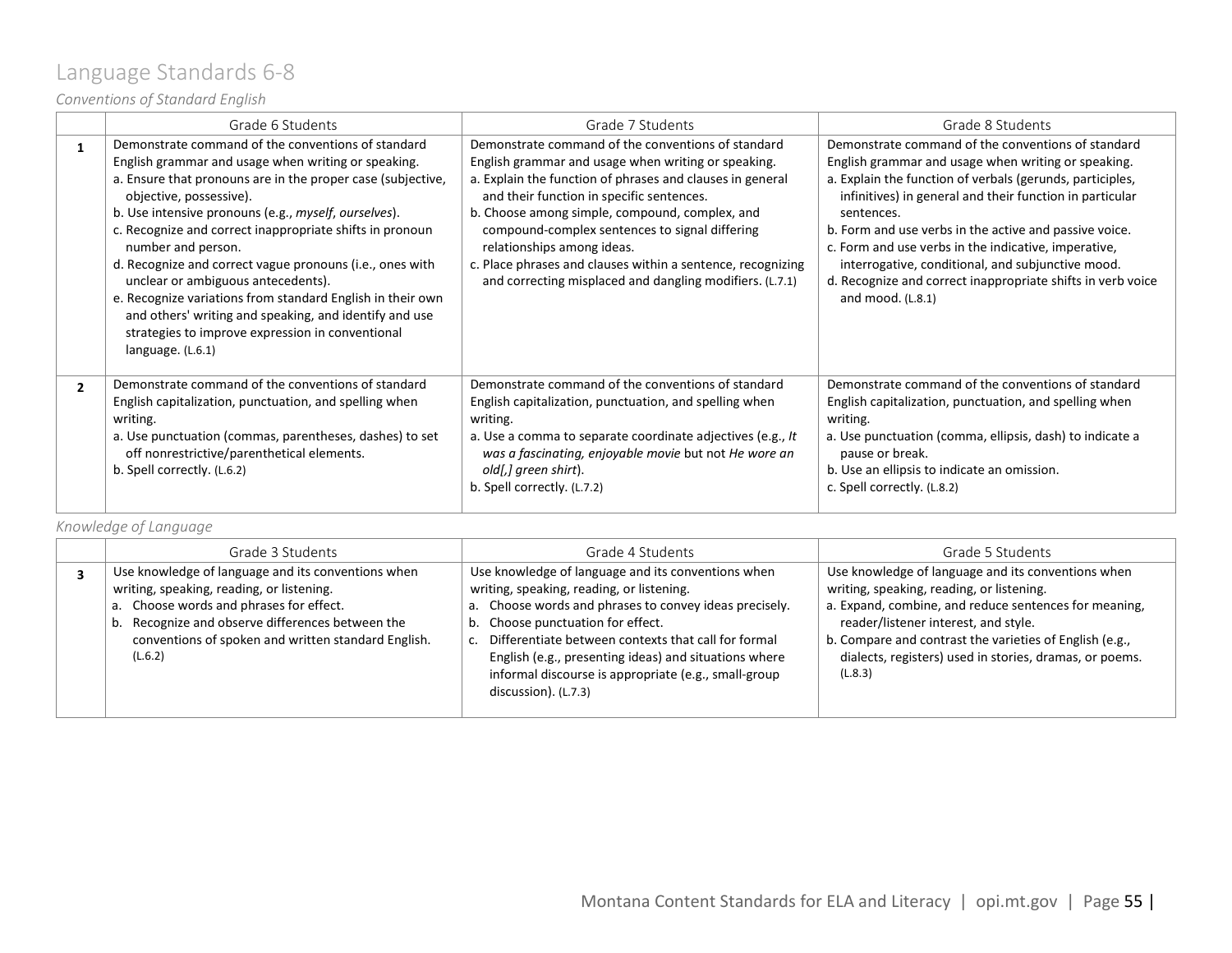### <span id="page-54-0"></span>Language Standards 6-8

### *Conventions of Standard English*

|                | Grade 6 Students                                                                                                                                                                                                                                                                                                                                                                                                                                                                                                                                                                                                                                 | Grade 7 Students                                                                                                                                                                                                                                                                                                                                                                                                                                                                 | Grade 8 Students                                                                                                                                                                                                                                                                                                                                                                                                                                                                                              |
|----------------|--------------------------------------------------------------------------------------------------------------------------------------------------------------------------------------------------------------------------------------------------------------------------------------------------------------------------------------------------------------------------------------------------------------------------------------------------------------------------------------------------------------------------------------------------------------------------------------------------------------------------------------------------|----------------------------------------------------------------------------------------------------------------------------------------------------------------------------------------------------------------------------------------------------------------------------------------------------------------------------------------------------------------------------------------------------------------------------------------------------------------------------------|---------------------------------------------------------------------------------------------------------------------------------------------------------------------------------------------------------------------------------------------------------------------------------------------------------------------------------------------------------------------------------------------------------------------------------------------------------------------------------------------------------------|
| 1              | Demonstrate command of the conventions of standard<br>English grammar and usage when writing or speaking.<br>a. Ensure that pronouns are in the proper case (subjective,<br>objective, possessive).<br>b. Use intensive pronouns (e.g., myself, ourselves).<br>c. Recognize and correct inappropriate shifts in pronoun<br>number and person.<br>d. Recognize and correct vague pronouns (i.e., ones with<br>unclear or ambiguous antecedents).<br>e. Recognize variations from standard English in their own<br>and others' writing and speaking, and identify and use<br>strategies to improve expression in conventional<br>language. (L.6.1) | Demonstrate command of the conventions of standard<br>English grammar and usage when writing or speaking.<br>a. Explain the function of phrases and clauses in general<br>and their function in specific sentences.<br>b. Choose among simple, compound, complex, and<br>compound-complex sentences to signal differing<br>relationships among ideas.<br>c. Place phrases and clauses within a sentence, recognizing<br>and correcting misplaced and dangling modifiers. (L.7.1) | Demonstrate command of the conventions of standard<br>English grammar and usage when writing or speaking.<br>a. Explain the function of verbals (gerunds, participles,<br>infinitives) in general and their function in particular<br>sentences.<br>b. Form and use verbs in the active and passive voice.<br>c. Form and use verbs in the indicative, imperative,<br>interrogative, conditional, and subjunctive mood.<br>d. Recognize and correct inappropriate shifts in verb voice<br>and mood. $(L.8.1)$ |
| $\overline{2}$ | Demonstrate command of the conventions of standard<br>English capitalization, punctuation, and spelling when<br>writing.<br>a. Use punctuation (commas, parentheses, dashes) to set<br>off nonrestrictive/parenthetical elements.<br>b. Spell correctly. (L.6.2)                                                                                                                                                                                                                                                                                                                                                                                 | Demonstrate command of the conventions of standard<br>English capitalization, punctuation, and spelling when<br>writing.<br>a. Use a comma to separate coordinate adjectives (e.g., It<br>was a fascinating, enjoyable movie but not He wore an<br>old[,] green shirt).<br>b. Spell correctly. (L.7.2)                                                                                                                                                                           | Demonstrate command of the conventions of standard<br>English capitalization, punctuation, and spelling when<br>writing.<br>a. Use punctuation (comma, ellipsis, dash) to indicate a<br>pause or break.<br>b. Use an ellipsis to indicate an omission.<br>c. Spell correctly. (L.8.2)                                                                                                                                                                                                                         |

### *Knowledge of Language*

| Grade 3 Students                                                                                                                                                                                                                                                 | Grade 4 Students                                                                                                                                                                                                                                                                                                                                                                                  | Grade 5 Students                                                                                                                                                                                                                                                                                                                  |
|------------------------------------------------------------------------------------------------------------------------------------------------------------------------------------------------------------------------------------------------------------------|---------------------------------------------------------------------------------------------------------------------------------------------------------------------------------------------------------------------------------------------------------------------------------------------------------------------------------------------------------------------------------------------------|-----------------------------------------------------------------------------------------------------------------------------------------------------------------------------------------------------------------------------------------------------------------------------------------------------------------------------------|
| Use knowledge of language and its conventions when<br>writing, speaking, reading, or listening.<br>a. Choose words and phrases for effect.<br>b. Recognize and observe differences between the<br>conventions of spoken and written standard English.<br>(L.6.2) | Use knowledge of language and its conventions when<br>writing, speaking, reading, or listening.<br>a. Choose words and phrases to convey ideas precisely.<br>b. Choose punctuation for effect.<br>c. Differentiate between contexts that call for formal<br>English (e.g., presenting ideas) and situations where<br>informal discourse is appropriate (e.g., small-group<br>discussion). (L.7.3) | Use knowledge of language and its conventions when<br>writing, speaking, reading, or listening.<br>a. Expand, combine, and reduce sentences for meaning,<br>reader/listener interest, and style.<br>b. Compare and contrast the varieties of English (e.g.,<br>dialects, registers) used in stories, dramas, or poems.<br>(L.8.3) |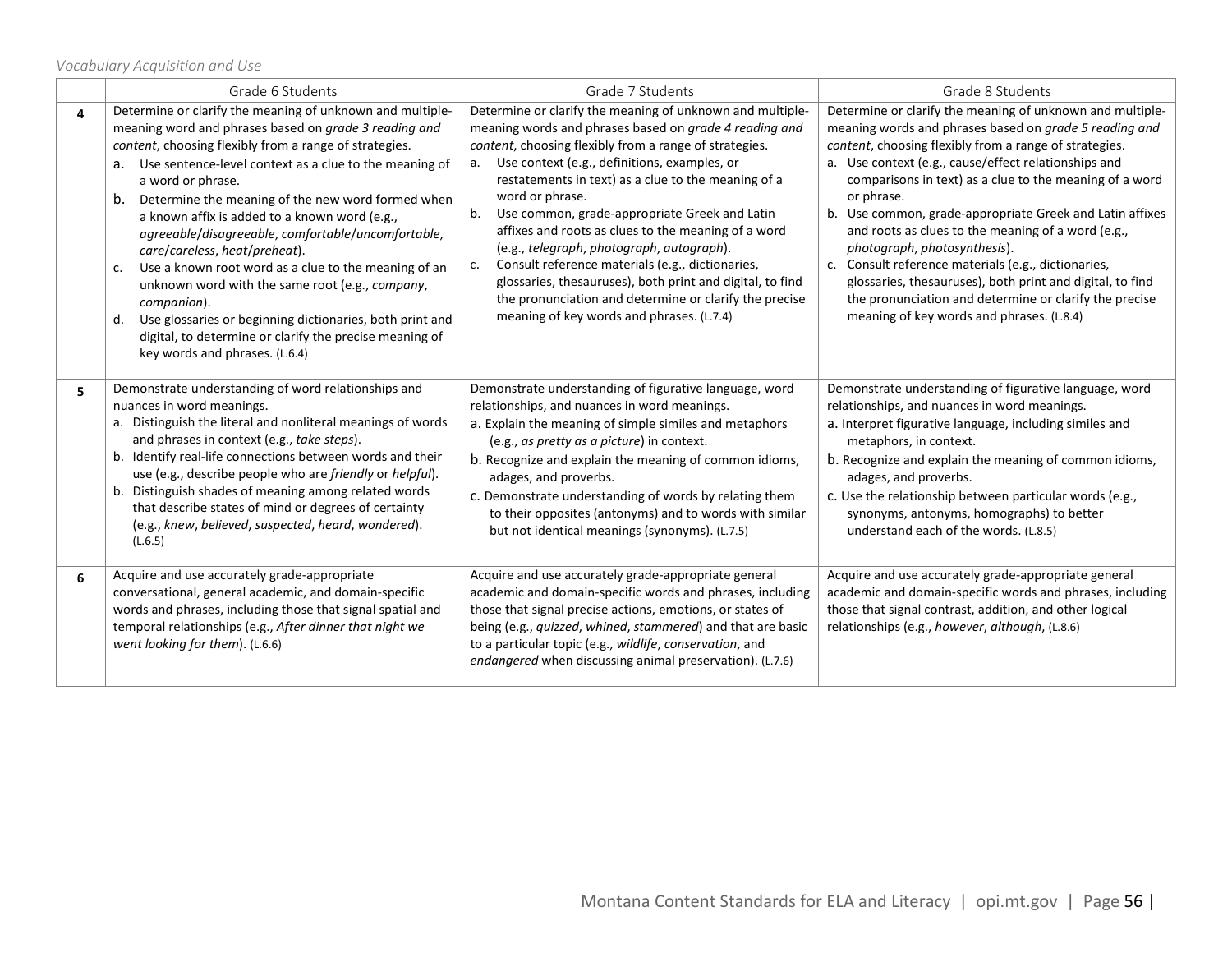*Vocabulary Acquisition and Use*

|   | Grade 6 Students                                                                                                                                                                                                                                                                                                                                                                                                                                                                                                                                                                                                                                                                                                                                                 | Grade 7 Students                                                                                                                                                                                                                                                                                                                                                                                                                                                                                                                                                                                                                                                                                 | Grade 8 Students                                                                                                                                                                                                                                                                                                                                                                                                                                                                                                                                                                                                                                                                            |
|---|------------------------------------------------------------------------------------------------------------------------------------------------------------------------------------------------------------------------------------------------------------------------------------------------------------------------------------------------------------------------------------------------------------------------------------------------------------------------------------------------------------------------------------------------------------------------------------------------------------------------------------------------------------------------------------------------------------------------------------------------------------------|--------------------------------------------------------------------------------------------------------------------------------------------------------------------------------------------------------------------------------------------------------------------------------------------------------------------------------------------------------------------------------------------------------------------------------------------------------------------------------------------------------------------------------------------------------------------------------------------------------------------------------------------------------------------------------------------------|---------------------------------------------------------------------------------------------------------------------------------------------------------------------------------------------------------------------------------------------------------------------------------------------------------------------------------------------------------------------------------------------------------------------------------------------------------------------------------------------------------------------------------------------------------------------------------------------------------------------------------------------------------------------------------------------|
| 4 | Determine or clarify the meaning of unknown and multiple-<br>meaning word and phrases based on grade 3 reading and<br>content, choosing flexibly from a range of strategies.<br>a. Use sentence-level context as a clue to the meaning of<br>a word or phrase.<br>Determine the meaning of the new word formed when<br>b.<br>a known affix is added to a known word (e.g.,<br>agreeable/disagreeable, comfortable/uncomfortable,<br>care/careless, heat/preheat).<br>Use a known root word as a clue to the meaning of an<br>c.<br>unknown word with the same root (e.g., company,<br>companion).<br>Use glossaries or beginning dictionaries, both print and<br>d.<br>digital, to determine or clarify the precise meaning of<br>key words and phrases. (L.6.4) | Determine or clarify the meaning of unknown and multiple-<br>meaning words and phrases based on grade 4 reading and<br>content, choosing flexibly from a range of strategies.<br>a. Use context (e.g., definitions, examples, or<br>restatements in text) as a clue to the meaning of a<br>word or phrase.<br>b. Use common, grade-appropriate Greek and Latin<br>affixes and roots as clues to the meaning of a word<br>(e.g., telegraph, photograph, autograph).<br>Consult reference materials (e.g., dictionaries,<br>c.<br>glossaries, thesauruses), both print and digital, to find<br>the pronunciation and determine or clarify the precise<br>meaning of key words and phrases. (L.7.4) | Determine or clarify the meaning of unknown and multiple-<br>meaning words and phrases based on grade 5 reading and<br>content, choosing flexibly from a range of strategies.<br>a. Use context (e.g., cause/effect relationships and<br>comparisons in text) as a clue to the meaning of a word<br>or phrase.<br>b. Use common, grade-appropriate Greek and Latin affixes<br>and roots as clues to the meaning of a word (e.g.,<br>photograph, photosynthesis).<br>c. Consult reference materials (e.g., dictionaries,<br>glossaries, thesauruses), both print and digital, to find<br>the pronunciation and determine or clarify the precise<br>meaning of key words and phrases. (L.8.4) |
| 5 | Demonstrate understanding of word relationships and<br>nuances in word meanings.<br>a. Distinguish the literal and nonliteral meanings of words<br>and phrases in context (e.g., take steps).<br>b. Identify real-life connections between words and their<br>use (e.g., describe people who are friendly or helpful).<br>b. Distinguish shades of meaning among related words<br>that describe states of mind or degrees of certainty<br>(e.g., knew, believed, suspected, heard, wondered).<br>(L.6.5)                                                                                                                                                                                                                                                         | Demonstrate understanding of figurative language, word<br>relationships, and nuances in word meanings.<br>a. Explain the meaning of simple similes and metaphors<br>(e.g., as pretty as a picture) in context.<br>b. Recognize and explain the meaning of common idioms,<br>adages, and proverbs.<br>c. Demonstrate understanding of words by relating them<br>to their opposites (antonyms) and to words with similar<br>but not identical meanings (synonyms). (L.7.5)                                                                                                                                                                                                                         | Demonstrate understanding of figurative language, word<br>relationships, and nuances in word meanings.<br>a. Interpret figurative language, including similes and<br>metaphors, in context.<br>b. Recognize and explain the meaning of common idioms,<br>adages, and proverbs.<br>c. Use the relationship between particular words (e.g.,<br>synonyms, antonyms, homographs) to better<br>understand each of the words. (L.8.5)                                                                                                                                                                                                                                                             |
| 6 | Acquire and use accurately grade-appropriate<br>conversational, general academic, and domain-specific<br>words and phrases, including those that signal spatial and<br>temporal relationships (e.g., After dinner that night we<br>went looking for them). (L.6.6)                                                                                                                                                                                                                                                                                                                                                                                                                                                                                               | Acquire and use accurately grade-appropriate general<br>academic and domain-specific words and phrases, including<br>those that signal precise actions, emotions, or states of<br>being (e.g., quizzed, whined, stammered) and that are basic<br>to a particular topic (e.g., wildlife, conservation, and<br>endangered when discussing animal preservation). (L.7.6)                                                                                                                                                                                                                                                                                                                            | Acquire and use accurately grade-appropriate general<br>academic and domain-specific words and phrases, including<br>those that signal contrast, addition, and other logical<br>relationships (e.g., however, although, (L.8.6)                                                                                                                                                                                                                                                                                                                                                                                                                                                             |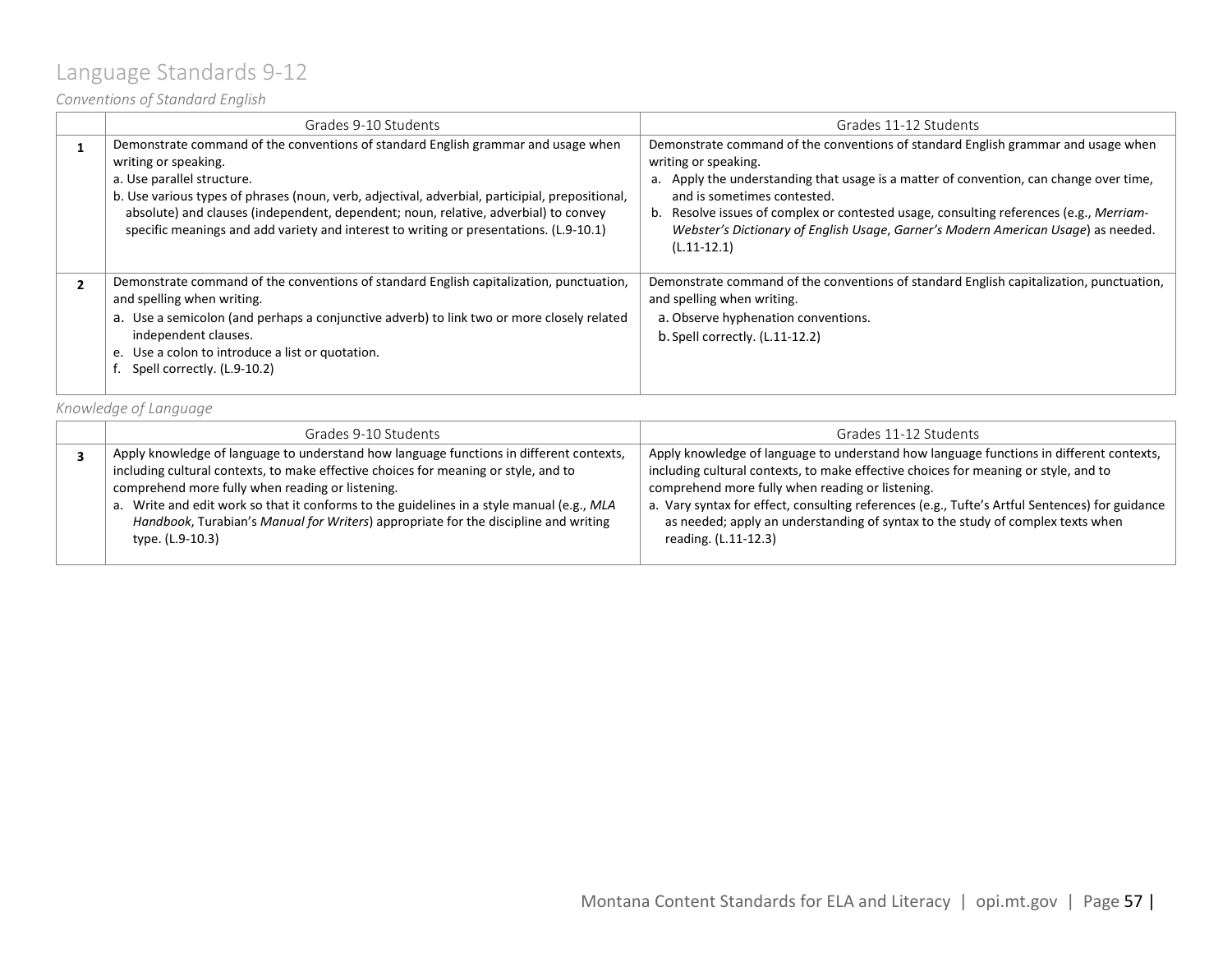### <span id="page-56-0"></span>Language Standards 9-12

*Conventions of Standard English*

| Grades 9-10 Students                                                                                                                                                                                                                                                                                                                                                                                                        | Grades 11-12 Students                                                                                                                                                                                                                                                                                                                                                                                                              |
|-----------------------------------------------------------------------------------------------------------------------------------------------------------------------------------------------------------------------------------------------------------------------------------------------------------------------------------------------------------------------------------------------------------------------------|------------------------------------------------------------------------------------------------------------------------------------------------------------------------------------------------------------------------------------------------------------------------------------------------------------------------------------------------------------------------------------------------------------------------------------|
| Demonstrate command of the conventions of standard English grammar and usage when<br>writing or speaking.<br>a. Use parallel structure.<br>b. Use various types of phrases (noun, verb, adjectival, adverbial, participial, prepositional,<br>absolute) and clauses (independent, dependent; noun, relative, adverbial) to convey<br>specific meanings and add variety and interest to writing or presentations. (L.9-10.1) | Demonstrate command of the conventions of standard English grammar and usage when<br>writing or speaking.<br>a. Apply the understanding that usage is a matter of convention, can change over time,<br>and is sometimes contested.<br>b. Resolve issues of complex or contested usage, consulting references (e.g., Merriam-<br>Webster's Dictionary of English Usage, Garner's Modern American Usage) as needed.<br>$(L.11-12.1)$ |
| Demonstrate command of the conventions of standard English capitalization, punctuation,<br>and spelling when writing.<br>a. Use a semicolon (and perhaps a conjunctive adverb) to link two or more closely related<br>independent clauses.<br>e. Use a colon to introduce a list or quotation.<br>Spell correctly. (L.9-10.2)                                                                                               | Demonstrate command of the conventions of standard English capitalization, punctuation,<br>and spelling when writing.<br>a. Observe hyphenation conventions.<br>$b.$ Spell correctly. $(L.11-12.2)$                                                                                                                                                                                                                                |

*Knowledge of Language*

| Grades 9-10 Students                                                                                                                                                                                                                                                                                                                                                                                                                       | Grades 11-12 Students                                                                                                                                                                                                                                                                                                                                                                                                                          |  |  |  |
|--------------------------------------------------------------------------------------------------------------------------------------------------------------------------------------------------------------------------------------------------------------------------------------------------------------------------------------------------------------------------------------------------------------------------------------------|------------------------------------------------------------------------------------------------------------------------------------------------------------------------------------------------------------------------------------------------------------------------------------------------------------------------------------------------------------------------------------------------------------------------------------------------|--|--|--|
| Apply knowledge of language to understand how language functions in different contexts,<br>including cultural contexts, to make effective choices for meaning or style, and to<br>comprehend more fully when reading or listening.<br>a. Write and edit work so that it conforms to the guidelines in a style manual (e.g., MLA<br>Handbook, Turabian's Manual for Writers) appropriate for the discipline and writing<br>type. (L.9-10.3) | Apply knowledge of language to understand how language functions in different contexts,<br>including cultural contexts, to make effective choices for meaning or style, and to<br>comprehend more fully when reading or listening.<br>a. Vary syntax for effect, consulting references (e.g., Tufte's Artful Sentences) for guidance<br>as needed; apply an understanding of syntax to the study of complex texts when<br>reading. (L.11-12.3) |  |  |  |